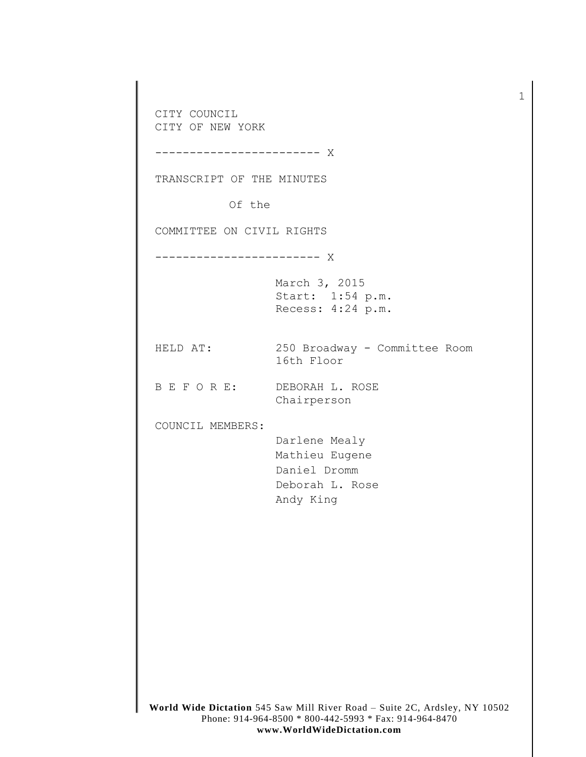CITY COUNCIL CITY OF NEW YORK ------------------------ X TRANSCRIPT OF THE MINUTES Of the COMMITTEE ON CIVIL RIGHTS ------------------------ X March 3, 2015 Start: 1:54 p.m. Recess: 4:24 p.m. HELD AT: 250 Broadway - Committee Room 16th Floor B E F O R E: DEBORAH L. ROSE Chairperson COUNCIL MEMBERS: Darlene Mealy Mathieu Eugene Daniel Dromm Deborah L. Rose Andy King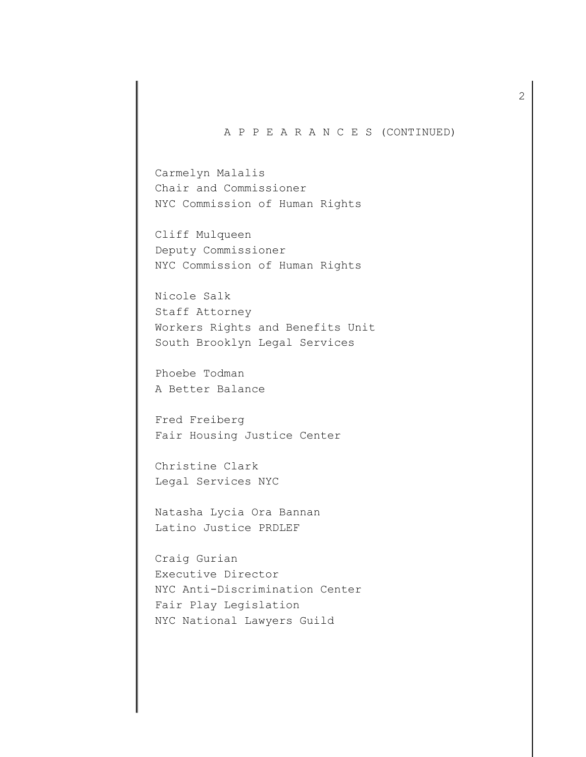## A P P E A R A N C E S (CONTINUED)

Carmelyn Malalis Chair and Commissioner NYC Commission of Human Rights

Cliff Mulqueen Deputy Commissioner NYC Commission of Human Rights

Nicole Salk Staff Attorney Workers Rights and Benefits Unit South Brooklyn Legal Services

Phoebe Todman A Better Balance

Fred Freiberg Fair Housing Justice Center

Christine Clark Legal Services NYC

Natasha Lycia Ora Bannan Latino Justice PRDLEF

Craig Gurian Executive Director NYC Anti-Discrimination Center Fair Play Legislation NYC National Lawyers Guild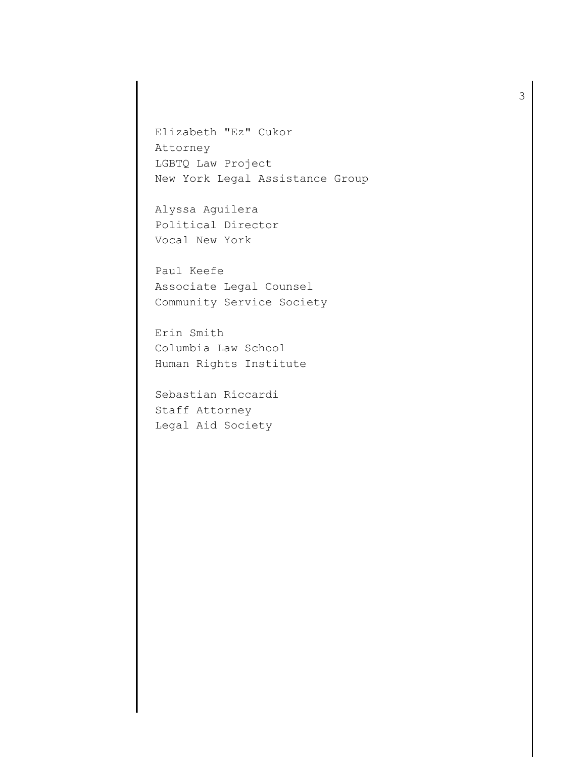Elizabeth "Ez" Cukor Attorney LGBTQ Law Project New York Legal Assistance Group

Alyssa Aguilera Political Director Vocal New York

Paul Keefe Associate Legal Counsel Community Service Society

Erin Smith Columbia Law School Human Rights Institute

Sebastian Riccardi Staff Attorney Legal Aid Society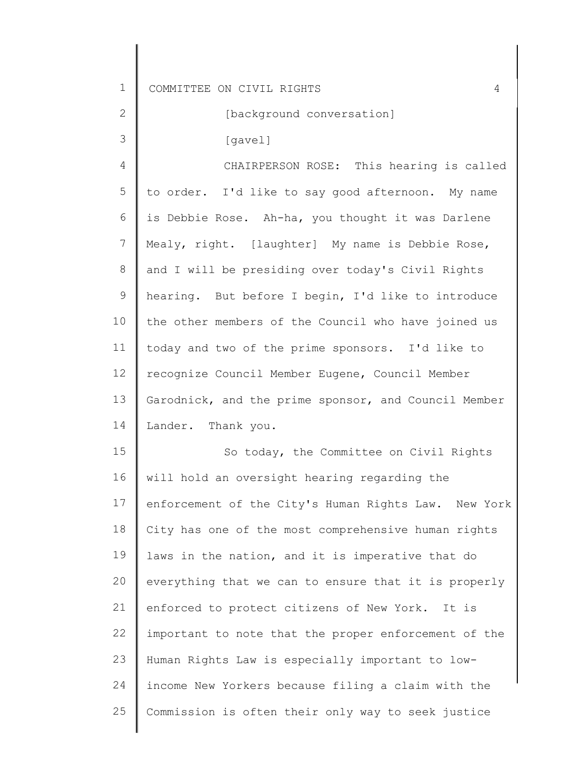2

3

[background conversation]

[gavel]

4 5 6 7 8 9 10 11 12 13 14 CHAIRPERSON ROSE: This hearing is called to order. I'd like to say good afternoon. My name is Debbie Rose. Ah-ha, you thought it was Darlene Mealy, right. [laughter] My name is Debbie Rose, and I will be presiding over today's Civil Rights hearing. But before I begin, I'd like to introduce the other members of the Council who have joined us today and two of the prime sponsors. I'd like to recognize Council Member Eugene, Council Member Garodnick, and the prime sponsor, and Council Member Lander. Thank you.

15 16 17 18 19 20 21 22 23 24 25 So today, the Committee on Civil Rights will hold an oversight hearing regarding the enforcement of the City's Human Rights Law. New York City has one of the most comprehensive human rights laws in the nation, and it is imperative that do everything that we can to ensure that it is properly enforced to protect citizens of New York. It is important to note that the proper enforcement of the Human Rights Law is especially important to lowincome New Yorkers because filing a claim with the Commission is often their only way to seek justice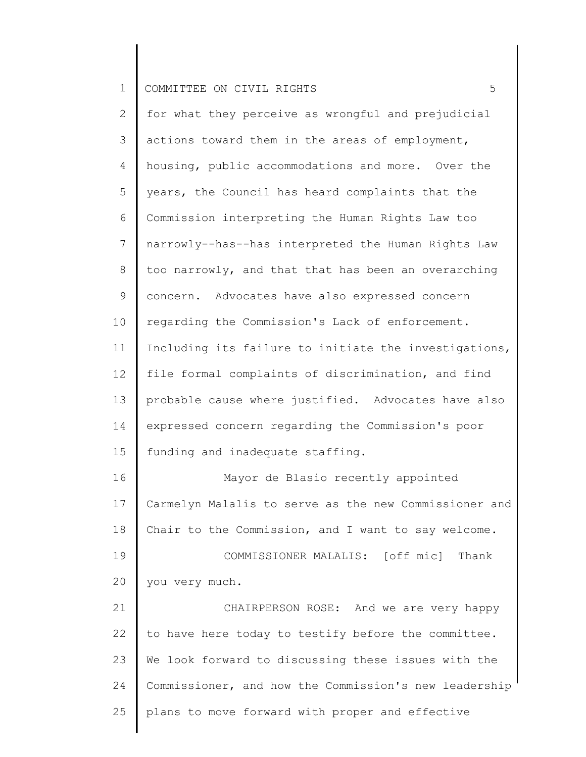| $\mathbf{2}$    | for what they perceive as wrongful and prejudicial    |
|-----------------|-------------------------------------------------------|
| 3               | actions toward them in the areas of employment,       |
| $\overline{4}$  | housing, public accommodations and more. Over the     |
| 5               | years, the Council has heard complaints that the      |
| 6               | Commission interpreting the Human Rights Law too      |
| $7\overline{ }$ | narrowly--has--has interpreted the Human Rights Law   |
| 8               | too narrowly, and that that has been an overarching   |
| $\mathsf 9$     | concern. Advocates have also expressed concern        |
| 10              | regarding the Commission's Lack of enforcement.       |
| 11              | Including its failure to initiate the investigations, |
| 12 <sup>°</sup> | file formal complaints of discrimination, and find    |
| 13              | probable cause where justified. Advocates have also   |
| 14              | expressed concern regarding the Commission's poor     |
| 15              | funding and inadequate staffing.                      |
| 16              | Mayor de Blasio recently appointed                    |
| 17              | Carmelyn Malalis to serve as the new Commissioner and |
| 18              | Chair to the Commission, and I want to say welcome.   |
| 19              | COMMISSIONER MALALIS: [off mic] Thank                 |
| 20              | you very much.                                        |
| 21              | CHAIRPERSON ROSE: And we are very happy               |
| 22              | to have here today to testify before the committee.   |
| 23              | We look forward to discussing these issues with the   |
| 24              | Commissioner, and how the Commission's new leadership |
| 25              | plans to move forward with proper and effective       |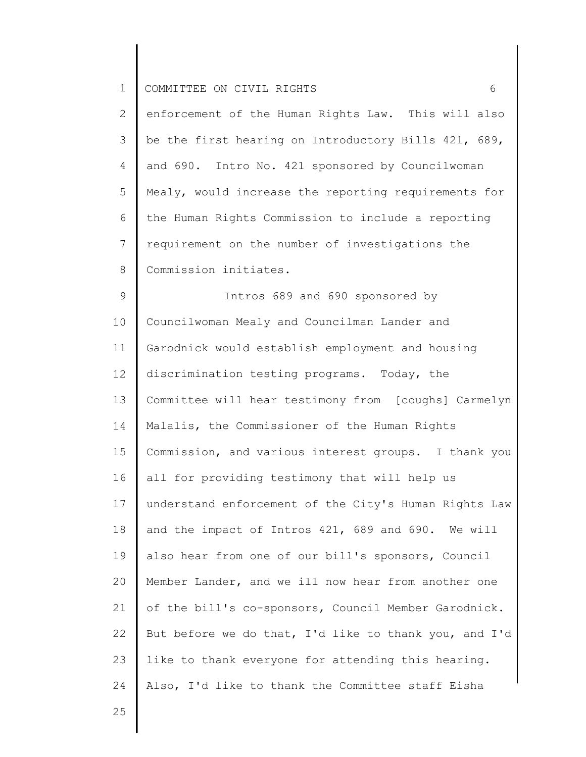2 3 4 5 6 7 8 enforcement of the Human Rights Law. This will also be the first hearing on Introductory Bills 421, 689, and 690. Intro No. 421 sponsored by Councilwoman Mealy, would increase the reporting requirements for the Human Rights Commission to include a reporting requirement on the number of investigations the Commission initiates.

9 10 11 12 13 14 15 16 17 18 19 20 21 22 23 24 Intros 689 and 690 sponsored by Councilwoman Mealy and Councilman Lander and Garodnick would establish employment and housing discrimination testing programs. Today, the Committee will hear testimony from [coughs] Carmelyn Malalis, the Commissioner of the Human Rights Commission, and various interest groups. I thank you all for providing testimony that will help us understand enforcement of the City's Human Rights Law and the impact of Intros 421, 689 and 690. We will also hear from one of our bill's sponsors, Council Member Lander, and we ill now hear from another one of the bill's co-sponsors, Council Member Garodnick. But before we do that, I'd like to thank you, and I'd like to thank everyone for attending this hearing. Also, I'd like to thank the Committee staff Eisha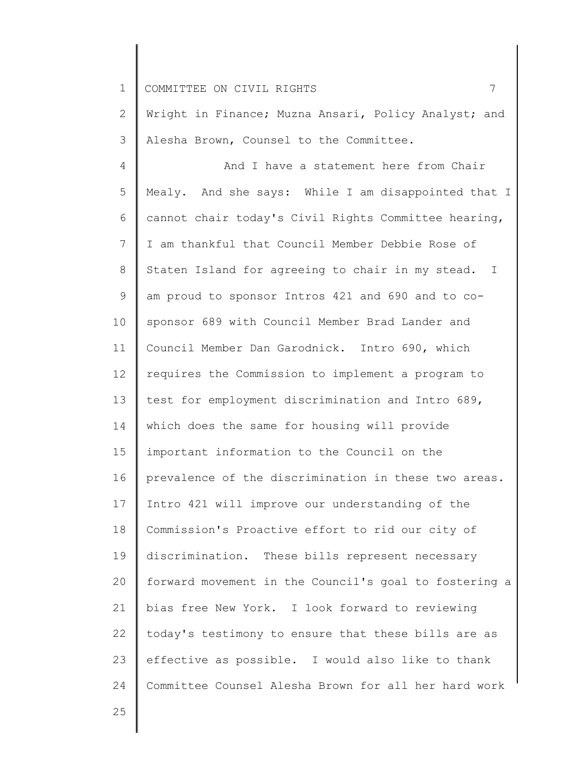2 3 Wright in Finance; Muzna Ansari, Policy Analyst; and Alesha Brown, Counsel to the Committee.

4 5 6 7 8 9 10 11 12 13 14 15 16 17 18 19 20 21 22 23 24 And I have a statement here from Chair Mealy. And she says: While I am disappointed that I cannot chair today's Civil Rights Committee hearing, I am thankful that Council Member Debbie Rose of Staten Island for agreeing to chair in my stead. I am proud to sponsor Intros 421 and 690 and to cosponsor 689 with Council Member Brad Lander and Council Member Dan Garodnick. Intro 690, which requires the Commission to implement a program to test for employment discrimination and Intro 689, which does the same for housing will provide important information to the Council on the prevalence of the discrimination in these two areas. Intro 421 will improve our understanding of the Commission's Proactive effort to rid our city of discrimination. These bills represent necessary forward movement in the Council's goal to fostering a bias free New York. I look forward to reviewing today's testimony to ensure that these bills are as effective as possible. I would also like to thank Committee Counsel Alesha Brown for all her hard work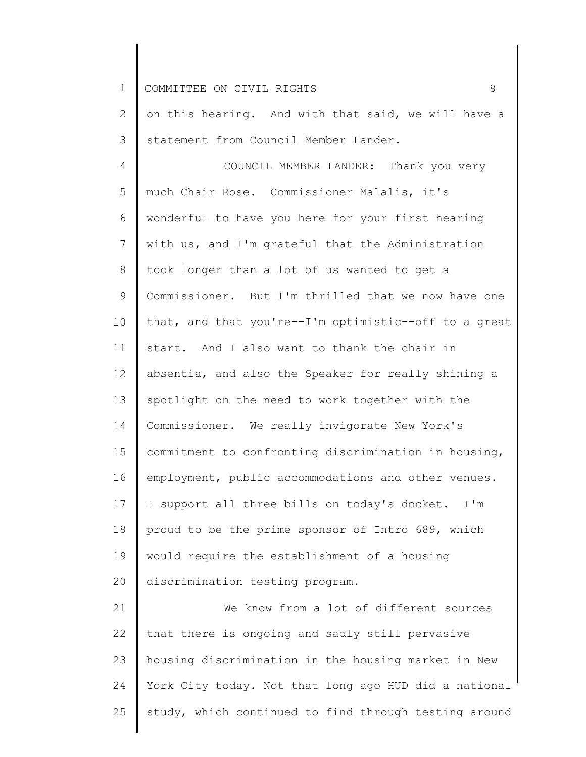2 3 on this hearing. And with that said, we will have a statement from Council Member Lander.

4 5 6 7 8 9 10 11 12 13 14 15 16 17 18 19 20 COUNCIL MEMBER LANDER: Thank you very much Chair Rose. Commissioner Malalis, it's wonderful to have you here for your first hearing with us, and I'm grateful that the Administration took longer than a lot of us wanted to get a Commissioner. But I'm thrilled that we now have one that, and that you're--I'm optimistic--off to a great start. And I also want to thank the chair in absentia, and also the Speaker for really shining a spotlight on the need to work together with the Commissioner. We really invigorate New York's commitment to confronting discrimination in housing, employment, public accommodations and other venues. I support all three bills on today's docket. I'm proud to be the prime sponsor of Intro 689, which would require the establishment of a housing discrimination testing program.

21 22 23 24 25 We know from a lot of different sources that there is ongoing and sadly still pervasive housing discrimination in the housing market in New York City today. Not that long ago HUD did a national study, which continued to find through testing around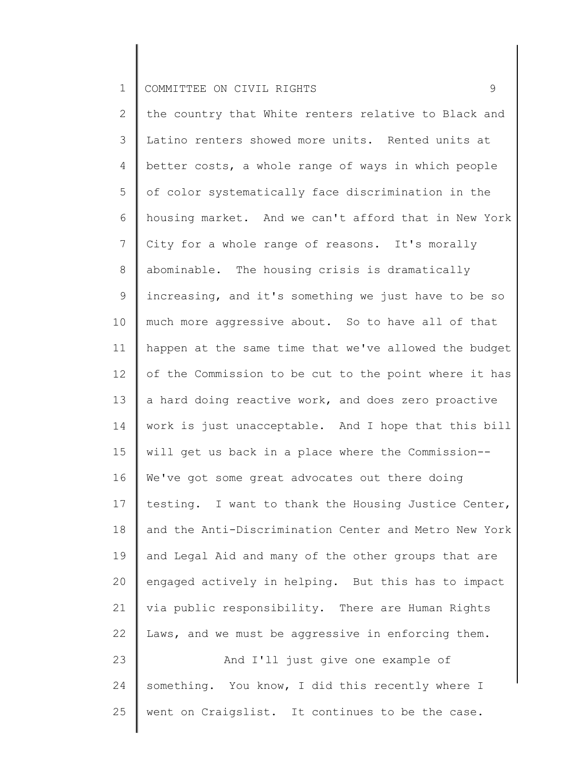2 3 4 5 6 7 8 9 10 11 12 13 14 15 16 17 18 19 20 21 22 23 24 25 the country that White renters relative to Black and Latino renters showed more units. Rented units at better costs, a whole range of ways in which people of color systematically face discrimination in the housing market. And we can't afford that in New York City for a whole range of reasons. It's morally abominable. The housing crisis is dramatically increasing, and it's something we just have to be so much more aggressive about. So to have all of that happen at the same time that we've allowed the budget of the Commission to be cut to the point where it has a hard doing reactive work, and does zero proactive work is just unacceptable. And I hope that this bill will get us back in a place where the Commission-- We've got some great advocates out there doing testing. I want to thank the Housing Justice Center, and the Anti-Discrimination Center and Metro New York and Legal Aid and many of the other groups that are engaged actively in helping. But this has to impact via public responsibility. There are Human Rights Laws, and we must be aggressive in enforcing them. And I'll just give one example of something. You know, I did this recently where I went on Craigslist. It continues to be the case.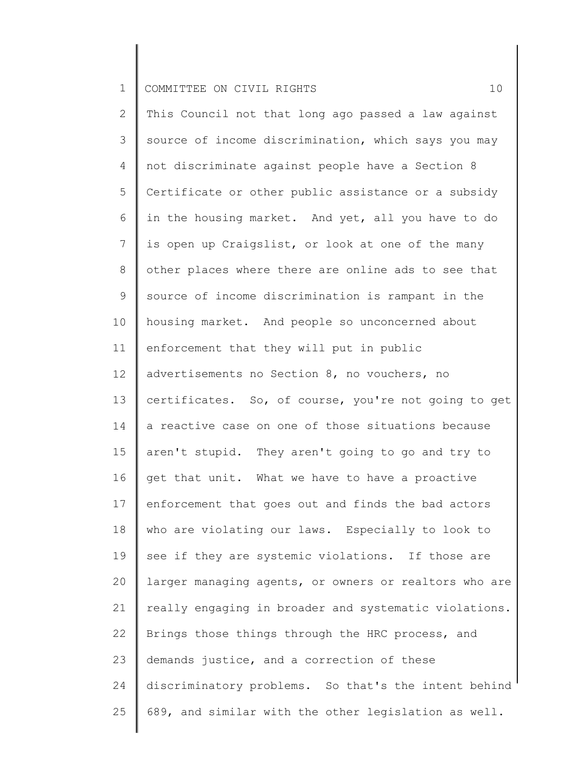2 3 4 5 6 7 8 9 10 11 12 13 14 15 16 17 18 19 20 21 22 23 24 25 This Council not that long ago passed a law against source of income discrimination, which says you may not discriminate against people have a Section 8 Certificate or other public assistance or a subsidy in the housing market. And yet, all you have to do is open up Craigslist, or look at one of the many other places where there are online ads to see that source of income discrimination is rampant in the housing market. And people so unconcerned about enforcement that they will put in public advertisements no Section 8, no vouchers, no certificates. So, of course, you're not going to get a reactive case on one of those situations because aren't stupid. They aren't going to go and try to get that unit. What we have to have a proactive enforcement that goes out and finds the bad actors who are violating our laws. Especially to look to see if they are systemic violations. If those are larger managing agents, or owners or realtors who are really engaging in broader and systematic violations. Brings those things through the HRC process, and demands justice, and a correction of these discriminatory problems. So that's the intent behind 689, and similar with the other legislation as well.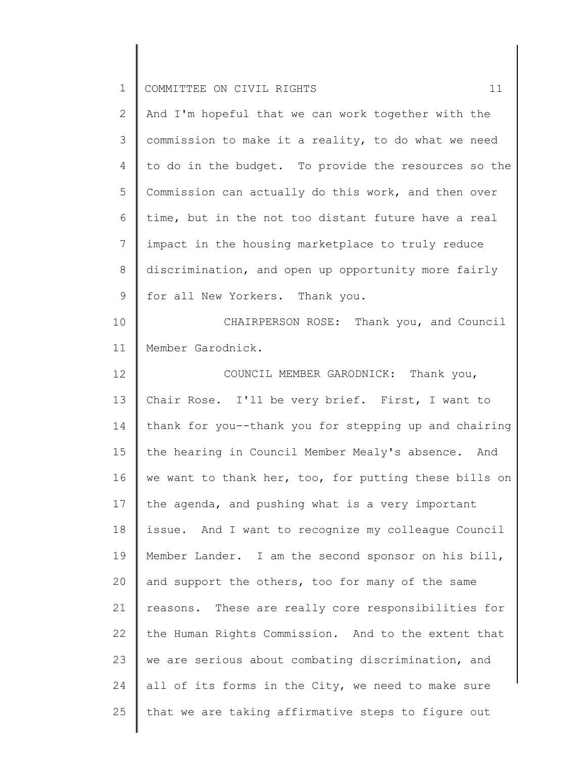| ᆠ | COMMITTEE ON CIVIL RIGHTS |  |  |
|---|---------------------------|--|--|
|   |                           |  |  |

| $\mathbf{2}$  | And I'm hopeful that we can work together with the    |
|---------------|-------------------------------------------------------|
| $\mathcal{S}$ | commission to make it a reality, to do what we need   |
| 4             | to do in the budget. To provide the resources so the  |
| 5             | Commission can actually do this work, and then over   |
| 6             | time, but in the not too distant future have a real   |
| 7             | impact in the housing marketplace to truly reduce     |
| $8\,$         | discrimination, and open up opportunity more fairly   |
| 9             | for all New Yorkers. Thank you.                       |
| 10            | CHAIRPERSON ROSE: Thank you, and Council              |
| 11            | Member Garodnick.                                     |
| 12            | COUNCIL MEMBER GARODNICK: Thank you,                  |
| 13            | Chair Rose. I'll be very brief. First, I want to      |
| 14            | thank for you--thank you for stepping up and chairing |
| 15            | the hearing in Council Member Mealy's absence. And    |
| 16            | we want to thank her, too, for putting these bills on |
| 17            | the agenda, and pushing what is a very important      |
| 18            | issue. And I want to recognize my colleague Council   |
| 19            | Member Lander. I am the second sponsor on his bill,   |
| 20            | and support the others, too for many of the same      |
| 21            | reasons. These are really core responsibilities for   |
| 22            | the Human Rights Commission. And to the extent that   |
| 23            | we are serious about combating discrimination, and    |
| 24            | all of its forms in the City, we need to make sure    |
| 25            | that we are taking affirmative steps to figure out    |
|               |                                                       |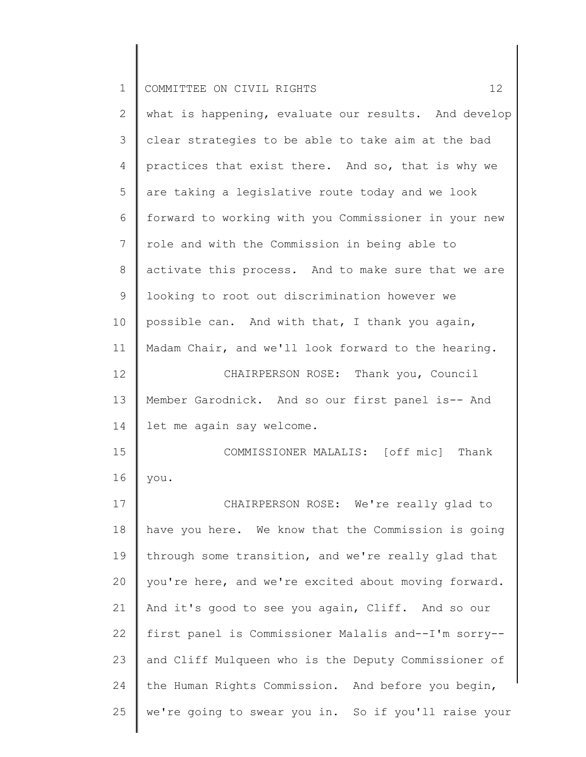| $\overline{2}$ | what is happening, evaluate our results. And develop |
|----------------|------------------------------------------------------|
| 3              | clear strategies to be able to take aim at the bad   |
| 4              | practices that exist there. And so, that is why we   |
| 5              | are taking a legislative route today and we look     |
| 6              | forward to working with you Commissioner in your new |
| 7              | role and with the Commission in being able to        |
| 8              | activate this process. And to make sure that we are  |
| 9              | looking to root out discrimination however we        |
| 10             | possible can. And with that, I thank you again,      |
| 11             | Madam Chair, and we'll look forward to the hearing.  |
| 12             | CHAIRPERSON ROSE: Thank you, Council                 |
| 13             | Member Garodnick. And so our first panel is-- And    |
| 14             | let me again say welcome.                            |
| 15             | COMMISSIONER MALALIS: [off mic] Thank                |
| 16             | you.                                                 |
| 17             | CHAIRPERSON ROSE: We're really glad to               |
| 18             | have you here. We know that the Commission is going  |
| 19             | through some transition, and we're really glad that  |
| 20             | you're here, and we're excited about moving forward. |
| 21             | And it's good to see you again, Cliff. And so our    |
| 22             | first panel is Commissioner Malalis and--I'm sorry-- |
| 23             | and Cliff Mulqueen who is the Deputy Commissioner of |
| 24             | the Human Rights Commission. And before you begin,   |
| 25             | we're going to swear you in. So if you'll raise your |
|                |                                                      |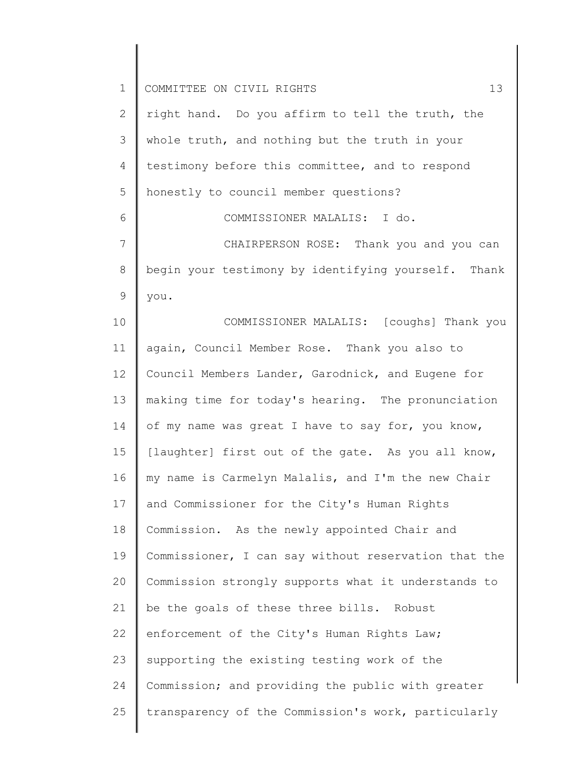| $\mathbf 1$    | 13<br>COMMITTEE ON CIVIL RIGHTS                      |
|----------------|------------------------------------------------------|
| $\mathbf{2}$   | right hand. Do you affirm to tell the truth, the     |
| 3              | whole truth, and nothing but the truth in your       |
| $\overline{4}$ | testimony before this committee, and to respond      |
| 5              | honestly to council member questions?                |
| 6              | COMMISSIONER MALALIS: I do.                          |
| 7              | CHAIRPERSON ROSE: Thank you and you can              |
| $8\,$          | begin your testimony by identifying yourself. Thank  |
| $\mathsf 9$    | you.                                                 |
| 10             | COMMISSIONER MALALIS: [coughs] Thank you             |
| 11             | again, Council Member Rose. Thank you also to        |
| 12             | Council Members Lander, Garodnick, and Eugene for    |
| 13             | making time for today's hearing. The pronunciation   |
| 14             | of my name was great I have to say for, you know,    |
| 15             | [laughter] first out of the gate. As you all know,   |
| 16             | my name is Carmelyn Malalis, and I'm the new Chair   |
| 17             | and Commissioner for the City's Human Rights         |
| 18             | Commission. As the newly appointed Chair and         |
| 19             | Commissioner, I can say without reservation that the |
| 20             | Commission strongly supports what it understands to  |
| 21             | be the goals of these three bills. Robust            |
| 22             | enforcement of the City's Human Rights Law;          |
| 23             | supporting the existing testing work of the          |
| 24             | Commission; and providing the public with greater    |
| 25             | transparency of the Commission's work, particularly  |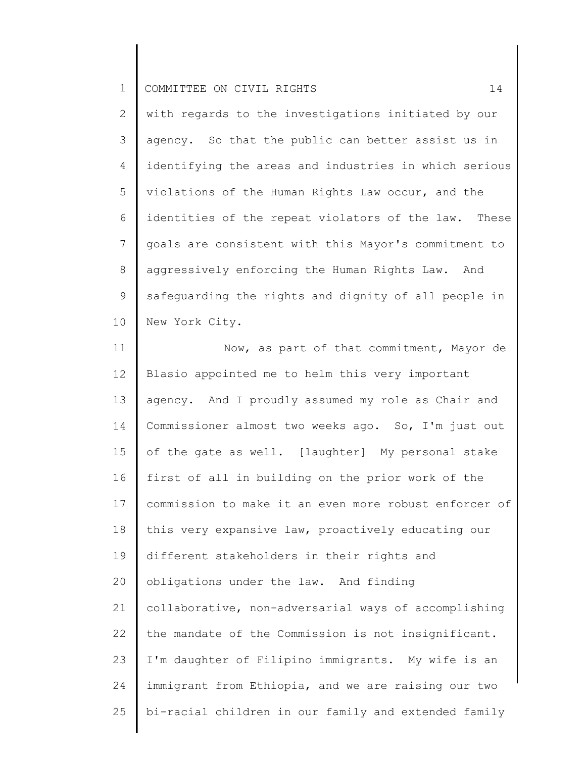2 3 4 5 6 7 8 9 10 with regards to the investigations initiated by our agency. So that the public can better assist us in identifying the areas and industries in which serious violations of the Human Rights Law occur, and the identities of the repeat violators of the law. These goals are consistent with this Mayor's commitment to aggressively enforcing the Human Rights Law. And safeguarding the rights and dignity of all people in New York City.

11 12 13 14 15 16 17 18 19 20 21 22 23 24 25 Now, as part of that commitment, Mayor de Blasio appointed me to helm this very important agency. And I proudly assumed my role as Chair and Commissioner almost two weeks ago. So, I'm just out of the gate as well. [laughter] My personal stake first of all in building on the prior work of the commission to make it an even more robust enforcer of this very expansive law, proactively educating our different stakeholders in their rights and obligations under the law. And finding collaborative, non-adversarial ways of accomplishing the mandate of the Commission is not insignificant. I'm daughter of Filipino immigrants. My wife is an immigrant from Ethiopia, and we are raising our two bi-racial children in our family and extended family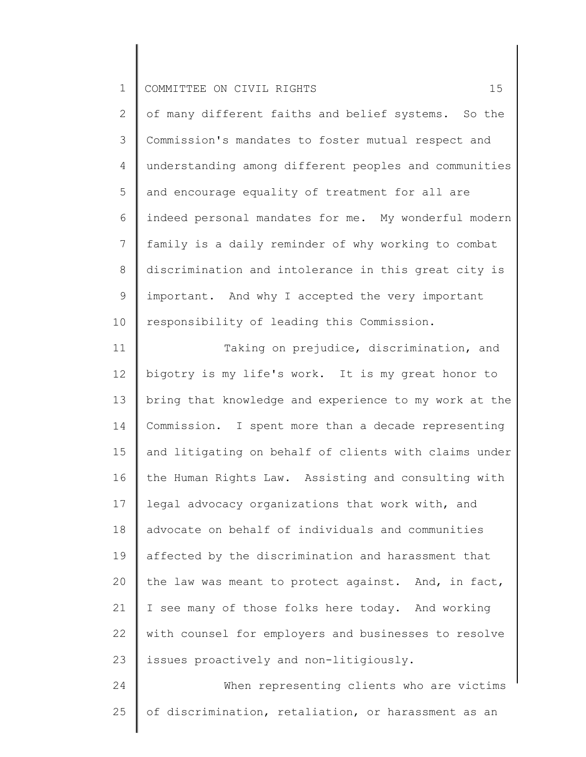2 3 4 5 6 7 8 9 10 of many different faiths and belief systems. So the Commission's mandates to foster mutual respect and understanding among different peoples and communities and encourage equality of treatment for all are indeed personal mandates for me. My wonderful modern family is a daily reminder of why working to combat discrimination and intolerance in this great city is important. And why I accepted the very important responsibility of leading this Commission.

11 12 13 14 15 16 17 18 19 20 21 22 23 Taking on prejudice, discrimination, and bigotry is my life's work. It is my great honor to bring that knowledge and experience to my work at the Commission. I spent more than a decade representing and litigating on behalf of clients with claims under the Human Rights Law. Assisting and consulting with legal advocacy organizations that work with, and advocate on behalf of individuals and communities affected by the discrimination and harassment that the law was meant to protect against. And, in fact, I see many of those folks here today. And working with counsel for employers and businesses to resolve issues proactively and non-litigiously.

24 25 When representing clients who are victims of discrimination, retaliation, or harassment as an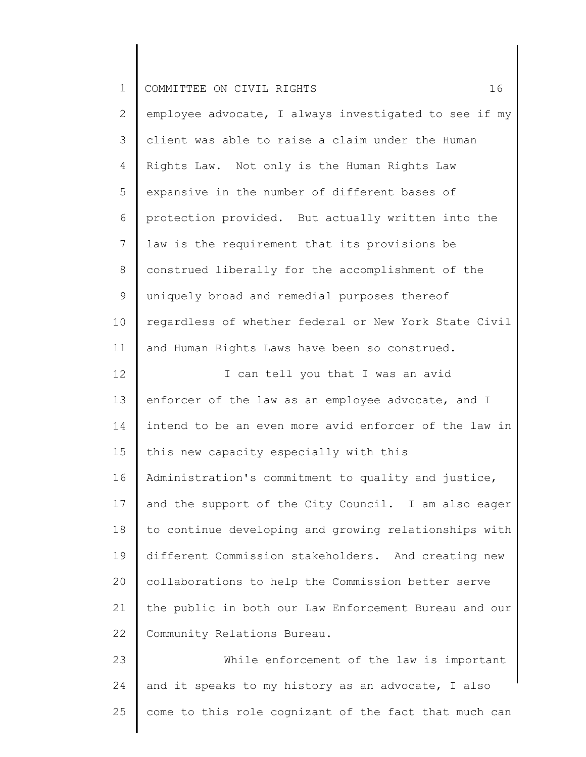| $\mathbf 1$  | 16<br>COMMITTEE ON CIVIL RIGHTS                       |
|--------------|-------------------------------------------------------|
| $\mathbf{2}$ | employee advocate, I always investigated to see if my |
| 3            | client was able to raise a claim under the Human      |
| 4            | Rights Law. Not only is the Human Rights Law          |
| 5            | expansive in the number of different bases of         |
| 6            | protection provided. But actually written into the    |
| 7            | law is the requirement that its provisions be         |
| 8            | construed liberally for the accomplishment of the     |
| 9            | uniquely broad and remedial purposes thereof          |
| 10           | regardless of whether federal or New York State Civil |
| 11           | and Human Rights Laws have been so construed.         |
| 12           | I can tell you that I was an avid                     |
| 13           | enforcer of the law as an employee advocate, and I    |
| 14           | intend to be an even more avid enforcer of the law in |
| 15           | this new capacity especially with this                |
| 16           | Administration's commitment to quality and justice,   |
| 17           | and the support of the City Council. I am also eager  |
| 18           | to continue developing and growing relationships with |
| 19           | different Commission stakeholders. And creating new   |
| 20           | collaborations to help the Commission better serve    |
| 21           | the public in both our Law Enforcement Bureau and our |
| 22           | Community Relations Bureau.                           |
| 23           | While enforcement of the law is important             |
| 24           | and it speaks to my history as an advocate, I also    |
| 25           | come to this role cognizant of the fact that much can |
|              |                                                       |

║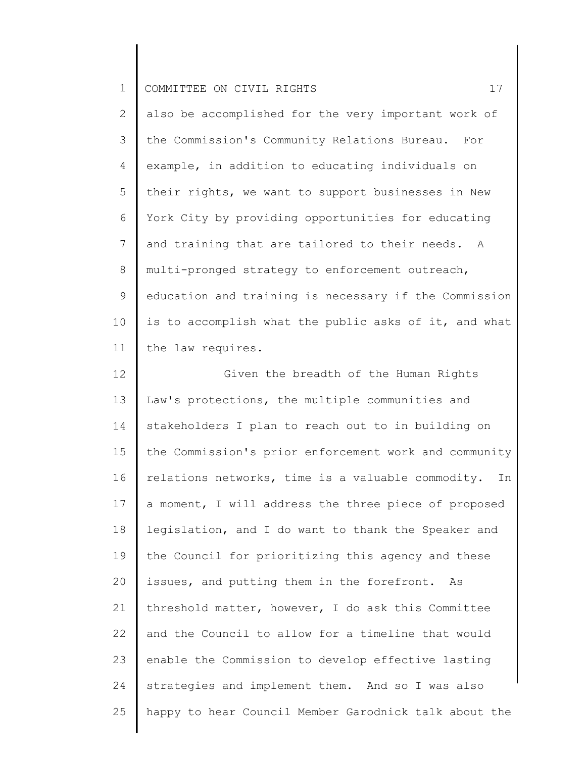2 3 4 5 6 7 8 9 10 11 also be accomplished for the very important work of the Commission's Community Relations Bureau. For example, in addition to educating individuals on their rights, we want to support businesses in New York City by providing opportunities for educating and training that are tailored to their needs. A multi-pronged strategy to enforcement outreach, education and training is necessary if the Commission is to accomplish what the public asks of it, and what the law requires.

12 13 14 15 16 17 18 19 20 21 22 23 24 25 Given the breadth of the Human Rights Law's protections, the multiple communities and stakeholders I plan to reach out to in building on the Commission's prior enforcement work and community relations networks, time is a valuable commodity. In a moment, I will address the three piece of proposed legislation, and I do want to thank the Speaker and the Council for prioritizing this agency and these issues, and putting them in the forefront. As threshold matter, however, I do ask this Committee and the Council to allow for a timeline that would enable the Commission to develop effective lasting strategies and implement them. And so I was also happy to hear Council Member Garodnick talk about the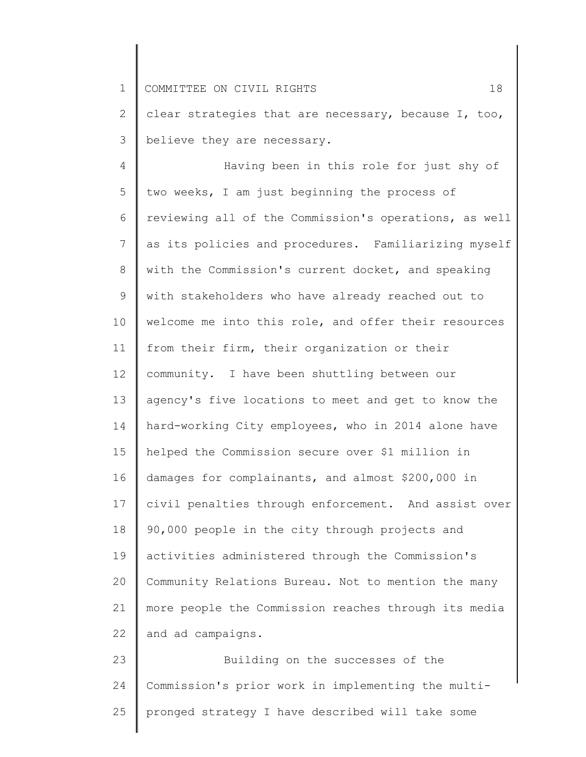1 2 3 4 5 6 7 COMMITTEE ON CIVIL RIGHTS 18 clear strategies that are necessary, because I, too, believe they are necessary. Having been in this role for just shy of two weeks, I am just beginning the process of reviewing all of the Commission's operations, as well as its policies and procedures. Familiarizing myself

8 9 10 11 12 13 14 15 16 17 18 19 20 21 22 with the Commission's current docket, and speaking with stakeholders who have already reached out to welcome me into this role, and offer their resources from their firm, their organization or their community. I have been shuttling between our agency's five locations to meet and get to know the hard-working City employees, who in 2014 alone have helped the Commission secure over \$1 million in damages for complainants, and almost \$200,000 in civil penalties through enforcement. And assist over 90,000 people in the city through projects and activities administered through the Commission's Community Relations Bureau. Not to mention the many more people the Commission reaches through its media and ad campaigns.

23 24 25 Building on the successes of the Commission's prior work in implementing the multipronged strategy I have described will take some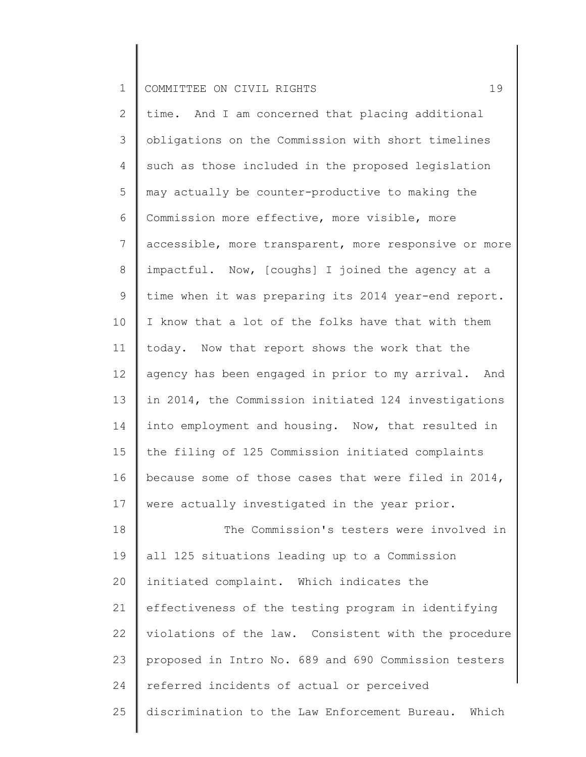2 3 4 5 6 7 8 9 10 11 12 13 14 15 16 17 18 19 20 21 22 23 24 25 time. And I am concerned that placing additional obligations on the Commission with short timelines such as those included in the proposed legislation may actually be counter-productive to making the Commission more effective, more visible, more accessible, more transparent, more responsive or more impactful. Now, [coughs] I joined the agency at a time when it was preparing its 2014 year-end report. I know that a lot of the folks have that with them today. Now that report shows the work that the agency has been engaged in prior to my arrival. And in 2014, the Commission initiated 124 investigations into employment and housing. Now, that resulted in the filing of 125 Commission initiated complaints because some of those cases that were filed in 2014, were actually investigated in the year prior. The Commission's testers were involved in all 125 situations leading up to a Commission initiated complaint. Which indicates the effectiveness of the testing program in identifying violations of the law. Consistent with the procedure proposed in Intro No. 689 and 690 Commission testers referred incidents of actual or perceived discrimination to the Law Enforcement Bureau. Which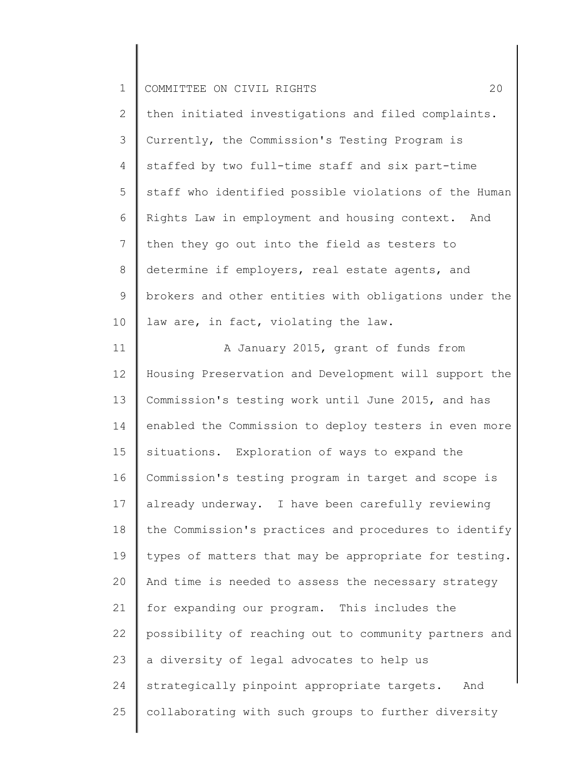| $\overline{2}$  | then initiated investigations and filed complaints.   |
|-----------------|-------------------------------------------------------|
| 3               | Currently, the Commission's Testing Program is        |
| 4               | staffed by two full-time staff and six part-time      |
| 5               | staff who identified possible violations of the Human |
| 6               | Rights Law in employment and housing context. And     |
| $7\phantom{.0}$ | then they go out into the field as testers to         |
| 8               | determine if employers, real estate agents, and       |
| 9               | brokers and other entities with obligations under the |
| 10              | law are, in fact, violating the law.                  |
| 11              | A January 2015, grant of funds from                   |
| 12              | Housing Preservation and Development will support the |
| 13              | Commission's testing work until June 2015, and has    |
| 14              | enabled the Commission to deploy testers in even more |
| 15              | situations. Exploration of ways to expand the         |
| 16              | Commission's testing program in target and scope is   |
| 17              | already underway. I have been carefully reviewing     |
| 18              | the Commission's practices and procedures to identify |
| 19              | types of matters that may be appropriate for testing. |
| 20              | And time is needed to assess the necessary strategy   |
| 21              | for expanding our program. This includes the          |
| 22              | possibility of reaching out to community partners and |
| 23              | a diversity of legal advocates to help us             |
| 24              | strategically pinpoint appropriate targets.<br>And    |
| 25              | collaborating with such groups to further diversity   |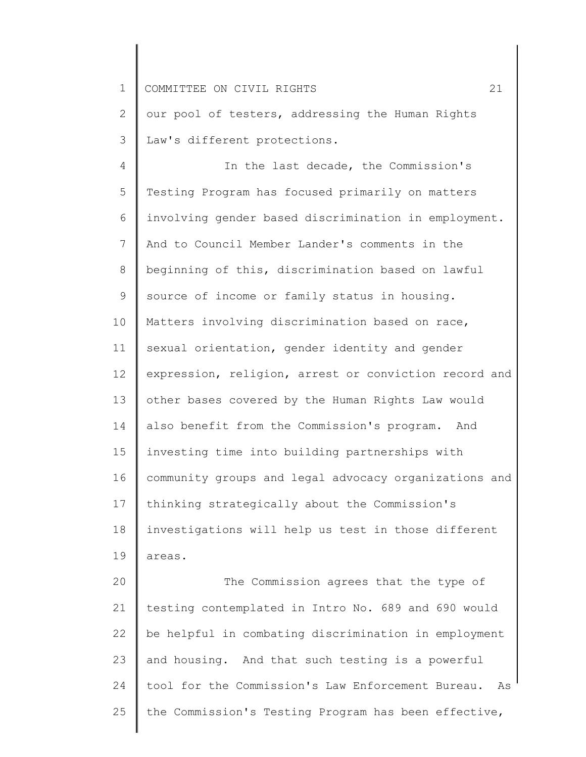2 3 our pool of testers, addressing the Human Rights Law's different protections.

4 5 6 7 8 9 10 11 12 13 14 15 16 17 18 19 In the last decade, the Commission's Testing Program has focused primarily on matters involving gender based discrimination in employment. And to Council Member Lander's comments in the beginning of this, discrimination based on lawful source of income or family status in housing. Matters involving discrimination based on race, sexual orientation, gender identity and gender expression, religion, arrest or conviction record and other bases covered by the Human Rights Law would also benefit from the Commission's program. And investing time into building partnerships with community groups and legal advocacy organizations and thinking strategically about the Commission's investigations will help us test in those different areas.

20 21 22 23 24 25 The Commission agrees that the type of testing contemplated in Intro No. 689 and 690 would be helpful in combating discrimination in employment and housing. And that such testing is a powerful tool for the Commission's Law Enforcement Bureau. As the Commission's Testing Program has been effective,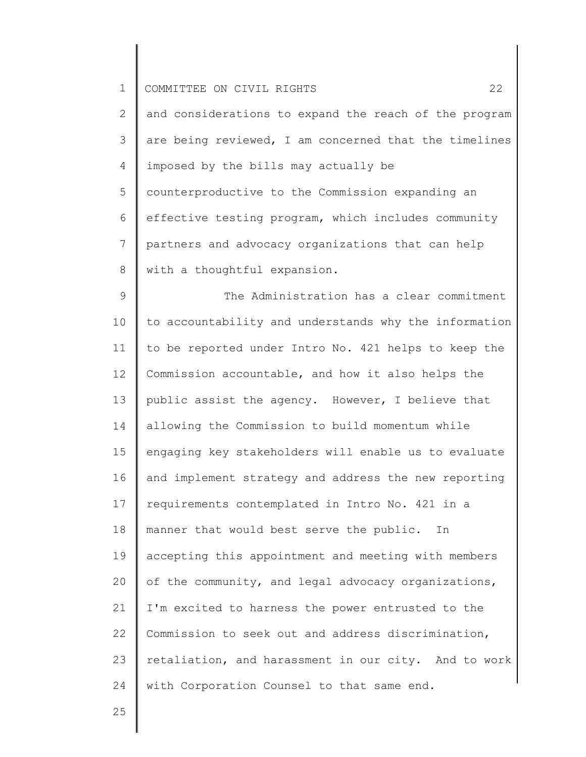2 3 4 5 6 7 8 and considerations to expand the reach of the program are being reviewed, I am concerned that the timelines imposed by the bills may actually be counterproductive to the Commission expanding an effective testing program, which includes community partners and advocacy organizations that can help with a thoughtful expansion.

9 10 11 12 13 14 15 16 17 18 19 20 21 22 23 24 The Administration has a clear commitment to accountability and understands why the information to be reported under Intro No. 421 helps to keep the Commission accountable, and how it also helps the public assist the agency. However, I believe that allowing the Commission to build momentum while engaging key stakeholders will enable us to evaluate and implement strategy and address the new reporting requirements contemplated in Intro No. 421 in a manner that would best serve the public. In accepting this appointment and meeting with members of the community, and legal advocacy organizations, I'm excited to harness the power entrusted to the Commission to seek out and address discrimination, retaliation, and harassment in our city. And to work with Corporation Counsel to that same end.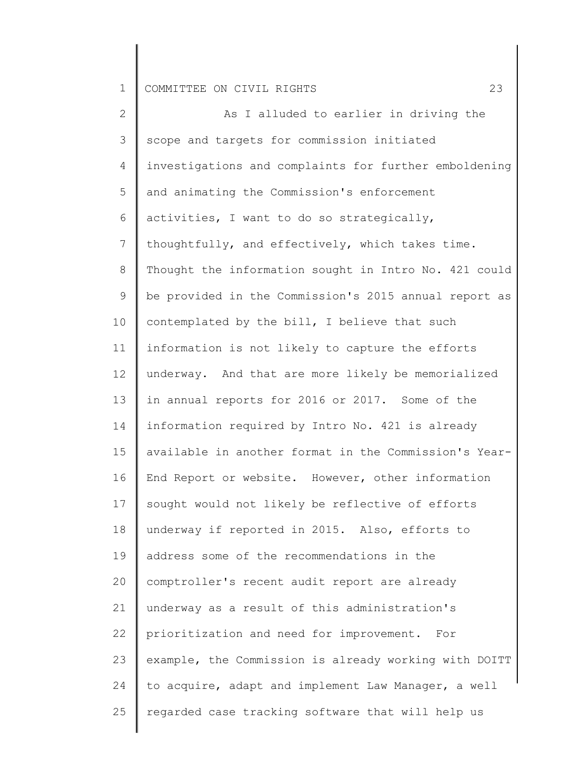2 3 4 5 6 7 8 9 10 11 12 13 14 15 16 17 18 19 20 21 22 23 24 25 As I alluded to earlier in driving the scope and targets for commission initiated investigations and complaints for further emboldening and animating the Commission's enforcement activities, I want to do so strategically, thoughtfully, and effectively, which takes time. Thought the information sought in Intro No. 421 could be provided in the Commission's 2015 annual report as contemplated by the bill, I believe that such information is not likely to capture the efforts underway. And that are more likely be memorialized in annual reports for 2016 or 2017. Some of the information required by Intro No. 421 is already available in another format in the Commission's Year-End Report or website. However, other information sought would not likely be reflective of efforts underway if reported in 2015. Also, efforts to address some of the recommendations in the comptroller's recent audit report are already underway as a result of this administration's prioritization and need for improvement. For example, the Commission is already working with DOITT to acquire, adapt and implement Law Manager, a well regarded case tracking software that will help us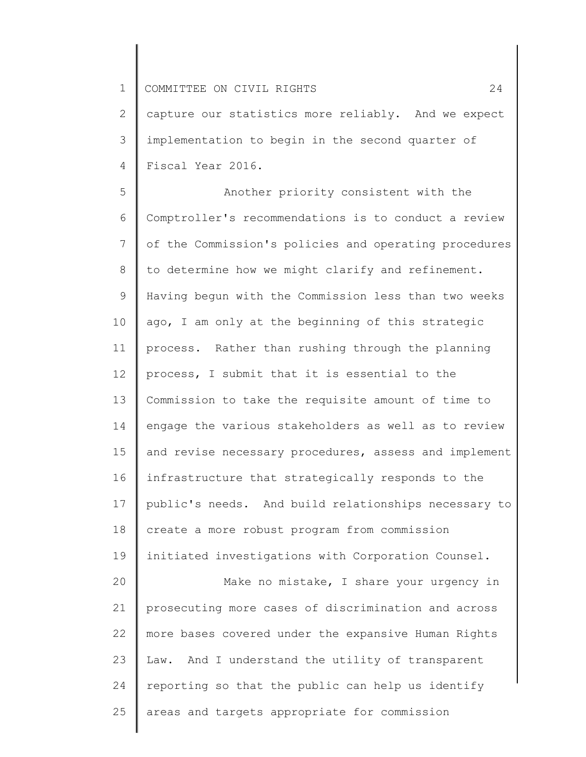25

2 3 4 capture our statistics more reliably. And we expect implementation to begin in the second quarter of Fiscal Year 2016.

5 6 7 8 9 10 11 12 13 14 15 16 17 18 19 20 21 22 23 24 Another priority consistent with the Comptroller's recommendations is to conduct a review of the Commission's policies and operating procedures to determine how we might clarify and refinement. Having begun with the Commission less than two weeks ago, I am only at the beginning of this strategic process. Rather than rushing through the planning process, I submit that it is essential to the Commission to take the requisite amount of time to engage the various stakeholders as well as to review and revise necessary procedures, assess and implement infrastructure that strategically responds to the public's needs. And build relationships necessary to create a more robust program from commission initiated investigations with Corporation Counsel. Make no mistake, I share your urgency in prosecuting more cases of discrimination and across more bases covered under the expansive Human Rights Law. And I understand the utility of transparent reporting so that the public can help us identify

areas and targets appropriate for commission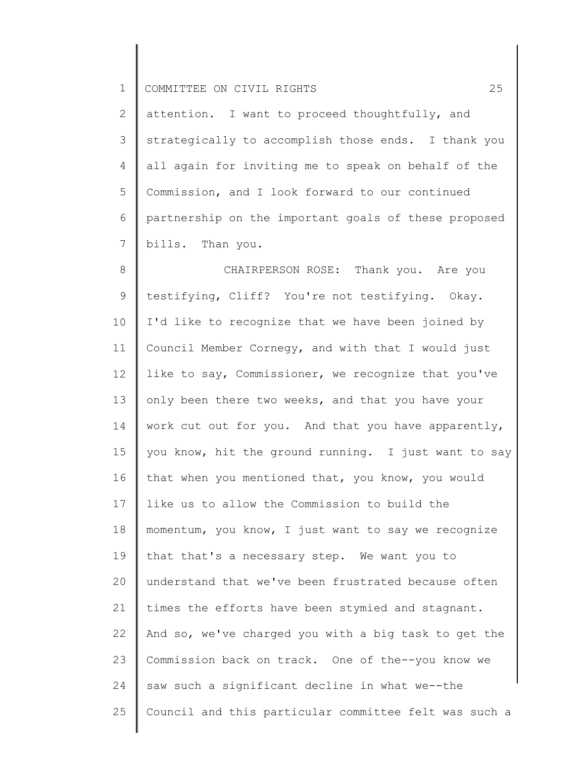2 3 4 5 6 7 attention. I want to proceed thoughtfully, and strategically to accomplish those ends. I thank you all again for inviting me to speak on behalf of the Commission, and I look forward to our continued partnership on the important goals of these proposed bills. Than you.

8 9 10 11 12 13 14 15 16 17 18 19 20 21 22 23 24 25 CHAIRPERSON ROSE: Thank you. Are you testifying, Cliff? You're not testifying. Okay. I'd like to recognize that we have been joined by Council Member Cornegy, and with that I would just like to say, Commissioner, we recognize that you've only been there two weeks, and that you have your work cut out for you. And that you have apparently, you know, hit the ground running. I just want to say that when you mentioned that, you know, you would like us to allow the Commission to build the momentum, you know, I just want to say we recognize that that's a necessary step. We want you to understand that we've been frustrated because often times the efforts have been stymied and stagnant. And so, we've charged you with a big task to get the Commission back on track. One of the--you know we saw such a significant decline in what we--the Council and this particular committee felt was such a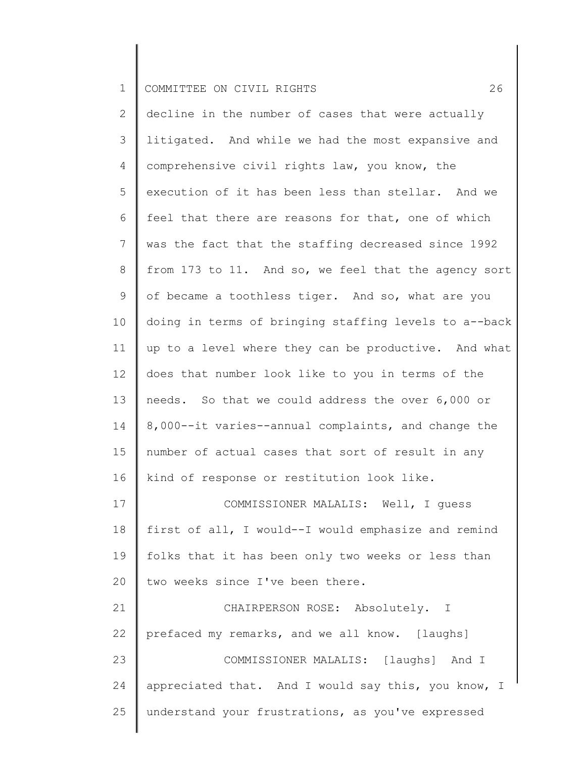2 3 4 5 6 7 8 9 10 11 12 13 14 15 16 17 18 19 20 decline in the number of cases that were actually litigated. And while we had the most expansive and comprehensive civil rights law, you know, the execution of it has been less than stellar. And we feel that there are reasons for that, one of which was the fact that the staffing decreased since 1992 from 173 to 11. And so, we feel that the agency sort of became a toothless tiger. And so, what are you doing in terms of bringing staffing levels to a--back up to a level where they can be productive. And what does that number look like to you in terms of the needs. So that we could address the over 6,000 or 8,000--it varies--annual complaints, and change the number of actual cases that sort of result in any kind of response or restitution look like. COMMISSIONER MALALIS: Well, I guess first of all, I would--I would emphasize and remind folks that it has been only two weeks or less than two weeks since I've been there.

21 22 23 24 25 CHAIRPERSON ROSE: Absolutely. I prefaced my remarks, and we all know. [laughs] COMMISSIONER MALALIS: [laughs] And I appreciated that. And I would say this, you know, I understand your frustrations, as you've expressed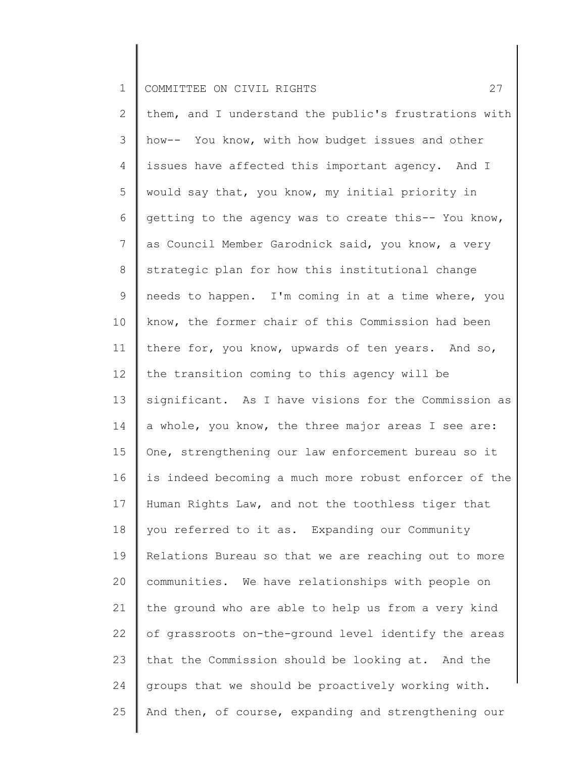2 3 4 5 6 7 8 9 10 11 12 13 14 15 16 17 18 19 20 21 22 23 24 25 them, and I understand the public's frustrations with how-- You know, with how budget issues and other issues have affected this important agency. And I would say that, you know, my initial priority in getting to the agency was to create this-- You know, as Council Member Garodnick said, you know, a very strategic plan for how this institutional change needs to happen. I'm coming in at a time where, you know, the former chair of this Commission had been there for, you know, upwards of ten years. And so, the transition coming to this agency will be significant. As I have visions for the Commission as a whole, you know, the three major areas I see are: One, strengthening our law enforcement bureau so it is indeed becoming a much more robust enforcer of the Human Rights Law, and not the toothless tiger that you referred to it as. Expanding our Community Relations Bureau so that we are reaching out to more communities. We have relationships with people on the ground who are able to help us from a very kind of grassroots on-the-ground level identify the areas that the Commission should be looking at. And the groups that we should be proactively working with. And then, of course, expanding and strengthening our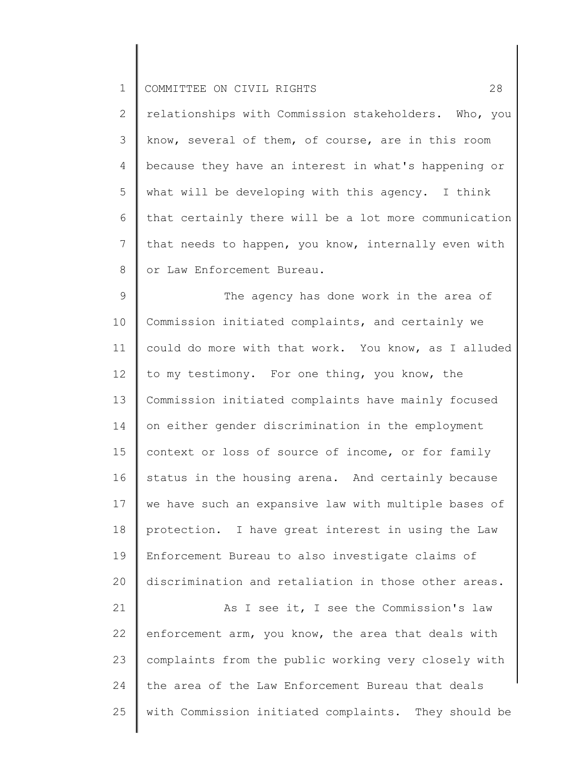2 3 4 5 6 7 8 relationships with Commission stakeholders. Who, you know, several of them, of course, are in this room because they have an interest in what's happening or what will be developing with this agency. I think that certainly there will be a lot more communication that needs to happen, you know, internally even with or Law Enforcement Bureau.

9 10 11 12 13 14 15 16 17 18 19 20 21 The agency has done work in the area of Commission initiated complaints, and certainly we could do more with that work. You know, as I alluded to my testimony. For one thing, you know, the Commission initiated complaints have mainly focused on either gender discrimination in the employment context or loss of source of income, or for family status in the housing arena. And certainly because we have such an expansive law with multiple bases of protection. I have great interest in using the Law Enforcement Bureau to also investigate claims of discrimination and retaliation in those other areas. As I see it, I see the Commission's law

22 23 24 25 enforcement arm, you know, the area that deals with complaints from the public working very closely with the area of the Law Enforcement Bureau that deals with Commission initiated complaints. They should be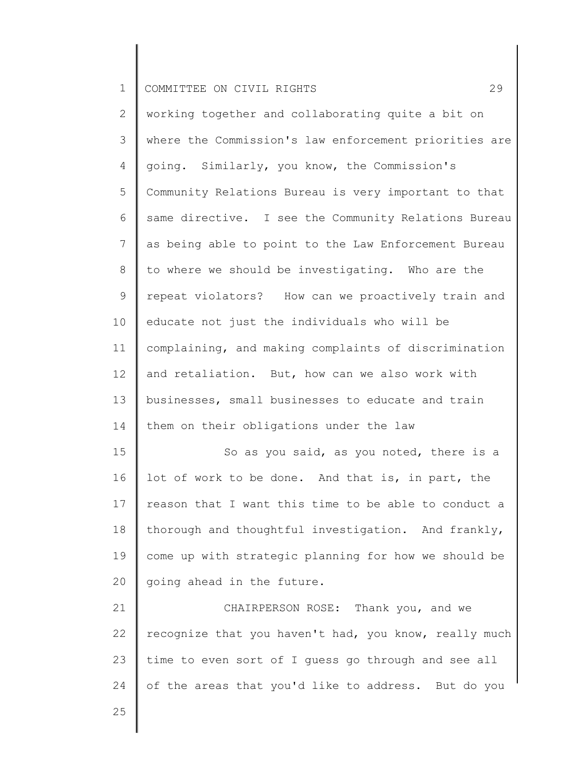2 3 4 5 6 7 8 9 10 11 12 13 14 15 16 working together and collaborating quite a bit on where the Commission's law enforcement priorities are going. Similarly, you know, the Commission's Community Relations Bureau is very important to that same directive. I see the Community Relations Bureau as being able to point to the Law Enforcement Bureau to where we should be investigating. Who are the repeat violators? How can we proactively train and educate not just the individuals who will be complaining, and making complaints of discrimination and retaliation. But, how can we also work with businesses, small businesses to educate and train them on their obligations under the law So as you said, as you noted, there is a lot of work to be done. And that is, in part, the

20 21 22 23 24 come up with strategic planning for how we should be going ahead in the future. CHAIRPERSON ROSE: Thank you, and we recognize that you haven't had, you know, really much time to even sort of I guess go through and see all of the areas that you'd like to address. But do you

reason that I want this time to be able to conduct a

thorough and thoughtful investigation. And frankly,

17

18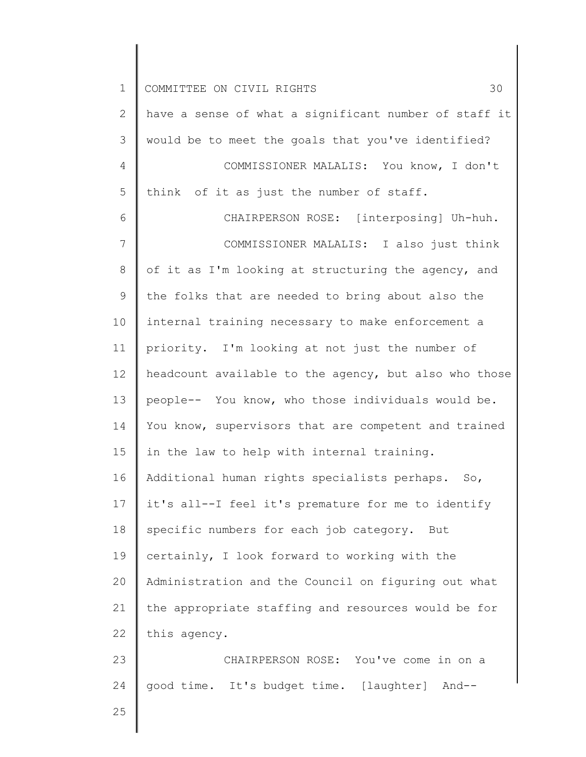| $\mathbf 1$  | 30<br>COMMITTEE ON CIVIL RIGHTS                       |
|--------------|-------------------------------------------------------|
| $\mathbf{2}$ | have a sense of what a significant number of staff it |
| 3            | would be to meet the goals that you've identified?    |
| 4            | COMMISSIONER MALALIS: You know, I don't               |
| 5            | think of it as just the number of staff.              |
| 6            | CHAIRPERSON ROSE: [interposing] Uh-huh.               |
| 7            | COMMISSIONER MALALIS: I also just think               |
| 8            | of it as I'm looking at structuring the agency, and   |
| 9            | the folks that are needed to bring about also the     |
| 10           | internal training necessary to make enforcement a     |
| 11           | priority. I'm looking at not just the number of       |
| 12           | headcount available to the agency, but also who those |
| 13           | people-- You know, who those individuals would be.    |
| 14           | You know, supervisors that are competent and trained  |
| 15           | in the law to help with internal training.            |
| 16           | Additional human rights specialists perhaps. So,      |
| 17           | it's all--I feel it's premature for me to identify    |
| 18           | specific numbers for each job category. But           |
| 19           | certainly, I look forward to working with the         |
| 20           | Administration and the Council on figuring out what   |
| 21           | the appropriate staffing and resources would be for   |
| 22           | this agency.                                          |
| 23           | CHAIRPERSON ROSE: You've come in on a                 |
| 24           | good time. It's budget time. [laughter] And--         |
| 25           |                                                       |
|              |                                                       |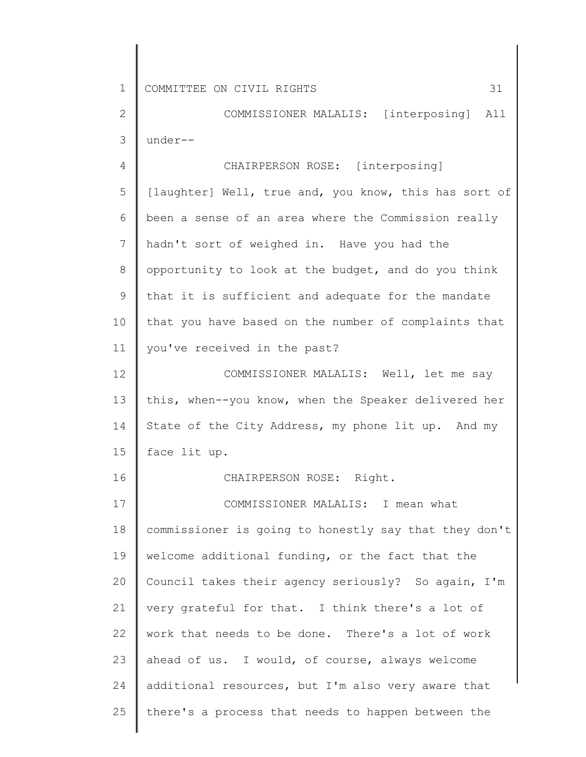1 2 3 4 5 6 7 8 9 10 11 12 13 14 15 16 17 18 19 20 21 22 23 24 25 COMMITTEE ON CIVIL RIGHTS 31 COMMISSIONER MALALIS: [interposing] All under-- CHAIRPERSON ROSE: [interposing] [laughter] Well, true and, you know, this has sort of been a sense of an area where the Commission really hadn't sort of weighed in. Have you had the opportunity to look at the budget, and do you think that it is sufficient and adequate for the mandate that you have based on the number of complaints that you've received in the past? COMMISSIONER MALALIS: Well, let me say this, when--you know, when the Speaker delivered her State of the City Address, my phone lit up. And my face lit up. CHAIRPERSON ROSE: Right. COMMISSIONER MALALIS: I mean what commissioner is going to honestly say that they don't welcome additional funding, or the fact that the Council takes their agency seriously? So again, I'm very grateful for that. I think there's a lot of work that needs to be done. There's a lot of work ahead of us. I would, of course, always welcome additional resources, but I'm also very aware that there's a process that needs to happen between the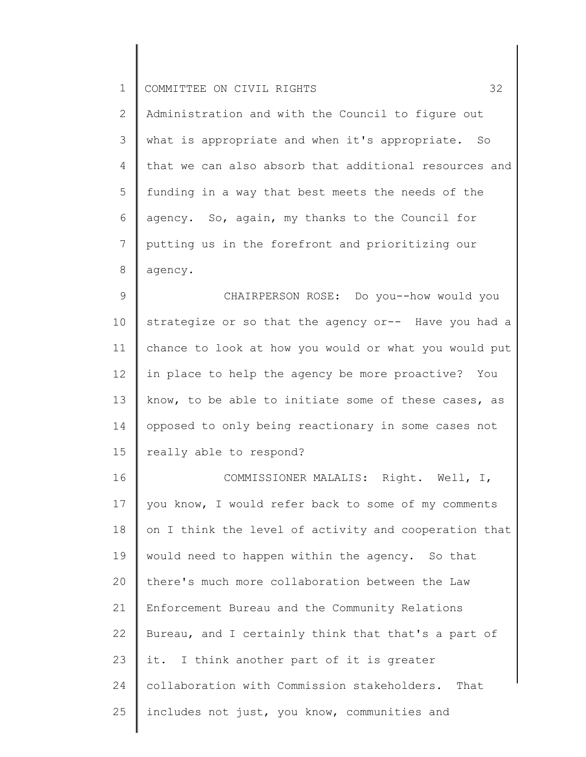2 3 4 5 6 7 8 Administration and with the Council to figure out what is appropriate and when it's appropriate. So that we can also absorb that additional resources and funding in a way that best meets the needs of the agency. So, again, my thanks to the Council for putting us in the forefront and prioritizing our agency.

9 10 11 12 13 14 15 CHAIRPERSON ROSE: Do you--how would you strategize or so that the agency or-- Have you had a chance to look at how you would or what you would put in place to help the agency be more proactive? You know, to be able to initiate some of these cases, as opposed to only being reactionary in some cases not really able to respond?

16 17 18 19 20 21 22 23 24 25 COMMISSIONER MALALIS: Right. Well, I, you know, I would refer back to some of my comments on I think the level of activity and cooperation that would need to happen within the agency. So that there's much more collaboration between the Law Enforcement Bureau and the Community Relations Bureau, and I certainly think that that's a part of it. I think another part of it is greater collaboration with Commission stakeholders. That includes not just, you know, communities and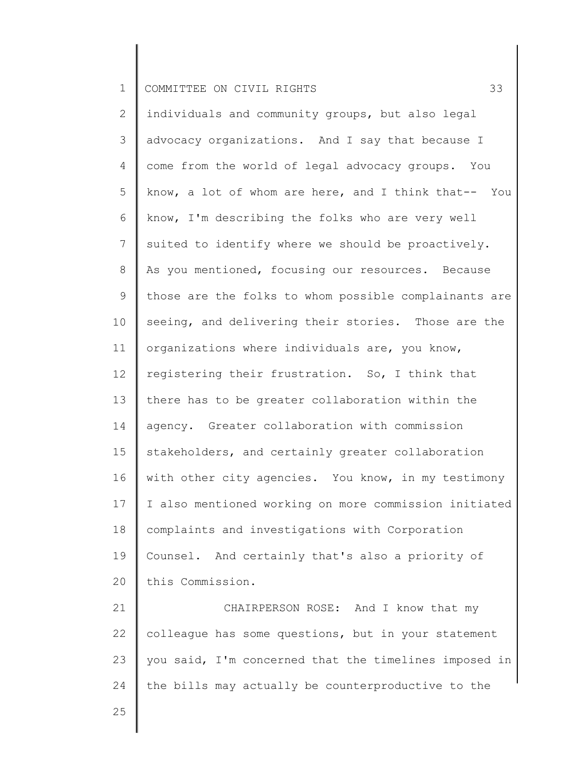2 3 4 5 6 7 8 9 10 11 12 13 14 15 16 17 18 19 20 individuals and community groups, but also legal advocacy organizations. And I say that because I come from the world of legal advocacy groups. You know, a lot of whom are here, and I think that-- You know, I'm describing the folks who are very well suited to identify where we should be proactively. As you mentioned, focusing our resources. Because those are the folks to whom possible complainants are seeing, and delivering their stories. Those are the organizations where individuals are, you know, registering their frustration. So, I think that there has to be greater collaboration within the agency. Greater collaboration with commission stakeholders, and certainly greater collaboration with other city agencies. You know, in my testimony I also mentioned working on more commission initiated complaints and investigations with Corporation Counsel. And certainly that's also a priority of this Commission.

21 22 23 24 CHAIRPERSON ROSE: And I know that my colleague has some questions, but in your statement you said, I'm concerned that the timelines imposed in the bills may actually be counterproductive to the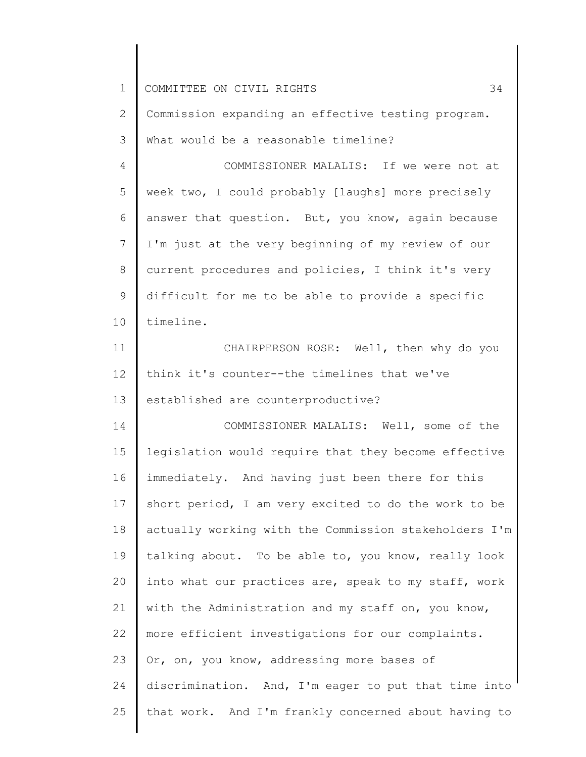| $\mathbf 1$  | 34<br>COMMITTEE ON CIVIL RIGHTS                       |
|--------------|-------------------------------------------------------|
| $\mathbf{2}$ | Commission expanding an effective testing program.    |
| 3            | What would be a reasonable timeline?                  |
| 4            | COMMISSIONER MALALIS: If we were not at               |
| 5            | week two, I could probably [laughs] more precisely    |
| 6            | answer that question. But, you know, again because    |
| 7            | I'm just at the very beginning of my review of our    |
| 8            | current procedures and policies, I think it's very    |
| 9            | difficult for me to be able to provide a specific     |
| 10           | timeline.                                             |
| 11           | CHAIRPERSON ROSE: Well, then why do you               |
| 12           | think it's counter--the timelines that we've          |
| 13           | established are counterproductive?                    |
| 14           | COMMISSIONER MALALIS: Well, some of the               |
| 15           | legislation would require that they become effective  |
| 16           | immediately. And having just been there for this      |
| 17           | short period, I am very excited to do the work to be  |
| 18           | actually working with the Commission stakeholders I'm |
| 19           | talking about. To be able to, you know, really look   |
| 20           | into what our practices are, speak to my staff, work  |
| 21           | with the Administration and my staff on, you know,    |
| 22           | more efficient investigations for our complaints.     |
| 23           | Or, on, you know, addressing more bases of            |
| 24           | discrimination. And, I'm eager to put that time into  |
| 25           | that work. And I'm frankly concerned about having to  |
|              |                                                       |

║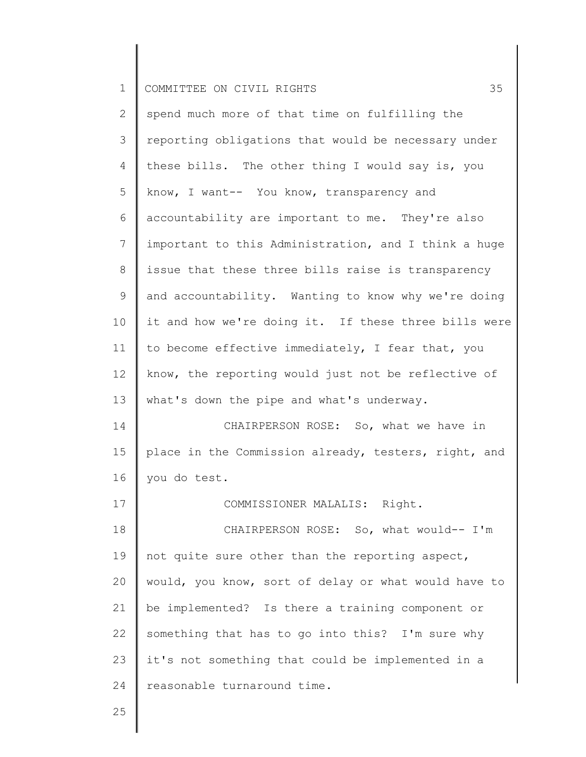| $\mathbf{2}$    | spend much more of that time on fulfilling the       |
|-----------------|------------------------------------------------------|
| 3               | reporting obligations that would be necessary under  |
| 4               | these bills. The other thing I would say is, you     |
| 5               | know, I want-- You know, transparency and            |
| 6               | accountability are important to me. They're also     |
| $7\phantom{.}$  | important to this Administration, and I think a huge |
| $8\,$           | issue that these three bills raise is transparency   |
| 9               | and accountability. Wanting to know why we're doing  |
| 10              | it and how we're doing it. If these three bills were |
| 11              | to become effective immediately, I fear that, you    |
| 12 <sup>°</sup> | know, the reporting would just not be reflective of  |
| 13              | what's down the pipe and what's underway.            |
| 14              | CHAIRPERSON ROSE: So, what we have in                |
| 15              | place in the Commission already, testers, right, and |
| 16              | you do test.                                         |
| 17              | COMMISSIONER MALALIS: Right.                         |
| 18              | CHAIRPERSON ROSE: So, what would-- I'm               |
| 19              | not quite sure other than the reporting aspect,      |
| 20              | would, you know, sort of delay or what would have to |
| 21              | be implemented? Is there a training component or     |
| 22              | something that has to go into this? I'm sure why     |
| 23              | it's not something that could be implemented in a    |
| 24              | reasonable turnaround time.                          |
|                 |                                                      |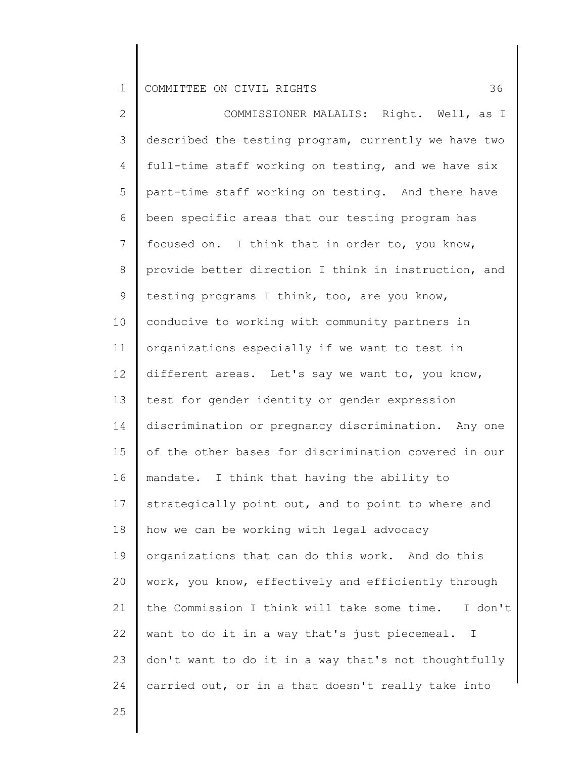2 3 4 5 6 7 8 9 10 11 12 13 14 15 16 17 18 19 20 21 22 23 24 COMMISSIONER MALALIS: Right. Well, as I described the testing program, currently we have two full-time staff working on testing, and we have six part-time staff working on testing. And there have been specific areas that our testing program has focused on. I think that in order to, you know, provide better direction I think in instruction, and testing programs I think, too, are you know, conducive to working with community partners in organizations especially if we want to test in different areas. Let's say we want to, you know, test for gender identity or gender expression discrimination or pregnancy discrimination. Any one of the other bases for discrimination covered in our mandate. I think that having the ability to strategically point out, and to point to where and how we can be working with legal advocacy organizations that can do this work. And do this work, you know, effectively and efficiently through the Commission I think will take some time. I don't want to do it in a way that's just piecemeal. I don't want to do it in a way that's not thoughtfully carried out, or in a that doesn't really take into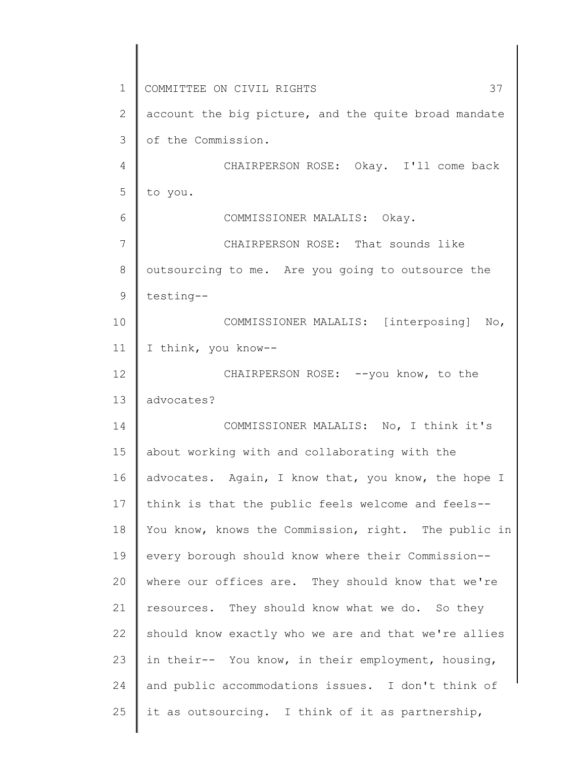1 2 3 4 5 6 7 8 9 10 11 12 13 14 15 16 17 18 19 20 21 22 23 24 25 COMMITTEE ON CIVIL RIGHTS 37 account the big picture, and the quite broad mandate of the Commission. CHAIRPERSON ROSE: Okay. I'll come back to you. COMMISSIONER MALALIS: Okay. CHAIRPERSON ROSE: That sounds like outsourcing to me. Are you going to outsource the testing-- COMMISSIONER MALALIS: [interposing] No, I think, you know-- CHAIRPERSON ROSE: -- you know, to the advocates? COMMISSIONER MALALIS: No, I think it's about working with and collaborating with the advocates. Again, I know that, you know, the hope I think is that the public feels welcome and feels-- You know, knows the Commission, right. The public in every borough should know where their Commission- where our offices are. They should know that we're resources. They should know what we do. So they should know exactly who we are and that we're allies in their-- You know, in their employment, housing, and public accommodations issues. I don't think of it as outsourcing. I think of it as partnership,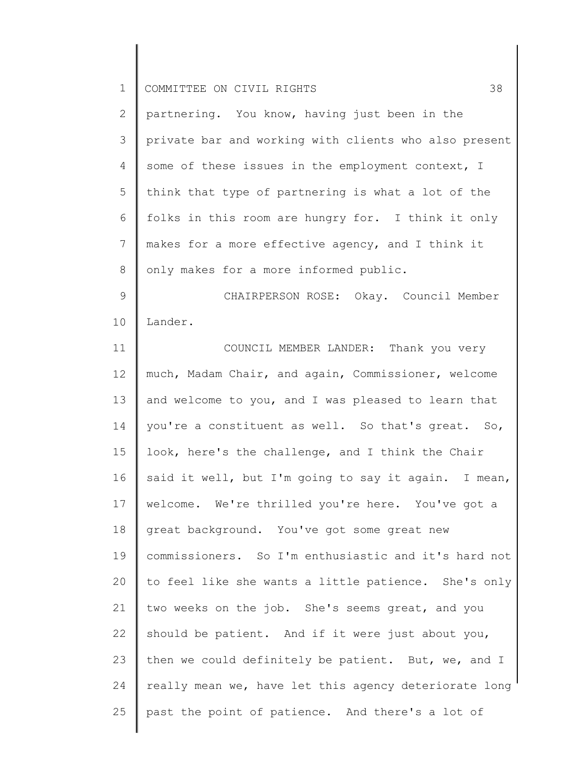| 1    COMMITTEE ON CIVIL RIGHTS |  |
|--------------------------------|--|
|--------------------------------|--|

| $\overline{2}$ | partnering. You know, having just been in the         |
|----------------|-------------------------------------------------------|
| 3              | private bar and working with clients who also present |
| 4              | some of these issues in the employment context, I     |
| 5              | think that type of partnering is what a lot of the    |
| 6              | folks in this room are hungry for. I think it only    |
|                | makes for a more effective agency, and I think it     |
| 8              | only makes for a more informed public.                |

9 10 CHAIRPERSON ROSE: Okay. Council Member Lander.

11 12 13 14 15 16 17 18 19 20 21 22 23 24 25 COUNCIL MEMBER LANDER: Thank you very much, Madam Chair, and again, Commissioner, welcome and welcome to you, and I was pleased to learn that you're a constituent as well. So that's great. So, look, here's the challenge, and I think the Chair said it well, but I'm going to say it again. I mean, welcome. We're thrilled you're here. You've got a great background. You've got some great new commissioners. So I'm enthusiastic and it's hard not to feel like she wants a little patience. She's only two weeks on the job. She's seems great, and you should be patient. And if it were just about you, then we could definitely be patient. But, we, and I really mean we, have let this agency deteriorate long past the point of patience. And there's a lot of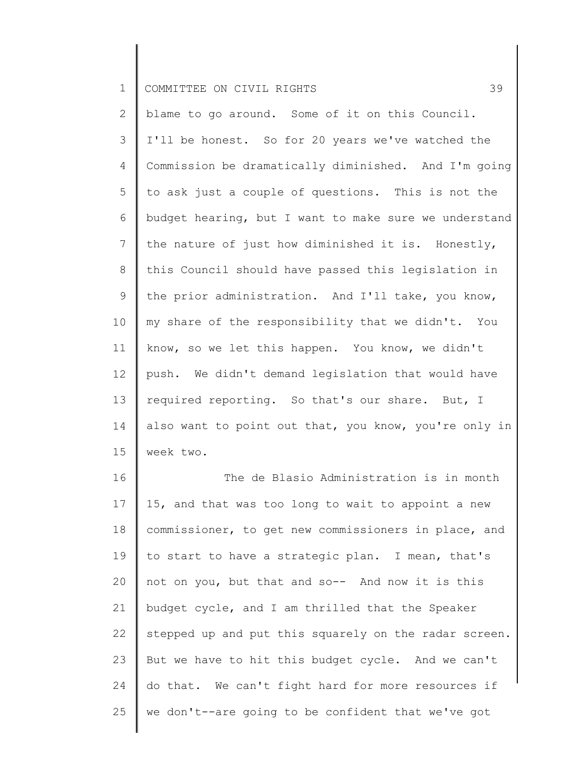2 3 4 5 6 7 8 9 10 11 12 13 14 15 blame to go around. Some of it on this Council. I'll be honest. So for 20 years we've watched the Commission be dramatically diminished. And I'm going to ask just a couple of questions. This is not the budget hearing, but I want to make sure we understand the nature of just how diminished it is. Honestly, this Council should have passed this legislation in the prior administration. And I'll take, you know, my share of the responsibility that we didn't. You know, so we let this happen. You know, we didn't push. We didn't demand legislation that would have required reporting. So that's our share. But, I also want to point out that, you know, you're only in week two.

16 17 18 19 20 21 22 23 24 25 The de Blasio Administration is in month 15, and that was too long to wait to appoint a new commissioner, to get new commissioners in place, and to start to have a strategic plan. I mean, that's not on you, but that and so-- And now it is this budget cycle, and I am thrilled that the Speaker stepped up and put this squarely on the radar screen. But we have to hit this budget cycle. And we can't do that. We can't fight hard for more resources if we don't--are going to be confident that we've got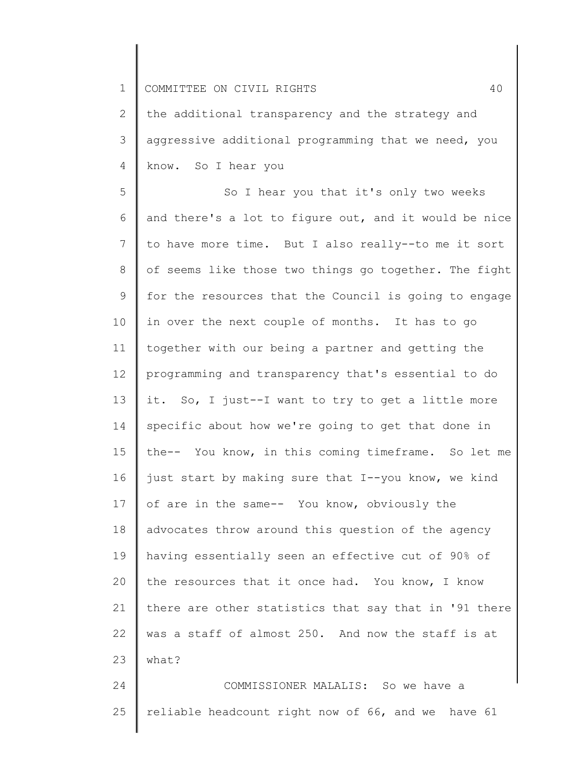2 3 4 the additional transparency and the strategy and aggressive additional programming that we need, you know. So I hear you

5 6 7 8 9 10 11 12 13 14 15 16 17 18 19 20 21 22 23 24 So I hear you that it's only two weeks and there's a lot to figure out, and it would be nice to have more time. But I also really--to me it sort of seems like those two things go together. The fight for the resources that the Council is going to engage in over the next couple of months. It has to go together with our being a partner and getting the programming and transparency that's essential to do it. So, I just--I want to try to get a little more specific about how we're going to get that done in the-- You know, in this coming timeframe. So let me just start by making sure that I--you know, we kind of are in the same-- You know, obviously the advocates throw around this question of the agency having essentially seen an effective cut of 90% of the resources that it once had. You know, I know there are other statistics that say that in '91 there was a staff of almost 250. And now the staff is at what? COMMISSIONER MALALIS: So we have a

25 reliable headcount right now of 66, and we have 61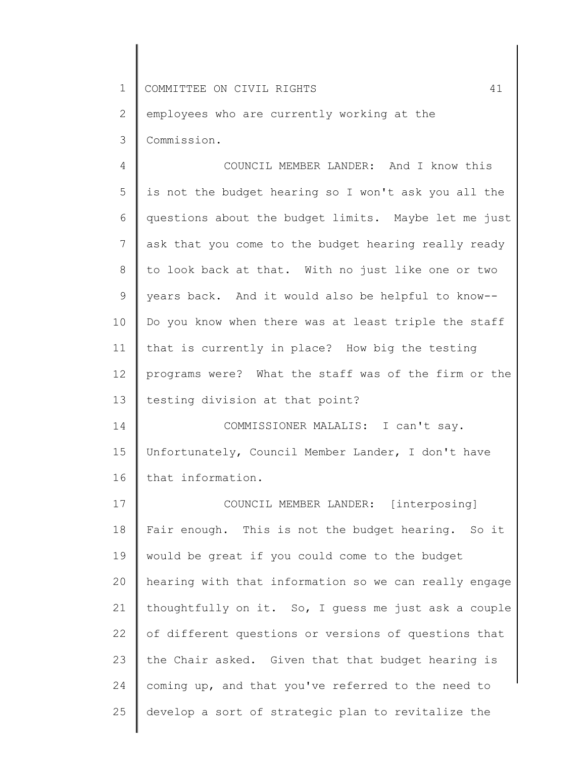2 3 employees who are currently working at the Commission.

4 5 6 7 8 9 10 11 12 13 14 15 COUNCIL MEMBER LANDER: And I know this is not the budget hearing so I won't ask you all the questions about the budget limits. Maybe let me just ask that you come to the budget hearing really ready to look back at that. With no just like one or two years back. And it would also be helpful to know-- Do you know when there was at least triple the staff that is currently in place? How big the testing programs were? What the staff was of the firm or the testing division at that point? COMMISSIONER MALALIS: I can't say. Unfortunately, Council Member Lander, I don't have

16 that information.

17 18 19 20 21 22 23 24 25 COUNCIL MEMBER LANDER: [interposing] Fair enough. This is not the budget hearing. So it would be great if you could come to the budget hearing with that information so we can really engage thoughtfully on it. So, I guess me just ask a couple of different questions or versions of questions that the Chair asked. Given that that budget hearing is coming up, and that you've referred to the need to develop a sort of strategic plan to revitalize the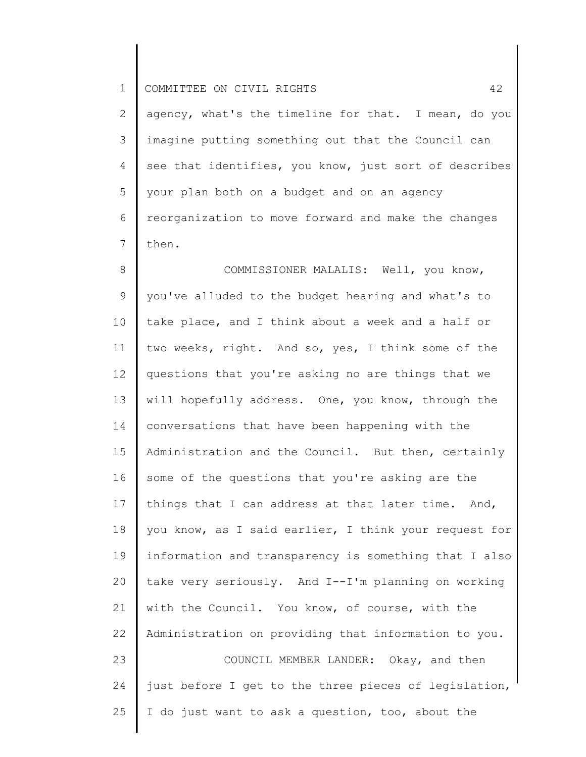2 3 4 5 6 7 agency, what's the timeline for that. I mean, do you imagine putting something out that the Council can see that identifies, you know, just sort of describes your plan both on a budget and on an agency reorganization to move forward and make the changes then.

8 9 10 11 12 13 14 15 16 17 18 19 20 21 22 23 24 25 COMMISSIONER MALALIS: Well, you know, you've alluded to the budget hearing and what's to take place, and I think about a week and a half or two weeks, right. And so, yes, I think some of the questions that you're asking no are things that we will hopefully address. One, you know, through the conversations that have been happening with the Administration and the Council. But then, certainly some of the questions that you're asking are the things that I can address at that later time. And, you know, as I said earlier, I think your request for information and transparency is something that I also take very seriously. And I--I'm planning on working with the Council. You know, of course, with the Administration on providing that information to you. COUNCIL MEMBER LANDER: Okay, and then just before I get to the three pieces of legislation, I do just want to ask a question, too, about the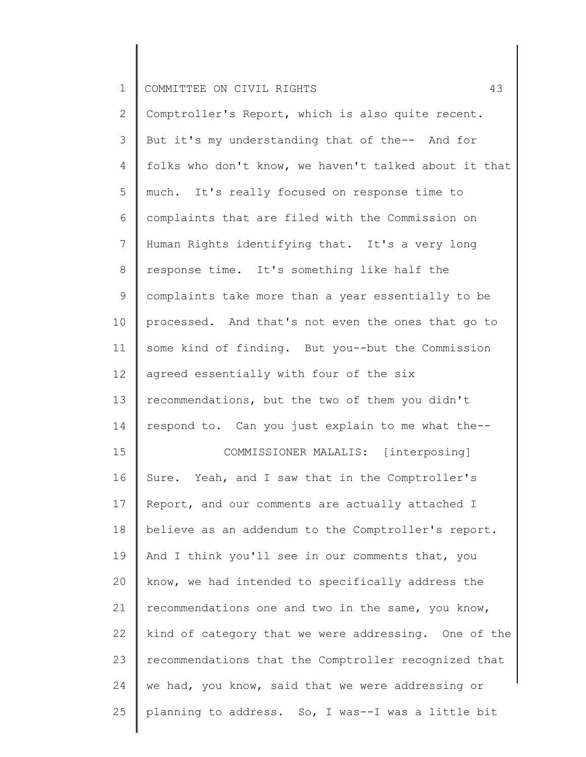2 3 4 5 6 7 8 9 10 11 12 13 14 15 16 17 18 19 20 21 22 23 24 25 Comptroller's Report, which is also quite recent. But it's my understanding that of the-- And for folks who don't know, we haven't talked about it that much. It's really focused on response time to complaints that are filed with the Commission on Human Rights identifying that. It's a very long response time. It's something like half the complaints take more than a year essentially to be processed. And that's not even the ones that go to some kind of finding. But you--but the Commission agreed essentially with four of the six recommendations, but the two of them you didn't respond to. Can you just explain to me what the-- COMMISSIONER MALALIS: [interposing] Sure. Yeah, and I saw that in the Comptroller's Report, and our comments are actually attached I believe as an addendum to the Comptroller's report. And I think you'll see in our comments that, you know, we had intended to specifically address the recommendations one and two in the same, you know, kind of category that we were addressing. One of the recommendations that the Comptroller recognized that we had, you know, said that we were addressing or planning to address. So, I was--I was a little bit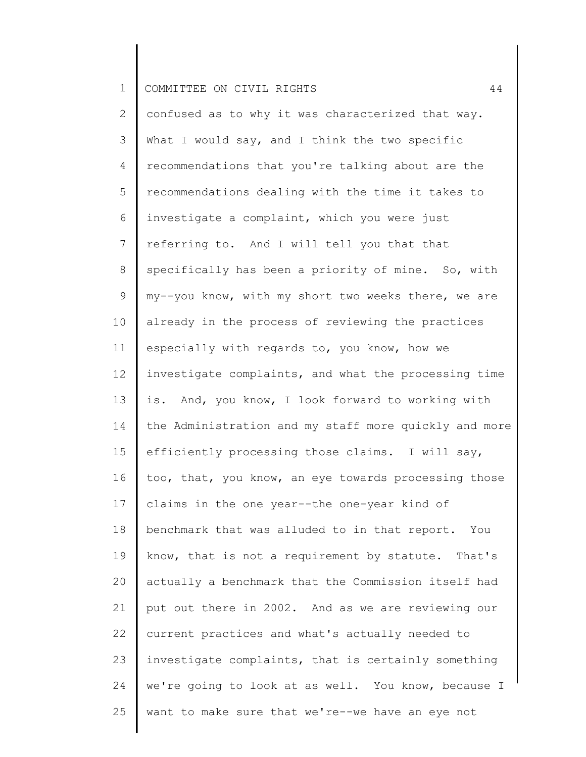2 3 4 5 6 7 8 9 10 11 12 13 14 15 16 17 18 19 20 21 22 23 24 25 confused as to why it was characterized that way. What I would say, and I think the two specific recommendations that you're talking about are the recommendations dealing with the time it takes to investigate a complaint, which you were just referring to. And I will tell you that that specifically has been a priority of mine. So, with my--you know, with my short two weeks there, we are already in the process of reviewing the practices especially with regards to, you know, how we investigate complaints, and what the processing time is. And, you know, I look forward to working with the Administration and my staff more quickly and more efficiently processing those claims. I will say, too, that, you know, an eye towards processing those claims in the one year--the one-year kind of benchmark that was alluded to in that report. You know, that is not a requirement by statute. That's actually a benchmark that the Commission itself had put out there in 2002. And as we are reviewing our current practices and what's actually needed to investigate complaints, that is certainly something we're going to look at as well. You know, because I want to make sure that we're--we have an eye not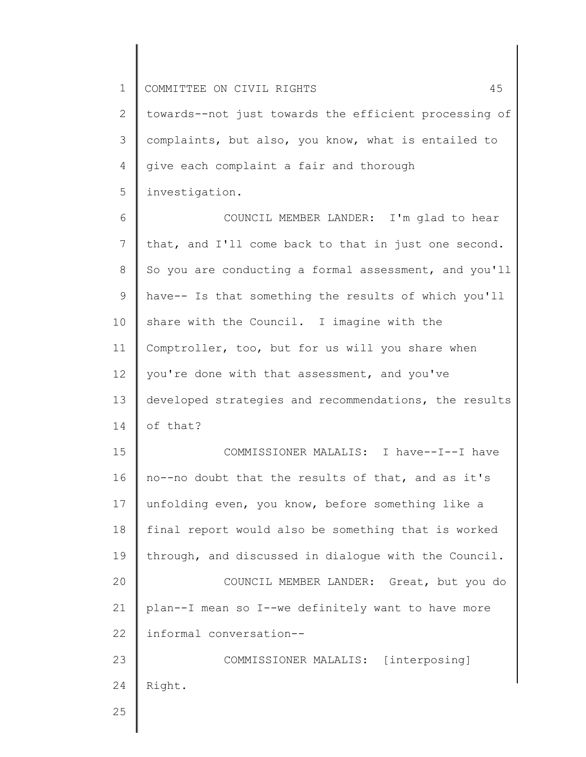2 3 4 5 towards--not just towards the efficient processing of complaints, but also, you know, what is entailed to give each complaint a fair and thorough investigation.

6 7 8 9 10 11 12 13 14 15 16 17 18 19 20 21 22 COUNCIL MEMBER LANDER: I'm glad to hear that, and I'll come back to that in just one second. So you are conducting a formal assessment, and you'll have-- Is that something the results of which you'll share with the Council. I imagine with the Comptroller, too, but for us will you share when you're done with that assessment, and you've developed strategies and recommendations, the results of that? COMMISSIONER MALALIS: I have--I--I have no--no doubt that the results of that, and as it's unfolding even, you know, before something like a final report would also be something that is worked through, and discussed in dialogue with the Council. COUNCIL MEMBER LANDER: Great, but you do plan--I mean so I--we definitely want to have more informal conversation--

23 24 COMMISSIONER MALALIS: [interposing] Right.

25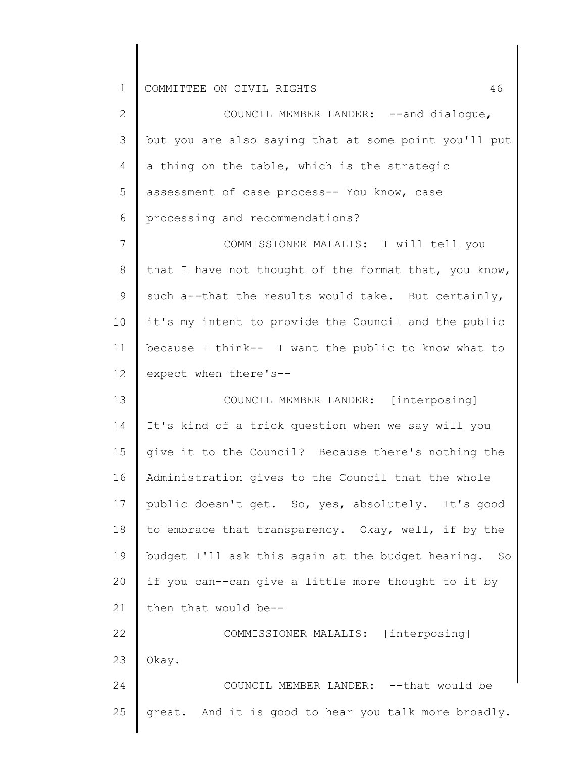| $\overline{2}$ | COUNCIL MEMBER LANDER: -- and dialogue,               |
|----------------|-------------------------------------------------------|
| $\mathcal{S}$  | but you are also saying that at some point you'll put |
| 4              | a thing on the table, which is the strategic          |
| 5              | assessment of case process-- You know, case           |
| 6              | processing and recommendations?                       |
| 7              | COMMISSIONER MALALIS: I will tell you                 |
| 8              | that I have not thought of the format that, you know, |
| 9              | such a--that the results would take. But certainly,   |
| 10             | it's my intent to provide the Council and the public  |
| 11             | because I think-- I want the public to know what to   |
| 12             | expect when there's--                                 |
| 13             | COUNCIL MEMBER LANDER: [interposing]                  |
| 14             | It's kind of a trick question when we say will you    |
| 15             | give it to the Council? Because there's nothing the   |
| 16             | Administration gives to the Council that the whole    |
| 17             | public doesn't get. So, yes, absolutely. It's good    |
| 18             | to embrace that transparency. Okay, well, if by the   |
| 19             | budget I'll ask this again at the budget hearing. So  |
| 20             | if you can--can give a little more thought to it by   |
| 21             | then that would be--                                  |
| 22             | COMMISSIONER MALALIS: [interposing]                   |
| 23             | Okay.                                                 |
| 24             | COUNCIL MEMBER LANDER: -- that would be               |
| 25             | great. And it is good to hear you talk more broadly.  |
|                |                                                       |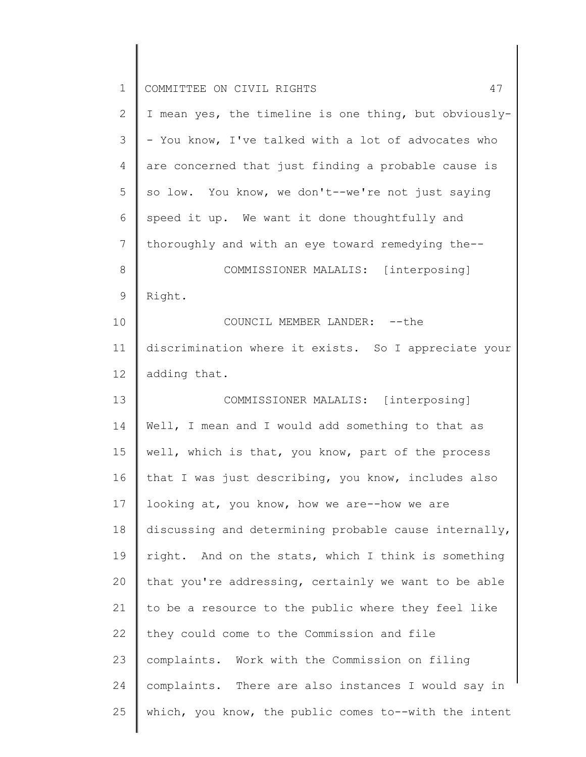| $\mathbf 1$  | 47<br>COMMITTEE ON CIVIL RIGHTS                       |
|--------------|-------------------------------------------------------|
| $\mathbf{2}$ | I mean yes, the timeline is one thing, but obviously- |
| 3            | - You know, I've talked with a lot of advocates who   |
| 4            | are concerned that just finding a probable cause is   |
| 5            | so low. You know, we don't--we're not just saying     |
| 6            | speed it up. We want it done thoughtfully and         |
| 7            | thoroughly and with an eye toward remedying the--     |
| $8\,$        | COMMISSIONER MALALIS: [interposing]                   |
| $\mathsf 9$  | Right.                                                |
| 10           | COUNCIL MEMBER LANDER: -- the                         |
| 11           | discrimination where it exists. So I appreciate your  |
| 12           | adding that.                                          |
| 13           | COMMISSIONER MALALIS: [interposing]                   |
| 14           | Well, I mean and I would add something to that as     |
| 15           | well, which is that, you know, part of the process    |
| 16           | that I was just describing, you know, includes also   |
| 17           | looking at, you know, how we are--how we are          |
| 18           | discussing and determining probable cause internally, |
| 19           | right. And on the stats, which I think is something   |
| 20           | that you're addressing, certainly we want to be able  |
| 21           | to be a resource to the public where they feel like   |
| 22           | they could come to the Commission and file            |
| 23           | complaints. Work with the Commission on filing        |
| 24           | complaints. There are also instances I would say in   |
| 25           | which, you know, the public comes to--with the intent |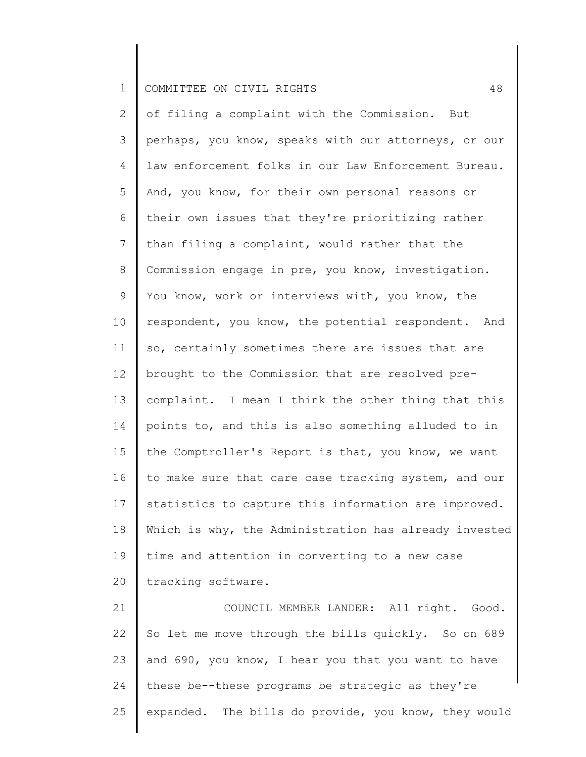2 3 4 5 6 7 8 9 10 11 12 13 14 15 16 17 18 19 20 of filing a complaint with the Commission. But perhaps, you know, speaks with our attorneys, or our law enforcement folks in our Law Enforcement Bureau. And, you know, for their own personal reasons or their own issues that they're prioritizing rather than filing a complaint, would rather that the Commission engage in pre, you know, investigation. You know, work or interviews with, you know, the respondent, you know, the potential respondent. And so, certainly sometimes there are issues that are brought to the Commission that are resolved precomplaint. I mean I think the other thing that this points to, and this is also something alluded to in the Comptroller's Report is that, you know, we want to make sure that care case tracking system, and our statistics to capture this information are improved. Which is why, the Administration has already invested time and attention in converting to a new case tracking software.

21 22 23 24 25 COUNCIL MEMBER LANDER: All right. Good. So let me move through the bills quickly. So on 689 and 690, you know, I hear you that you want to have these be--these programs be strategic as they're expanded. The bills do provide, you know, they would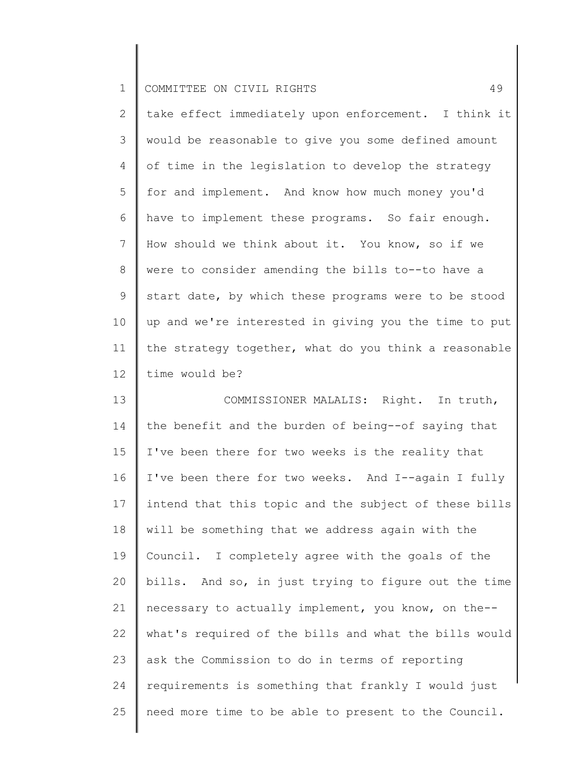2 3 4 5 6 7 8 9 10 11 12 take effect immediately upon enforcement. I think it would be reasonable to give you some defined amount of time in the legislation to develop the strategy for and implement. And know how much money you'd have to implement these programs. So fair enough. How should we think about it. You know, so if we were to consider amending the bills to--to have a start date, by which these programs were to be stood up and we're interested in giving you the time to put the strategy together, what do you think a reasonable time would be?

13 14 15 16 17 18 19 20 21 22 23 24 25 COMMISSIONER MALALIS: Right. In truth, the benefit and the burden of being--of saying that I've been there for two weeks is the reality that I've been there for two weeks. And I--again I fully intend that this topic and the subject of these bills will be something that we address again with the Council. I completely agree with the goals of the bills. And so, in just trying to figure out the time necessary to actually implement, you know, on the- what's required of the bills and what the bills would ask the Commission to do in terms of reporting requirements is something that frankly I would just need more time to be able to present to the Council.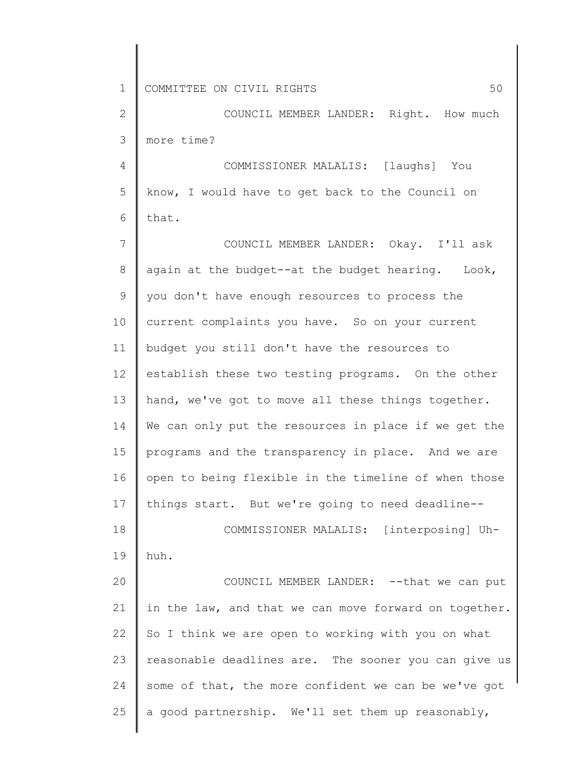1 2 3 4 5 6 7 8 9 10 11 12 13 14 15 16 17 18 19 20 21 22 23 24 25 COMMITTEE ON CIVIL RIGHTS 50 COUNCIL MEMBER LANDER: Right. How much more time? COMMISSIONER MALALIS: [laughs] You know, I would have to get back to the Council on that. COUNCIL MEMBER LANDER: Okay. I'll ask again at the budget--at the budget hearing. Look, you don't have enough resources to process the current complaints you have. So on your current budget you still don't have the resources to establish these two testing programs. On the other hand, we've got to move all these things together. We can only put the resources in place if we get the programs and the transparency in place. And we are open to being flexible in the timeline of when those things start. But we're going to need deadline-- COMMISSIONER MALALIS: [interposing] Uhhuh. COUNCIL MEMBER LANDER: --that we can put in the law, and that we can move forward on together. So I think we are open to working with you on what reasonable deadlines are. The sooner you can give us some of that, the more confident we can be we've got a good partnership. We'll set them up reasonably,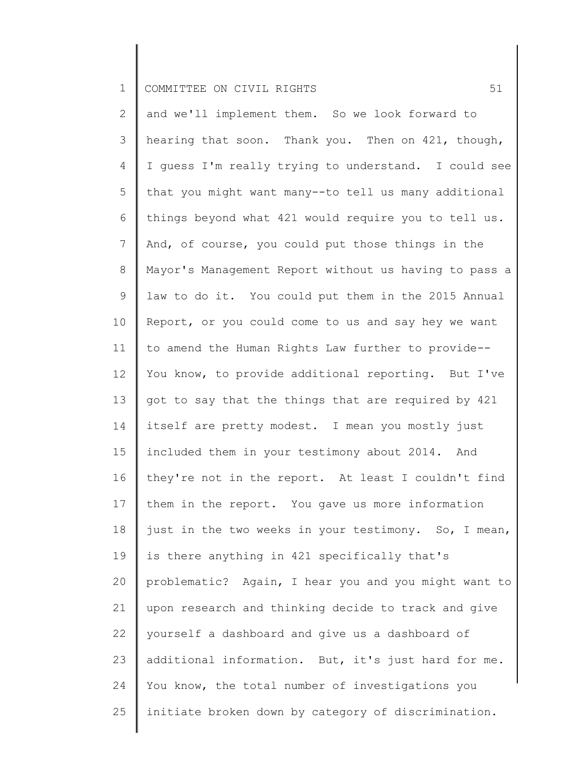2 3 4 5 6 7 8 9 10 11 12 13 14 15 16 17 18 19 20 21 22 23 24 25 and we'll implement them. So we look forward to hearing that soon. Thank you. Then on 421, though, I guess I'm really trying to understand. I could see that you might want many--to tell us many additional things beyond what 421 would require you to tell us. And, of course, you could put those things in the Mayor's Management Report without us having to pass a law to do it. You could put them in the 2015 Annual Report, or you could come to us and say hey we want to amend the Human Rights Law further to provide-- You know, to provide additional reporting. But I've got to say that the things that are required by 421 itself are pretty modest. I mean you mostly just included them in your testimony about 2014. And they're not in the report. At least I couldn't find them in the report. You gave us more information just in the two weeks in your testimony. So, I mean, is there anything in 421 specifically that's problematic? Again, I hear you and you might want to upon research and thinking decide to track and give yourself a dashboard and give us a dashboard of additional information. But, it's just hard for me. You know, the total number of investigations you initiate broken down by category of discrimination.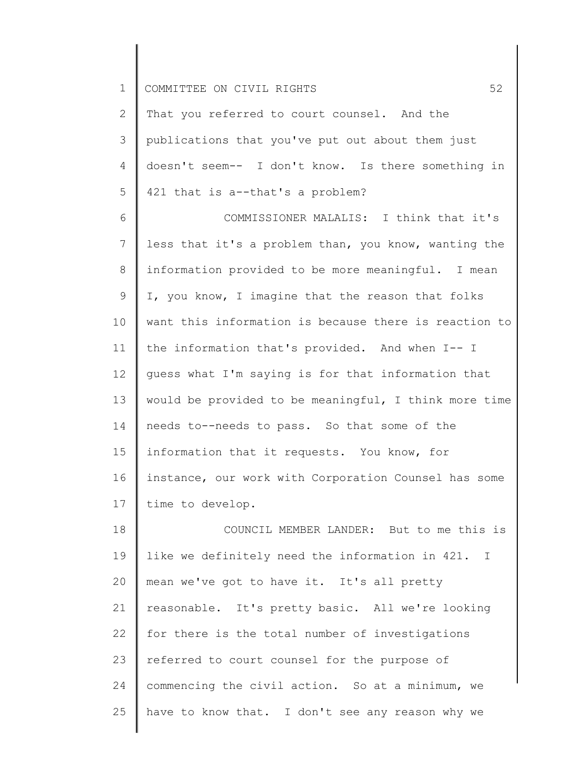2 3 4 5 That you referred to court counsel. And the publications that you've put out about them just doesn't seem-- I don't know. Is there something in 421 that is a--that's a problem?

6 7 8 9 10 11 12 13 14 15 16 17 COMMISSIONER MALALIS: I think that it's less that it's a problem than, you know, wanting the information provided to be more meaningful. I mean I, you know, I imagine that the reason that folks want this information is because there is reaction to the information that's provided. And when I-- I guess what I'm saying is for that information that would be provided to be meaningful, I think more time needs to--needs to pass. So that some of the information that it requests. You know, for instance, our work with Corporation Counsel has some time to develop.

18 19 20 21 22 23 24 25 COUNCIL MEMBER LANDER: But to me this is like we definitely need the information in 421. I mean we've got to have it. It's all pretty reasonable. It's pretty basic. All we're looking for there is the total number of investigations referred to court counsel for the purpose of commencing the civil action. So at a minimum, we have to know that. I don't see any reason why we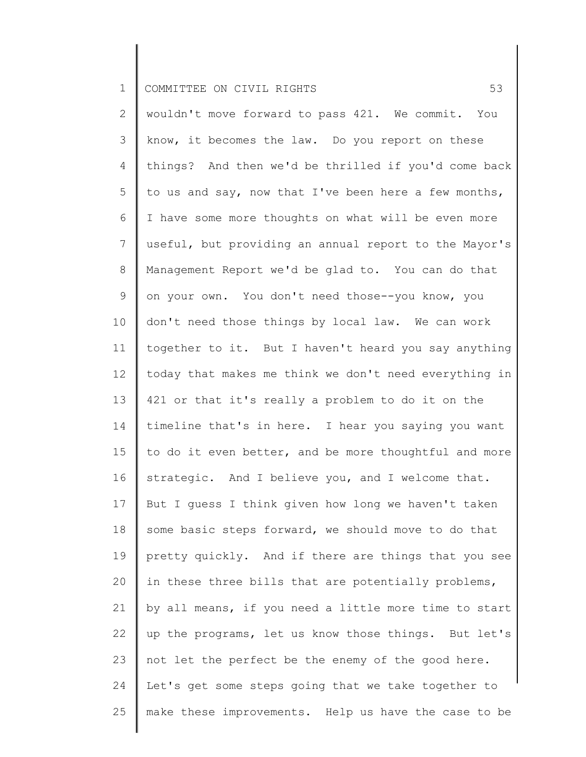2 3 4 5 6 7 8 9 10 11 12 13 14 15 16 17 18 19 20 21 22 23 24 25 wouldn't move forward to pass 421. We commit. You know, it becomes the law. Do you report on these things? And then we'd be thrilled if you'd come back to us and say, now that I've been here a few months, I have some more thoughts on what will be even more useful, but providing an annual report to the Mayor's Management Report we'd be glad to. You can do that on your own. You don't need those--you know, you don't need those things by local law. We can work together to it. But I haven't heard you say anything today that makes me think we don't need everything in 421 or that it's really a problem to do it on the timeline that's in here. I hear you saying you want to do it even better, and be more thoughtful and more strategic. And I believe you, and I welcome that. But I guess I think given how long we haven't taken some basic steps forward, we should move to do that pretty quickly. And if there are things that you see in these three bills that are potentially problems, by all means, if you need a little more time to start up the programs, let us know those things. But let's not let the perfect be the enemy of the good here. Let's get some steps going that we take together to make these improvements. Help us have the case to be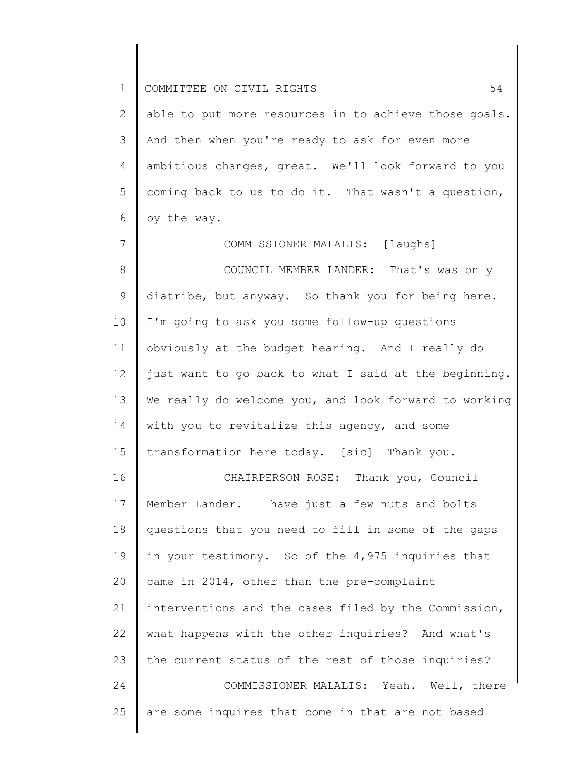1 2 3 4 5 6 7 8 9 10 11 12 13 14 15 16 17 18 19 20 21 22 23 24 25 COMMITTEE ON CIVIL RIGHTS 54 able to put more resources in to achieve those goals. And then when you're ready to ask for even more ambitious changes, great. We'll look forward to you coming back to us to do it. That wasn't a question, by the way. COMMISSIONER MALALIS: [laughs] COUNCIL MEMBER LANDER: That's was only diatribe, but anyway. So thank you for being here. I'm going to ask you some follow-up questions obviously at the budget hearing. And I really do just want to go back to what I said at the beginning. We really do welcome you, and look forward to working with you to revitalize this agency, and some transformation here today. [sic] Thank you. CHAIRPERSON ROSE: Thank you, Council Member Lander. I have just a few nuts and bolts questions that you need to fill in some of the gaps in your testimony. So of the 4,975 inquiries that came in 2014, other than the pre-complaint interventions and the cases filed by the Commission, what happens with the other inquiries? And what's the current status of the rest of those inquiries? COMMISSIONER MALALIS: Yeah. Well, there are some inquires that come in that are not based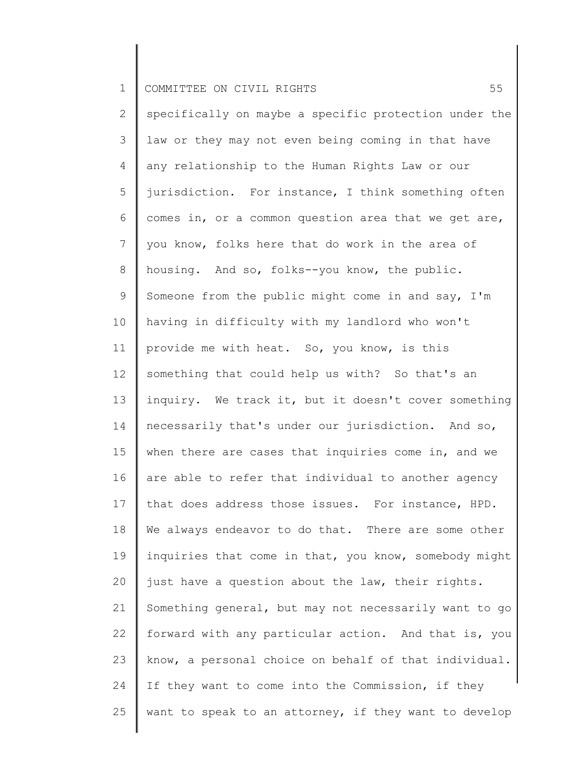2 3 4 5 6 7 8 9 10 11 12 13 14 15 16 17 18 19 20 21 22 23 24 25 specifically on maybe a specific protection under the law or they may not even being coming in that have any relationship to the Human Rights Law or our jurisdiction. For instance, I think something often comes in, or a common question area that we get are, you know, folks here that do work in the area of housing. And so, folks--you know, the public. Someone from the public might come in and say, I'm having in difficulty with my landlord who won't provide me with heat. So, you know, is this something that could help us with? So that's an inquiry. We track it, but it doesn't cover something necessarily that's under our jurisdiction. And so, when there are cases that inquiries come in, and we are able to refer that individual to another agency that does address those issues. For instance, HPD. We always endeavor to do that. There are some other inquiries that come in that, you know, somebody might just have a question about the law, their rights. Something general, but may not necessarily want to go forward with any particular action. And that is, you know, a personal choice on behalf of that individual. If they want to come into the Commission, if they want to speak to an attorney, if they want to develop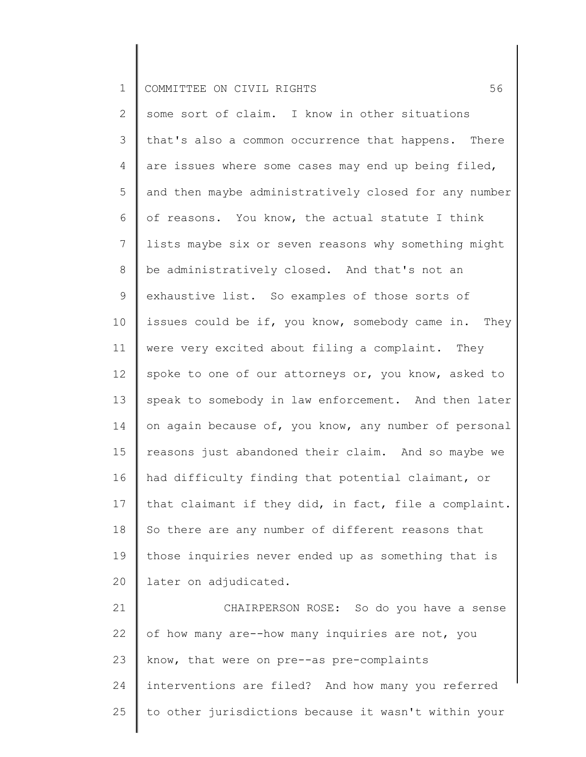2 3 4 5 6 7 8 9 10 11 12 13 14 15 16 17 18 19 20 some sort of claim. I know in other situations that's also a common occurrence that happens. There are issues where some cases may end up being filed, and then maybe administratively closed for any number of reasons. You know, the actual statute I think lists maybe six or seven reasons why something might be administratively closed. And that's not an exhaustive list. So examples of those sorts of issues could be if, you know, somebody came in. They were very excited about filing a complaint. They spoke to one of our attorneys or, you know, asked to speak to somebody in law enforcement. And then later on again because of, you know, any number of personal reasons just abandoned their claim. And so maybe we had difficulty finding that potential claimant, or that claimant if they did, in fact, file a complaint. So there are any number of different reasons that those inquiries never ended up as something that is later on adjudicated.

21 22 23 24 25 CHAIRPERSON ROSE: So do you have a sense of how many are--how many inquiries are not, you know, that were on pre--as pre-complaints interventions are filed? And how many you referred to other jurisdictions because it wasn't within your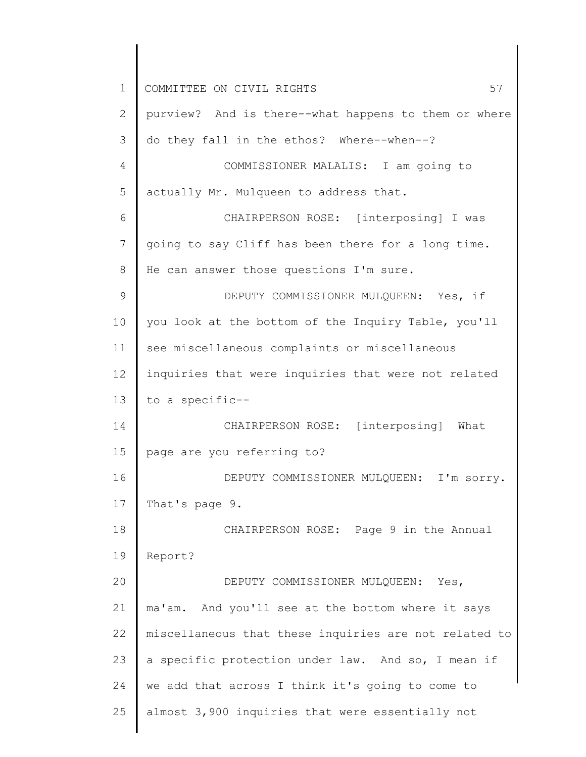1 2 3 4 5 6 7 8 9 10 11 12 13 14 15 16 17 18 19 20 21 22 23 24 25 COMMITTEE ON CIVIL RIGHTS 57 purview? And is there--what happens to them or where do they fall in the ethos? Where--when--? COMMISSIONER MALALIS: I am going to actually Mr. Mulqueen to address that. CHAIRPERSON ROSE: [interposing] I was going to say Cliff has been there for a long time. He can answer those questions I'm sure. DEPUTY COMMISSIONER MULQUEEN: Yes, if you look at the bottom of the Inquiry Table, you'll see miscellaneous complaints or miscellaneous inquiries that were inquiries that were not related to a specific-- CHAIRPERSON ROSE: [interposing] What page are you referring to? DEPUTY COMMISSIONER MULQUEEN: I'm sorry. That's page 9. CHAIRPERSON ROSE: Page 9 in the Annual Report? DEPUTY COMMISSIONER MULQUEEN: Yes, ma'am. And you'll see at the bottom where it says miscellaneous that these inquiries are not related to a specific protection under law. And so, I mean if we add that across I think it's going to come to almost 3,900 inquiries that were essentially not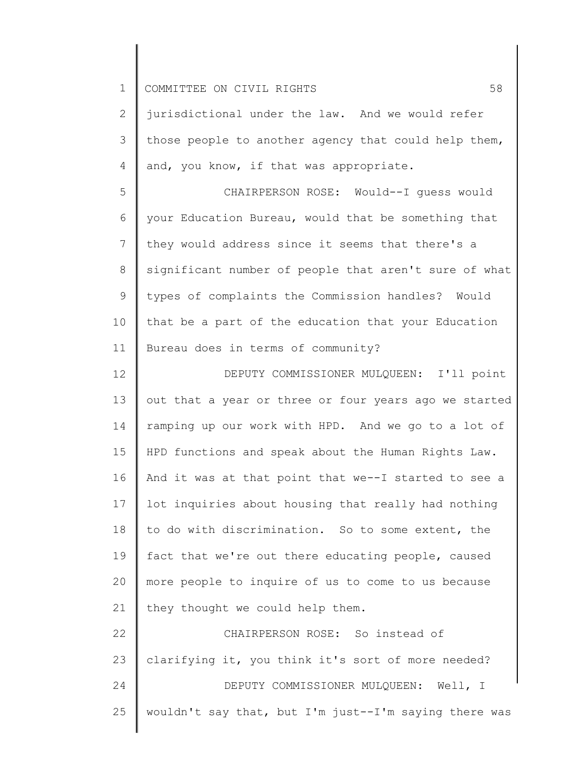2 3 4 jurisdictional under the law. And we would refer those people to another agency that could help them, and, you know, if that was appropriate.

5 6 7 8 9 10 11 CHAIRPERSON ROSE: Would--I guess would your Education Bureau, would that be something that they would address since it seems that there's a significant number of people that aren't sure of what types of complaints the Commission handles? Would that be a part of the education that your Education Bureau does in terms of community?

12 13 14 15 16 17 18 19 20 21 DEPUTY COMMISSIONER MULQUEEN: I'll point out that a year or three or four years ago we started ramping up our work with HPD. And we go to a lot of HPD functions and speak about the Human Rights Law. And it was at that point that we--I started to see a lot inquiries about housing that really had nothing to do with discrimination. So to some extent, the fact that we're out there educating people, caused more people to inquire of us to come to us because they thought we could help them.

22 23 24 25 CHAIRPERSON ROSE: So instead of clarifying it, you think it's sort of more needed? DEPUTY COMMISSIONER MULQUEEN: Well, I wouldn't say that, but I'm just--I'm saying there was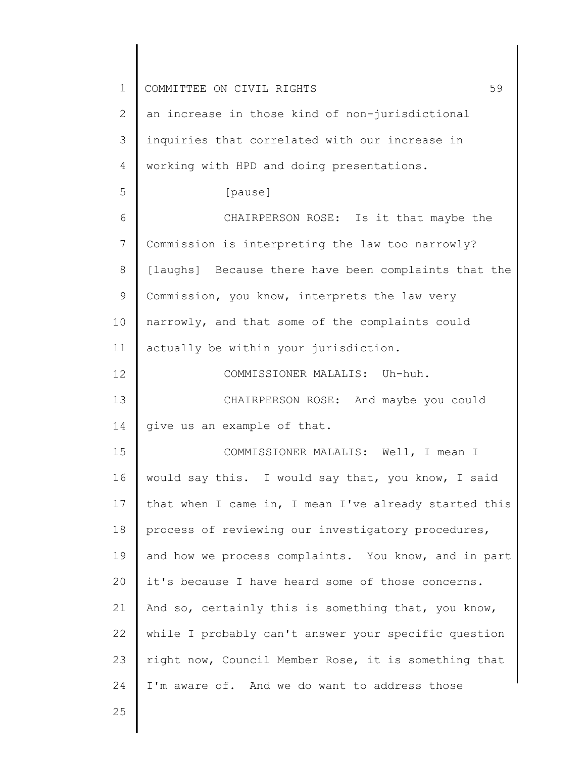1 2 3 4 5 6 7 8 9 10 11 12 13 14 15 16 17 18 19 20 21 22 23 24 25 COMMITTEE ON CIVIL RIGHTS 59 an increase in those kind of non-jurisdictional inquiries that correlated with our increase in working with HPD and doing presentations. [pause] CHAIRPERSON ROSE: Is it that maybe the Commission is interpreting the law too narrowly? [laughs] Because there have been complaints that the Commission, you know, interprets the law very narrowly, and that some of the complaints could actually be within your jurisdiction. COMMISSIONER MALALIS: Uh-huh. CHAIRPERSON ROSE: And maybe you could give us an example of that. COMMISSIONER MALALIS: Well, I mean I would say this. I would say that, you know, I said that when I came in, I mean I've already started this process of reviewing our investigatory procedures, and how we process complaints. You know, and in part it's because I have heard some of those concerns. And so, certainly this is something that, you know, while I probably can't answer your specific question right now, Council Member Rose, it is something that I'm aware of. And we do want to address those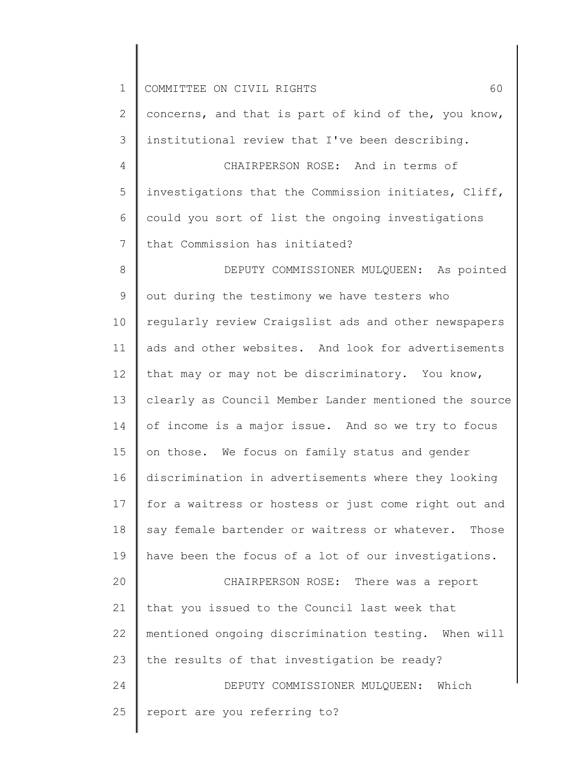| $\mathbf 1$     | 60<br>COMMITTEE ON CIVIL RIGHTS                       |
|-----------------|-------------------------------------------------------|
| 2               | concerns, and that is part of kind of the, you know,  |
| 3               | institutional review that I've been describing.       |
| 4               | CHAIRPERSON ROSE: And in terms of                     |
| 5               | investigations that the Commission initiates, Cliff,  |
| 6               | could you sort of list the ongoing investigations     |
| $7\phantom{.0}$ | that Commission has initiated?                        |
| 8               | DEPUTY COMMISSIONER MULQUEEN: As pointed              |
| 9               | out during the testimony we have testers who          |
| 10              | regularly review Craigslist ads and other newspapers  |
| 11              | ads and other websites. And look for advertisements   |
| 12              | that may or may not be discriminatory. You know,      |
| 13              | clearly as Council Member Lander mentioned the source |
| 14              | of income is a major issue. And so we try to focus    |
| 15              | on those. We focus on family status and gender        |
| 16              | discrimination in advertisements where they looking   |
| 17              | for a waitress or hostess or just come right out and  |
| 18              | say female bartender or waitress or whatever. Those   |
| 19              | have been the focus of a lot of our investigations.   |
| 20              | CHAIRPERSON ROSE: There was a report                  |
| 21              | that you issued to the Council last week that         |
| 22              | mentioned ongoing discrimination testing. When will   |
| 23              | the results of that investigation be ready?           |
| 24              | DEPUTY COMMISSIONER MULQUEEN: Which                   |
| 25              | report are you referring to?                          |
|                 |                                                       |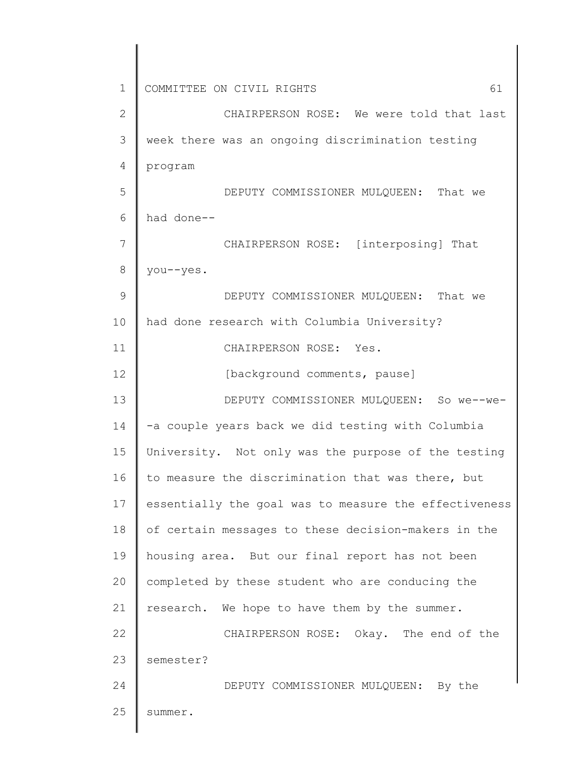1 2 3 4 5 6 7 8 9 10 11 12 13 14 15 16 17 18 19 20 21 22 23 24 25 COMMITTEE ON CIVIL RIGHTS 61 CHAIRPERSON ROSE: We were told that last week there was an ongoing discrimination testing program DEPUTY COMMISSIONER MULQUEEN: That we had done-- CHAIRPERSON ROSE: [interposing] That you--yes. DEPUTY COMMISSIONER MULQUEEN: That we had done research with Columbia University? CHAIRPERSON ROSE: Yes. [background comments, pause] DEPUTY COMMISSIONER MULQUEEN: So we--we- -a couple years back we did testing with Columbia University. Not only was the purpose of the testing to measure the discrimination that was there, but essentially the goal was to measure the effectiveness of certain messages to these decision-makers in the housing area. But our final report has not been completed by these student who are conducing the research. We hope to have them by the summer. CHAIRPERSON ROSE: Okay. The end of the semester? DEPUTY COMMISSIONER MULQUEEN: By the summer.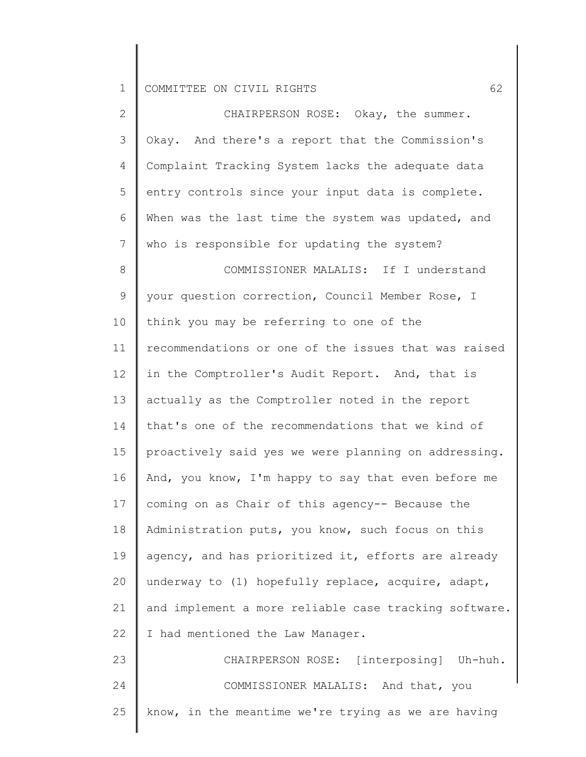| $\overline{2}$ | CHAIRPERSON ROSE: Okay, the summer.                   |
|----------------|-------------------------------------------------------|
| 3              | Okay. And there's a report that the Commission's      |
| 4              | Complaint Tracking System lacks the adequate data     |
| 5              | entry controls since your input data is complete.     |
| 6              | When was the last time the system was updated, and    |
| 7              | who is responsible for updating the system?           |
| $8\,$          | COMMISSIONER MALALIS: If I understand                 |
| $\mathsf 9$    | your question correction, Council Member Rose, I      |
| 10             | think you may be referring to one of the              |
| 11             | recommendations or one of the issues that was raised  |
| 12             | in the Comptroller's Audit Report. And, that is       |
| 13             | actually as the Comptroller noted in the report       |
| 14             | that's one of the recommendations that we kind of     |
| 15             | proactively said yes we were planning on addressing.  |
| 16             | And, you know, I'm happy to say that even before me   |
| 17             | coming on as Chair of this agency-- Because the       |
| 18             | Administration puts, you know, such focus on this     |
| 19             | agency, and has prioritized it, efforts are already   |
| 20             | underway to (1) hopefully replace, acquire, adapt,    |
| 21             | and implement a more reliable case tracking software. |
| 22             | I had mentioned the Law Manager.                      |
| 23             | CHAIRPERSON ROSE: [interposing] Uh-huh.               |
| 24             | COMMISSIONER MALALIS: And that, you                   |
| 25             | know, in the meantime we're trying as we are having   |
|                |                                                       |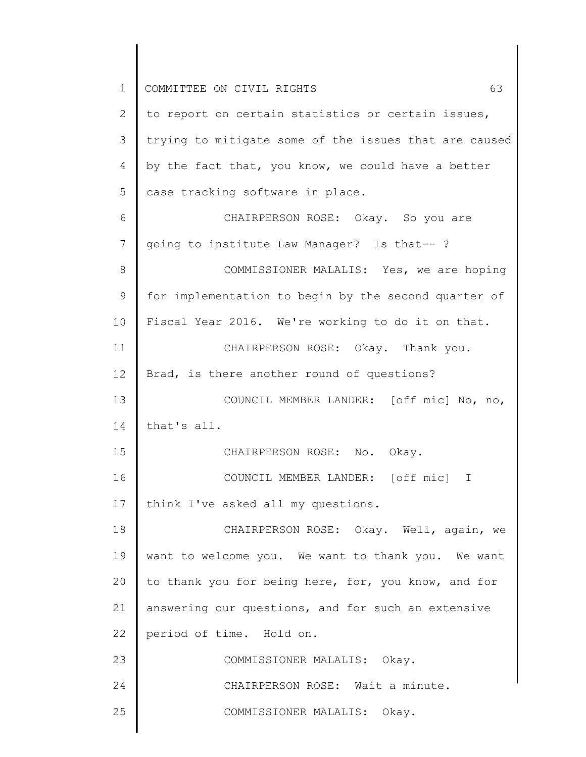| $\mathbf 1$ | 63<br>COMMITTEE ON CIVIL RIGHTS                       |
|-------------|-------------------------------------------------------|
| 2           | to report on certain statistics or certain issues,    |
| 3           | trying to mitigate some of the issues that are caused |
| 4           | by the fact that, you know, we could have a better    |
| 5           | case tracking software in place.                      |
| 6           | CHAIRPERSON ROSE: Okay. So you are                    |
| 7           | going to institute Law Manager? Is that--?            |
| 8           | COMMISSIONER MALALIS: Yes, we are hoping              |
| 9           | for implementation to begin by the second quarter of  |
| 10          | Fiscal Year 2016. We're working to do it on that.     |
| 11          | CHAIRPERSON ROSE: Okay. Thank you.                    |
| 12          | Brad, is there another round of questions?            |
| 13          | COUNCIL MEMBER LANDER: [off mic] No, no,              |
| 14          | that's all.                                           |
| 15          | CHAIRPERSON ROSE: No. Okay.                           |
| 16          | COUNCIL MEMBER LANDER: [off mic] I                    |
| 17          | think I've asked all my questions.                    |
| 18          | CHAIRPERSON ROSE: Okay. Well, again, we               |
| 19          | want to welcome you. We want to thank you. We want    |
| 20          | to thank you for being here, for, you know, and for   |
| 21          | answering our questions, and for such an extensive    |
| 22          | period of time. Hold on.                              |
| 23          | COMMISSIONER MALALIS: Okay.                           |
| 24          | CHAIRPERSON ROSE: Wait a minute.                      |
| 25          | COMMISSIONER MALALIS: Okay.                           |
|             |                                                       |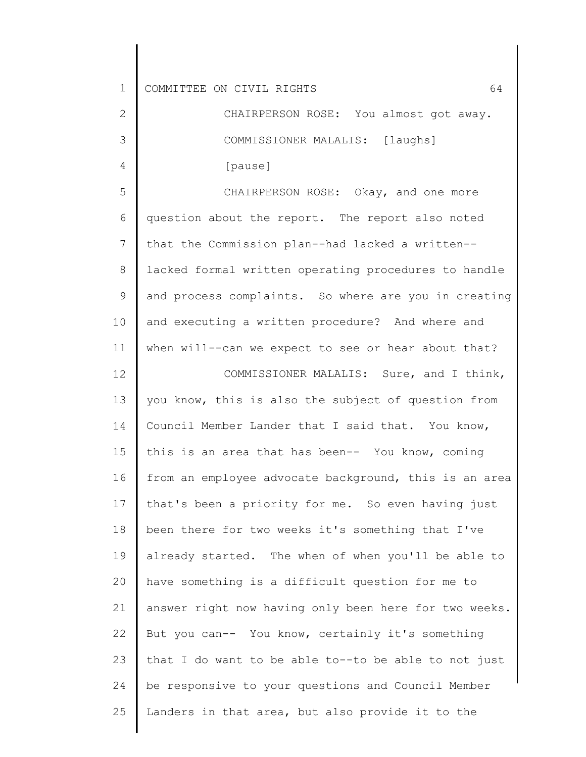| $\mathbf 1$  | 64<br>COMMITTEE ON CIVIL RIGHTS                       |
|--------------|-------------------------------------------------------|
| $\mathbf{2}$ | CHAIRPERSON ROSE: You almost got away.                |
| 3            | COMMISSIONER MALALIS: [laughs]                        |
| 4            | [pause]                                               |
| 5            | CHAIRPERSON ROSE: Okay, and one more                  |
| 6            | question about the report. The report also noted      |
| 7            | that the Commission plan--had lacked a written--      |
| 8            | lacked formal written operating procedures to handle  |
| 9            | and process complaints. So where are you in creating  |
| 10           | and executing a written procedure? And where and      |
| 11           | when will--can we expect to see or hear about that?   |
| 12           | COMMISSIONER MALALIS: Sure, and I think,              |
| 13           | you know, this is also the subject of question from   |
| 14           | Council Member Lander that I said that. You know,     |
| 15           | this is an area that has been-- You know, coming      |
| 16           | from an employee advocate background, this is an area |
| 17           | that's been a priority for me. So even having just    |
| 18           | been there for two weeks it's something that I've     |
| 19           | already started. The when of when you'll be able to   |
| 20           | have something is a difficult question for me to      |
| 21           | answer right now having only been here for two weeks. |
| 22           | But you can-- You know, certainly it's something      |
| 23           | that I do want to be able to--to be able to not just  |
| 24           | be responsive to your questions and Council Member    |
| 25           | Landers in that area, but also provide it to the      |

 $\mathsf{l}$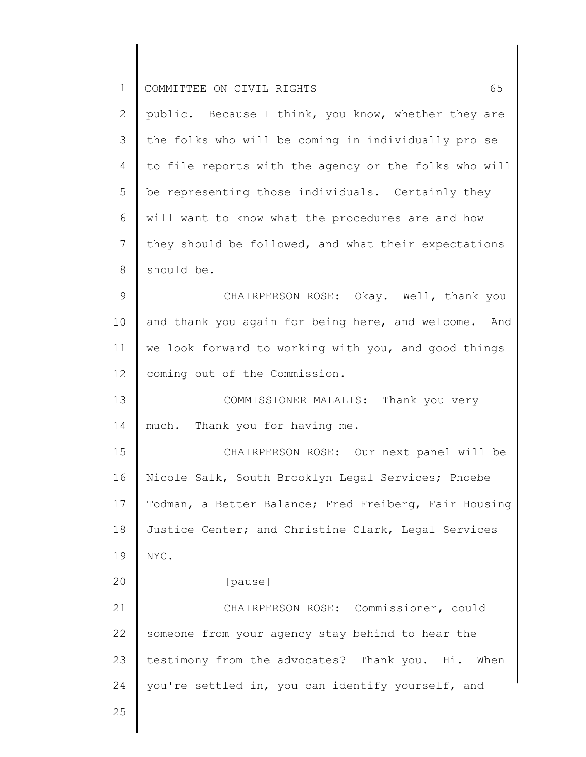| $\mathbf 1$   | 65<br>COMMITTEE ON CIVIL RIGHTS                       |
|---------------|-------------------------------------------------------|
| 2             | public. Because I think, you know, whether they are   |
| 3             | the folks who will be coming in individually pro se   |
| 4             | to file reports with the agency or the folks who will |
| 5             | be representing those individuals. Certainly they     |
| 6             | will want to know what the procedures are and how     |
| 7             | they should be followed, and what their expectations  |
| 8             | should be.                                            |
| $\mathcal{G}$ | CHAIRPERSON ROSE: Okay. Well, thank you               |
| 10            | and thank you again for being here, and welcome. And  |
| 11            | we look forward to working with you, and good things  |
| 12            | coming out of the Commission.                         |
| 13            | COMMISSIONER MALALIS: Thank you very                  |
| 14            | much. Thank you for having me.                        |
| 15            | CHAIRPERSON ROSE: Our next panel will be              |
| 16            | Nicole Salk, South Brooklyn Legal Services; Phoebe    |
| 17            | Todman, a Better Balance; Fred Freiberg, Fair Housing |
| 18            | Justice Center; and Christine Clark, Legal Services   |
| 19            | NYC.                                                  |
| 20            | [pause]                                               |
| 21            | CHAIRPERSON ROSE: Commissioner, could                 |
| 22            | someone from your agency stay behind to hear the      |
| 23            | testimony from the advocates? Thank you. Hi. When     |
| 24            | you're settled in, you can identify yourself, and     |
| 25            |                                                       |
|               |                                                       |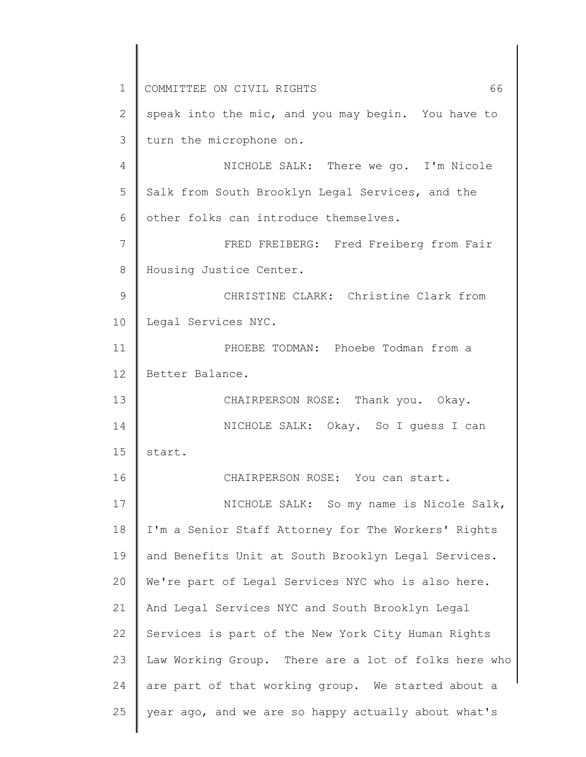1 2 3 4 5 6 7 8 9 10 11 12 13 14 15 16 17 18 19 20 21 22 23 24 25 COMMITTEE ON CIVIL RIGHTS 66 speak into the mic, and you may begin. You have to turn the microphone on. NICHOLE SALK: There we go. I'm Nicole Salk from South Brooklyn Legal Services, and the other folks can introduce themselves. FRED FREIBERG: Fred Freiberg from Fair Housing Justice Center. CHRISTINE CLARK: Christine Clark from Legal Services NYC. PHOEBE TODMAN: Phoebe Todman from a Better Balance. CHAIRPERSON ROSE: Thank you. Okay. NICHOLE SALK: Okay. So I guess I can start. CHAIRPERSON ROSE: You can start. NICHOLE SALK: So my name is Nicole Salk, I'm a Senior Staff Attorney for The Workers' Rights and Benefits Unit at South Brooklyn Legal Services. We're part of Legal Services NYC who is also here. And Legal Services NYC and South Brooklyn Legal Services is part of the New York City Human Rights Law Working Group. There are a lot of folks here who are part of that working group. We started about a year ago, and we are so happy actually about what's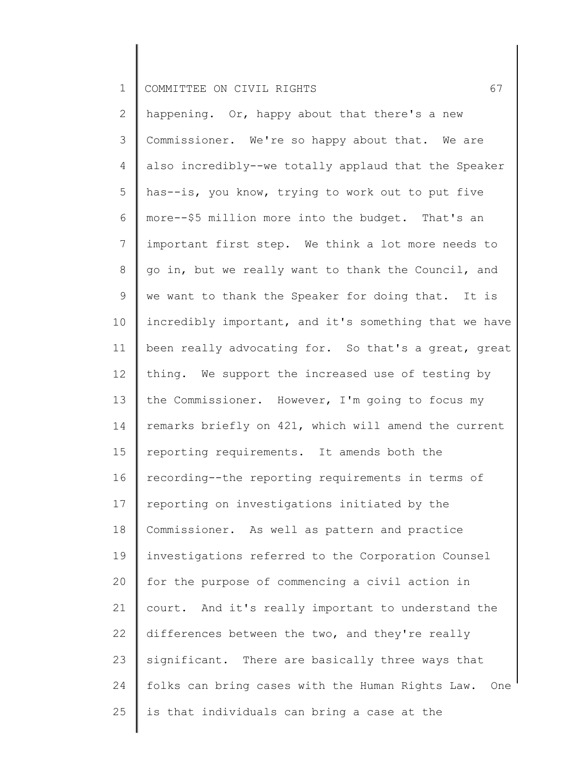2 3 4 5 6 7 8 9 10 11 12 13 14 15 16 17 18 19 20 21 22 23 24 25 happening. Or, happy about that there's a new Commissioner. We're so happy about that. We are also incredibly--we totally applaud that the Speaker has--is, you know, trying to work out to put five more--\$5 million more into the budget. That's an important first step. We think a lot more needs to go in, but we really want to thank the Council, and we want to thank the Speaker for doing that. It is incredibly important, and it's something that we have been really advocating for. So that's a great, great thing. We support the increased use of testing by the Commissioner. However, I'm going to focus my remarks briefly on 421, which will amend the current reporting requirements. It amends both the recording--the reporting requirements in terms of reporting on investigations initiated by the Commissioner. As well as pattern and practice investigations referred to the Corporation Counsel for the purpose of commencing a civil action in court. And it's really important to understand the differences between the two, and they're really significant. There are basically three ways that folks can bring cases with the Human Rights Law. One is that individuals can bring a case at the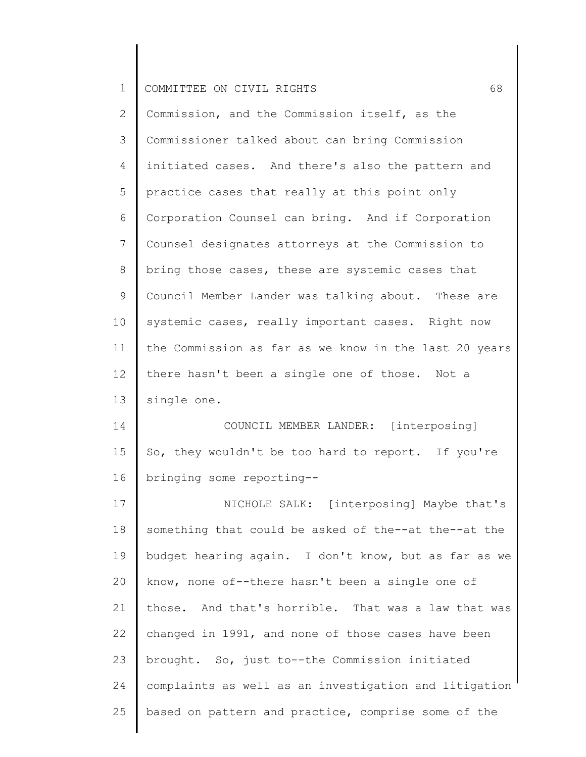2 3 4 5 6 7 8 9 10 11 12 13 14 15 16 17 18 Commission, and the Commission itself, as the Commissioner talked about can bring Commission initiated cases. And there's also the pattern and practice cases that really at this point only Corporation Counsel can bring. And if Corporation Counsel designates attorneys at the Commission to bring those cases, these are systemic cases that Council Member Lander was talking about. These are systemic cases, really important cases. Right now the Commission as far as we know in the last 20 years there hasn't been a single one of those. Not a single one. COUNCIL MEMBER LANDER: [interposing] So, they wouldn't be too hard to report. If you're bringing some reporting-- NICHOLE SALK: [interposing] Maybe that's something that could be asked of the--at the--at the

19 20 21 22 23 24 25 budget hearing again. I don't know, but as far as we know, none of--there hasn't been a single one of those. And that's horrible. That was a law that was changed in 1991, and none of those cases have been brought. So, just to--the Commission initiated complaints as well as an investigation and litigation based on pattern and practice, comprise some of the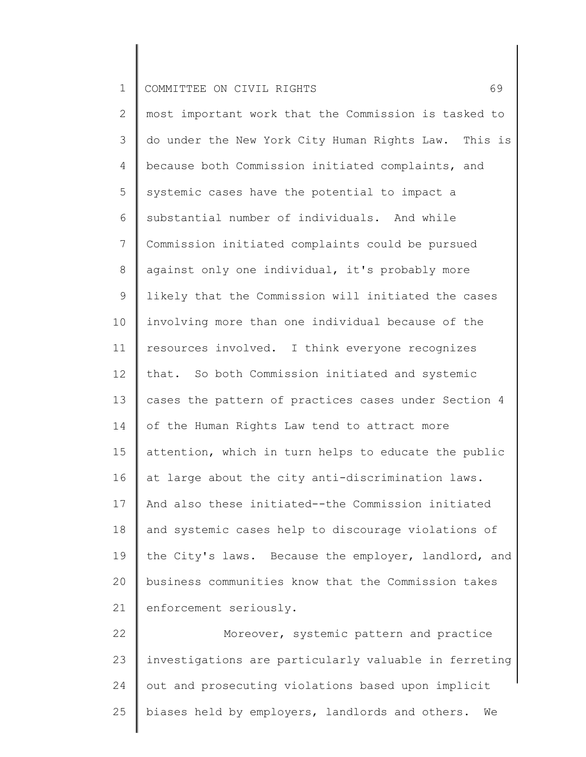2 3 4 5 6 7 8 9 10 11 12 13 14 15 16 17 18 19 20 21 22 23 most important work that the Commission is tasked to do under the New York City Human Rights Law. This is because both Commission initiated complaints, and systemic cases have the potential to impact a substantial number of individuals. And while Commission initiated complaints could be pursued against only one individual, it's probably more likely that the Commission will initiated the cases involving more than one individual because of the resources involved. I think everyone recognizes that. So both Commission initiated and systemic cases the pattern of practices cases under Section 4 of the Human Rights Law tend to attract more attention, which in turn helps to educate the public at large about the city anti-discrimination laws. And also these initiated--the Commission initiated and systemic cases help to discourage violations of the City's laws. Because the employer, landlord, and business communities know that the Commission takes enforcement seriously. Moreover, systemic pattern and practice investigations are particularly valuable in ferreting

25 biases held by employers, landlords and others. We

out and prosecuting violations based upon implicit

24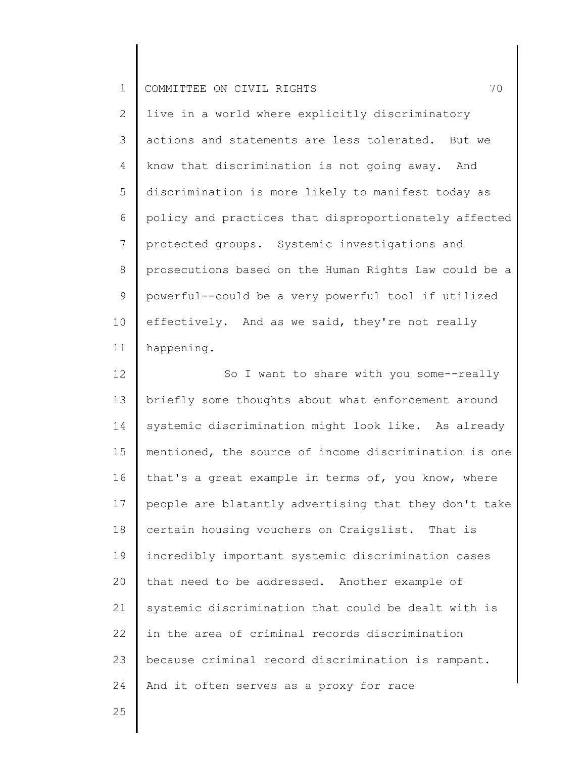2 3 4 5 6 7 8 9 10 11 live in a world where explicitly discriminatory actions and statements are less tolerated. But we know that discrimination is not going away. And discrimination is more likely to manifest today as policy and practices that disproportionately affected protected groups. Systemic investigations and prosecutions based on the Human Rights Law could be a powerful--could be a very powerful tool if utilized effectively. And as we said, they're not really happening.

12 13 14 15 16 17 18 19 20 21 22 23 24 So I want to share with you some--really briefly some thoughts about what enforcement around systemic discrimination might look like. As already mentioned, the source of income discrimination is one that's a great example in terms of, you know, where people are blatantly advertising that they don't take certain housing vouchers on Craigslist. That is incredibly important systemic discrimination cases that need to be addressed. Another example of systemic discrimination that could be dealt with is in the area of criminal records discrimination because criminal record discrimination is rampant. And it often serves as a proxy for race

25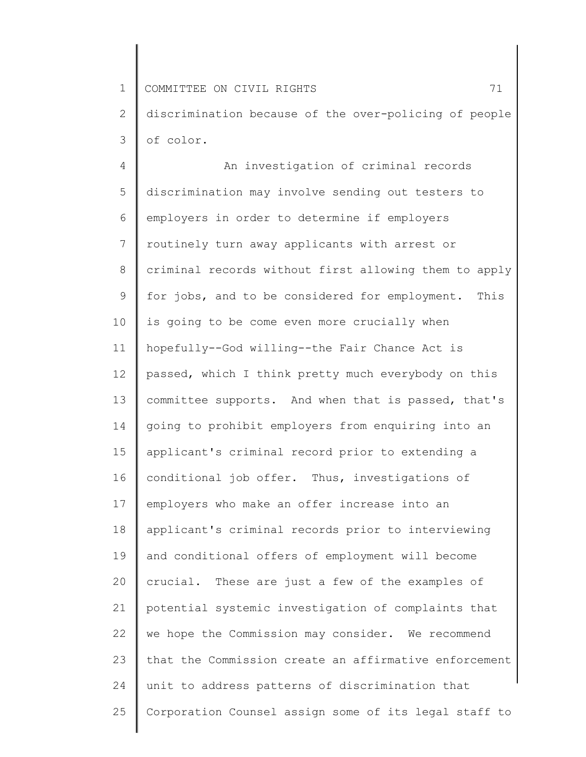2 3 discrimination because of the over-policing of people of color.

4 5 6 7 8 9 10 11 12 13 14 15 16 17 18 19 20 21 22 23 24 25 An investigation of criminal records discrimination may involve sending out testers to employers in order to determine if employers routinely turn away applicants with arrest or criminal records without first allowing them to apply for jobs, and to be considered for employment. This is going to be come even more crucially when hopefully--God willing--the Fair Chance Act is passed, which I think pretty much everybody on this committee supports. And when that is passed, that's going to prohibit employers from enquiring into an applicant's criminal record prior to extending a conditional job offer. Thus, investigations of employers who make an offer increase into an applicant's criminal records prior to interviewing and conditional offers of employment will become crucial. These are just a few of the examples of potential systemic investigation of complaints that we hope the Commission may consider. We recommend that the Commission create an affirmative enforcement unit to address patterns of discrimination that Corporation Counsel assign some of its legal staff to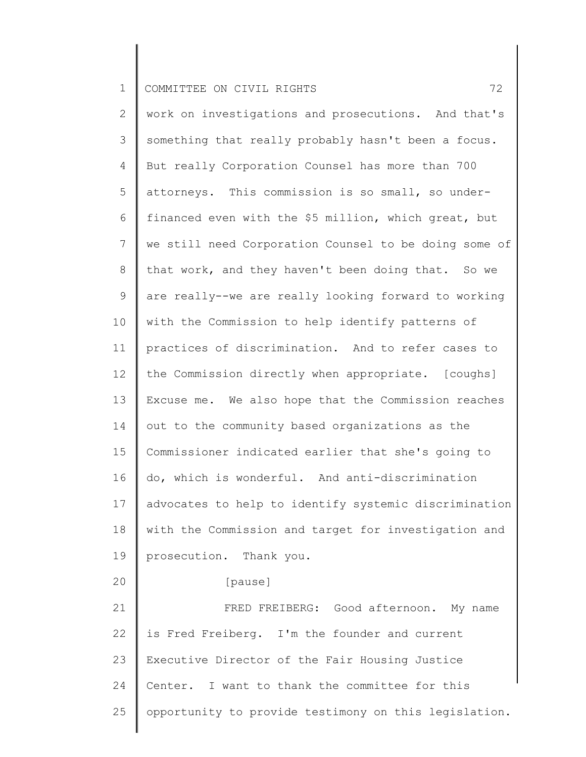2 3 4 5 6 7 8 9 10 11 12 13 14 15 16 17 18 19 20 21 22 work on investigations and prosecutions. And that's something that really probably hasn't been a focus. But really Corporation Counsel has more than 700 attorneys. This commission is so small, so underfinanced even with the \$5 million, which great, but we still need Corporation Counsel to be doing some of that work, and they haven't been doing that. So we are really--we are really looking forward to working with the Commission to help identify patterns of practices of discrimination. And to refer cases to the Commission directly when appropriate. [coughs] Excuse me. We also hope that the Commission reaches out to the community based organizations as the Commissioner indicated earlier that she's going to do, which is wonderful. And anti-discrimination advocates to help to identify systemic discrimination with the Commission and target for investigation and prosecution. Thank you. [pause] FRED FREIBERG: Good afternoon. My name is Fred Freiberg. I'm the founder and current

23 24 25 Executive Director of the Fair Housing Justice Center. I want to thank the committee for this opportunity to provide testimony on this legislation.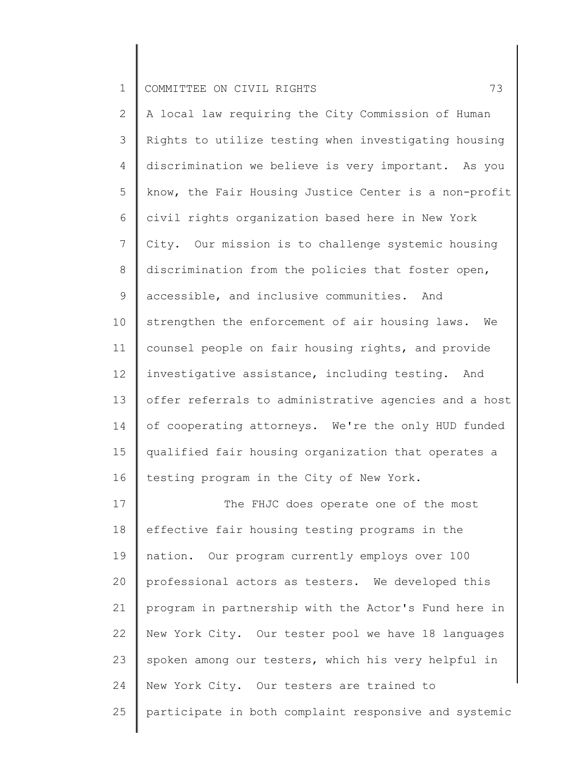2 3 4 5 6 7 8 9 10 11 12 13 14 15 16 A local law requiring the City Commission of Human Rights to utilize testing when investigating housing discrimination we believe is very important. As you know, the Fair Housing Justice Center is a non-profit civil rights organization based here in New York City. Our mission is to challenge systemic housing discrimination from the policies that foster open, accessible, and inclusive communities. And strengthen the enforcement of air housing laws. We counsel people on fair housing rights, and provide investigative assistance, including testing. And offer referrals to administrative agencies and a host of cooperating attorneys. We're the only HUD funded qualified fair housing organization that operates a testing program in the City of New York.

17 18 19 20 21 22 23 24 25 The FHJC does operate one of the most effective fair housing testing programs in the nation. Our program currently employs over 100 professional actors as testers. We developed this program in partnership with the Actor's Fund here in New York City. Our tester pool we have 18 languages spoken among our testers, which his very helpful in New York City. Our testers are trained to participate in both complaint responsive and systemic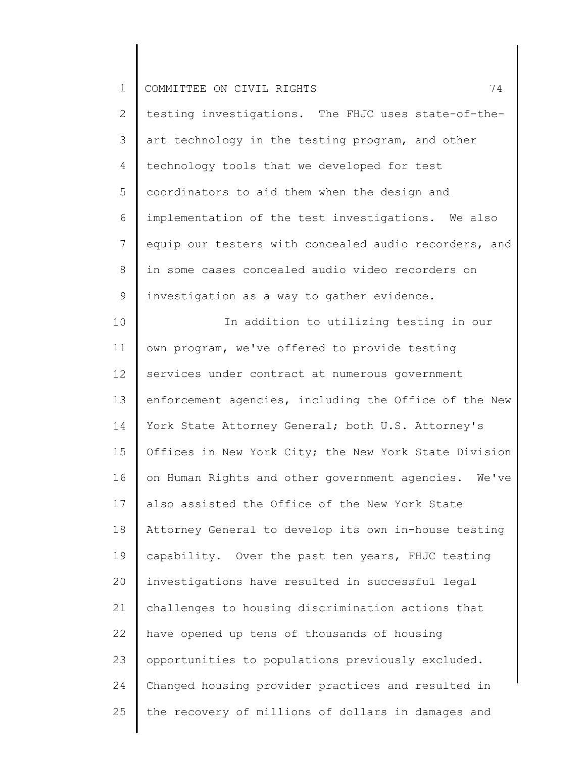2 3 4 5 6 7 8 9 testing investigations. The FHJC uses state-of-theart technology in the testing program, and other technology tools that we developed for test coordinators to aid them when the design and implementation of the test investigations. We also equip our testers with concealed audio recorders, and in some cases concealed audio video recorders on investigation as a way to gather evidence.

10 11 12 13 14 15 16 17 18 19 20 21 22 23 24 25 In addition to utilizing testing in our own program, we've offered to provide testing services under contract at numerous government enforcement agencies, including the Office of the New York State Attorney General; both U.S. Attorney's Offices in New York City; the New York State Division on Human Rights and other government agencies. We've also assisted the Office of the New York State Attorney General to develop its own in-house testing capability. Over the past ten years, FHJC testing investigations have resulted in successful legal challenges to housing discrimination actions that have opened up tens of thousands of housing opportunities to populations previously excluded. Changed housing provider practices and resulted in the recovery of millions of dollars in damages and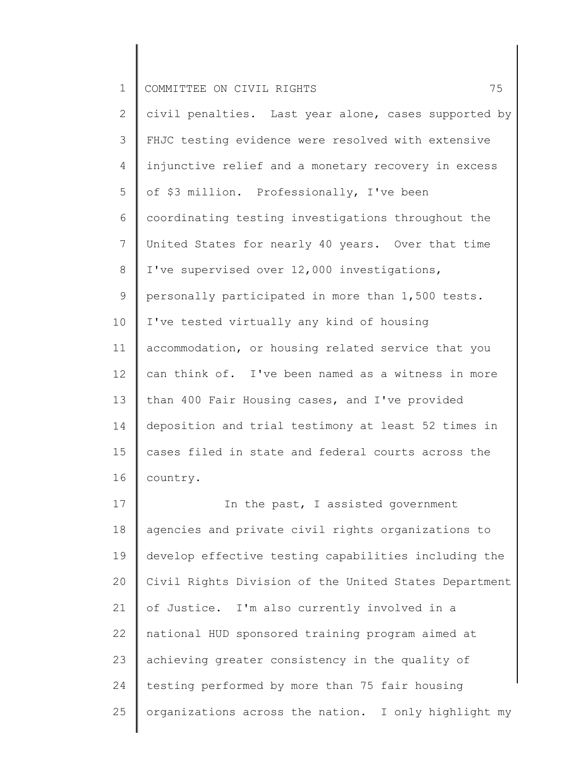2 3 4 5 6 7 8 9 10 11 12 13 14 15 16 17 18 19 20 civil penalties. Last year alone, cases supported by FHJC testing evidence were resolved with extensive injunctive relief and a monetary recovery in excess of \$3 million. Professionally, I've been coordinating testing investigations throughout the United States for nearly 40 years. Over that time I've supervised over 12,000 investigations, personally participated in more than 1,500 tests. I've tested virtually any kind of housing accommodation, or housing related service that you can think of. I've been named as a witness in more than 400 Fair Housing cases, and I've provided deposition and trial testimony at least 52 times in cases filed in state and federal courts across the country. In the past, I assisted government agencies and private civil rights organizations to develop effective testing capabilities including the Civil Rights Division of the United States Department

21 22 23 24 25 of Justice. I'm also currently involved in a national HUD sponsored training program aimed at achieving greater consistency in the quality of testing performed by more than 75 fair housing organizations across the nation. I only highlight my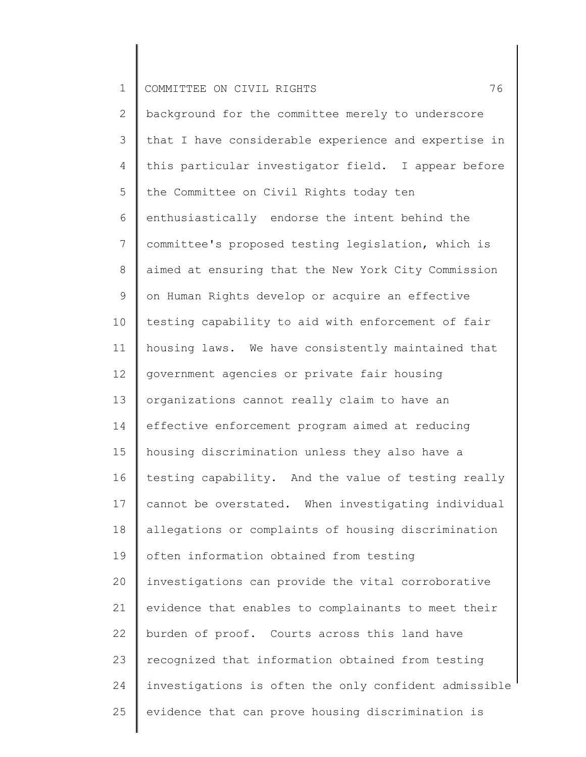2 3 4 5 6 7 8 9 10 11 12 13 14 15 16 17 18 19 20 21 22 23 24 25 background for the committee merely to underscore that I have considerable experience and expertise in this particular investigator field. I appear before the Committee on Civil Rights today ten enthusiastically endorse the intent behind the committee's proposed testing legislation, which is aimed at ensuring that the New York City Commission on Human Rights develop or acquire an effective testing capability to aid with enforcement of fair housing laws. We have consistently maintained that government agencies or private fair housing organizations cannot really claim to have an effective enforcement program aimed at reducing housing discrimination unless they also have a testing capability. And the value of testing really cannot be overstated. When investigating individual allegations or complaints of housing discrimination often information obtained from testing investigations can provide the vital corroborative evidence that enables to complainants to meet their burden of proof. Courts across this land have recognized that information obtained from testing investigations is often the only confident admissible evidence that can prove housing discrimination is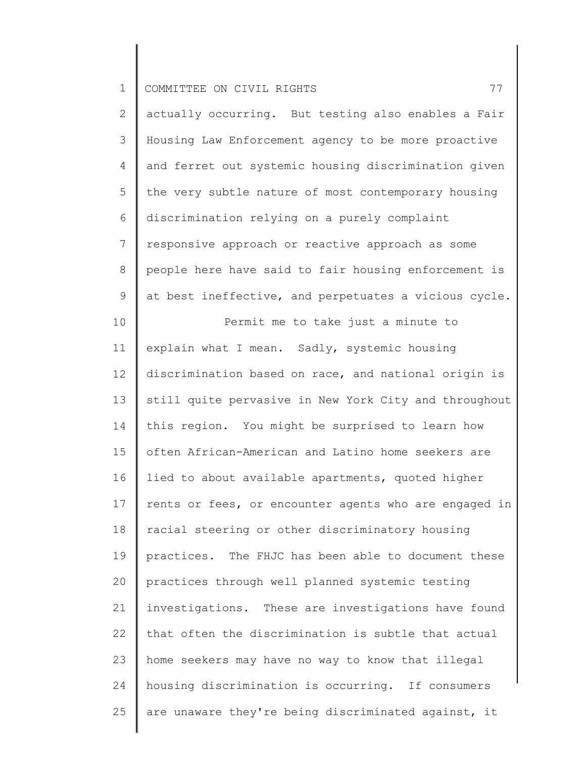| $\overline{2}$ | actually occurring. But testing also enables a Fair   |
|----------------|-------------------------------------------------------|
| 3              | Housing Law Enforcement agency to be more proactive   |
| 4              | and ferret out systemic housing discrimination given  |
| 5              | the very subtle nature of most contemporary housing   |
| 6              | discrimination relying on a purely complaint          |
| 7              | responsive approach or reactive approach as some      |
| 8              | people here have said to fair housing enforcement is  |
| 9              | at best ineffective, and perpetuates a vicious cycle. |
| 10             | Permit me to take just a minute to                    |
| 11             | explain what I mean. Sadly, systemic housing          |
| 12             | discrimination based on race, and national origin is  |
| 13             | still quite pervasive in New York City and throughout |
| 14             | this region. You might be surprised to learn how      |
| 15             | often African-American and Latino home seekers are    |
| 16             | lied to about available apartments, quoted higher     |
| 17             | rents or fees, or encounter agents who are engaged in |
| 18             | racial steering or other discriminatory housing       |
| 19             | practices. The FHJC has been able to document these   |
| 20             | practices through well planned systemic testing       |
| 21             | investigations. These are investigations have found   |
| 22             | that often the discrimination is subtle that actual   |
| 23             | home seekers may have no way to know that illegal     |
| 24             | housing discrimination is occurring. If consumers     |
| 25             | are unaware they're being discriminated against, it   |
|                |                                                       |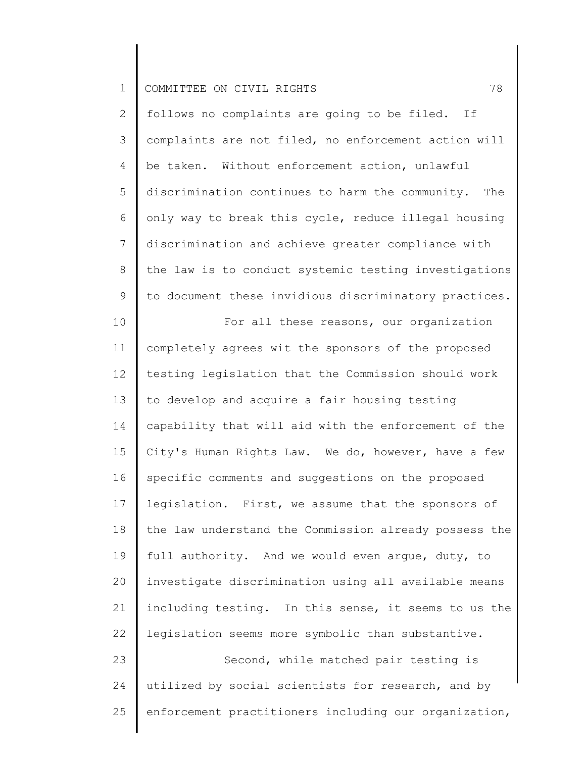2 3 4 5 6 7 8 9 follows no complaints are going to be filed. If complaints are not filed, no enforcement action will be taken. Without enforcement action, unlawful discrimination continues to harm the community. The only way to break this cycle, reduce illegal housing discrimination and achieve greater compliance with the law is to conduct systemic testing investigations to document these invidious discriminatory practices.

10 11 12 13 14 15 16 17 18 19 20 21 22 For all these reasons, our organization completely agrees wit the sponsors of the proposed testing legislation that the Commission should work to develop and acquire a fair housing testing capability that will aid with the enforcement of the City's Human Rights Law. We do, however, have a few specific comments and suggestions on the proposed legislation. First, we assume that the sponsors of the law understand the Commission already possess the full authority. And we would even argue, duty, to investigate discrimination using all available means including testing. In this sense, it seems to us the legislation seems more symbolic than substantive.

23 24 25 Second, while matched pair testing is utilized by social scientists for research, and by enforcement practitioners including our organization,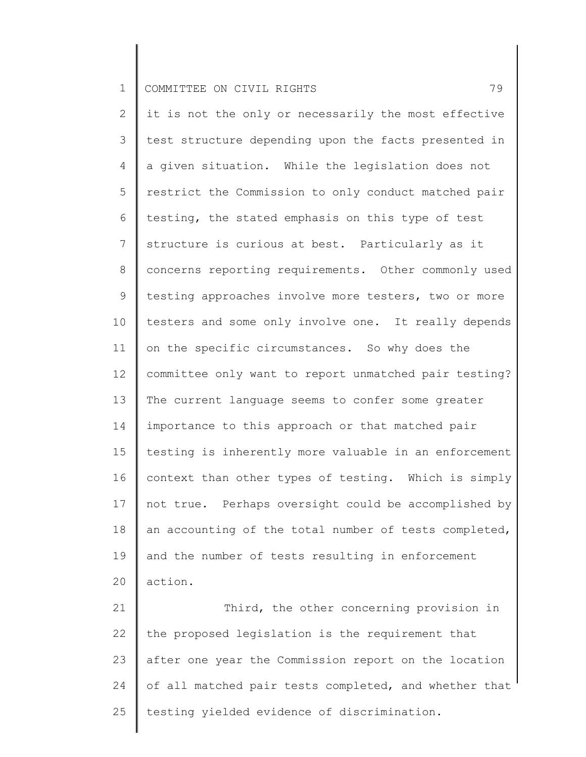2 3 4 5 6 7 8 9 10 11 12 13 14 15 16 17 18 19 20 it is not the only or necessarily the most effective test structure depending upon the facts presented in a given situation. While the legislation does not restrict the Commission to only conduct matched pair testing, the stated emphasis on this type of test structure is curious at best. Particularly as it concerns reporting requirements. Other commonly used testing approaches involve more testers, two or more testers and some only involve one. It really depends on the specific circumstances. So why does the committee only want to report unmatched pair testing? The current language seems to confer some greater importance to this approach or that matched pair testing is inherently more valuable in an enforcement context than other types of testing. Which is simply not true. Perhaps oversight could be accomplished by an accounting of the total number of tests completed, and the number of tests resulting in enforcement action.

21 22 23 24 25 Third, the other concerning provision in the proposed legislation is the requirement that after one year the Commission report on the location of all matched pair tests completed, and whether that testing yielded evidence of discrimination.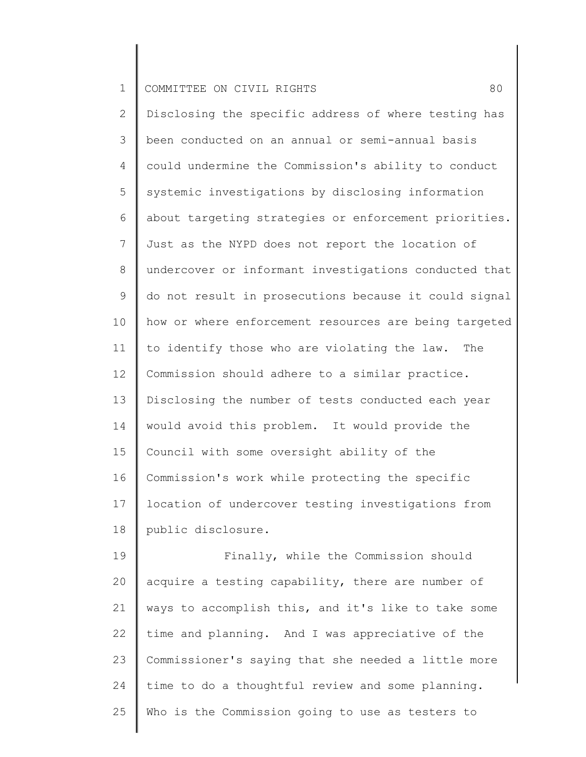2 3 4 5 6 7 8 9 10 11 12 13 14 15 16 17 18 Disclosing the specific address of where testing has been conducted on an annual or semi-annual basis could undermine the Commission's ability to conduct systemic investigations by disclosing information about targeting strategies or enforcement priorities. Just as the NYPD does not report the location of undercover or informant investigations conducted that do not result in prosecutions because it could signal how or where enforcement resources are being targeted to identify those who are violating the law. The Commission should adhere to a similar practice. Disclosing the number of tests conducted each year would avoid this problem. It would provide the Council with some oversight ability of the Commission's work while protecting the specific location of undercover testing investigations from public disclosure.

19 20 21 22 23 24 25 Finally, while the Commission should acquire a testing capability, there are number of ways to accomplish this, and it's like to take some time and planning. And I was appreciative of the Commissioner's saying that she needed a little more time to do a thoughtful review and some planning. Who is the Commission going to use as testers to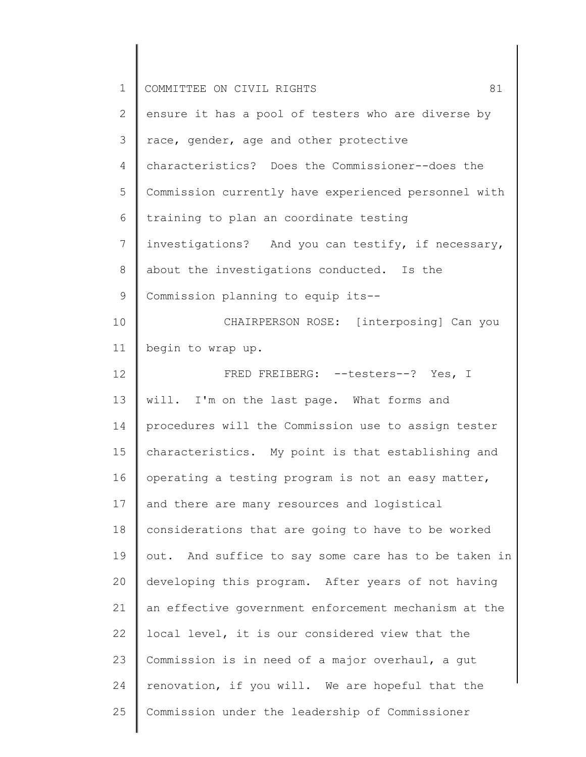| $\mathbf 1$ | 81<br>COMMITTEE ON CIVIL RIGHTS                      |
|-------------|------------------------------------------------------|
| 2           | ensure it has a pool of testers who are diverse by   |
| 3           | race, gender, age and other protective               |
| 4           | characteristics? Does the Commissioner--does the     |
| 5           | Commission currently have experienced personnel with |
| 6           | training to plan an coordinate testing               |
| 7           | investigations? And you can testify, if necessary,   |
| 8           | about the investigations conducted. Is the           |
| 9           | Commission planning to equip its--                   |
| 10          | CHAIRPERSON ROSE: [interposing] Can you              |
| 11          | begin to wrap up.                                    |
| 12          | FRED FREIBERG: --testers--? Yes, I                   |
| 13          | will. I'm on the last page. What forms and           |
| 14          | procedures will the Commission use to assign tester  |
| 15          | characteristics. My point is that establishing and   |
| 16          | operating a testing program is not an easy matter,   |
| 17          | and there are many resources and logistical          |
| 18          | considerations that are going to have to be worked   |
| 19          | out. And suffice to say some care has to be taken in |
| 20          | developing this program. After years of not having   |
| 21          | an effective government enforcement mechanism at the |
| 22          | local level, it is our considered view that the      |
| 23          | Commission is in need of a major overhaul, a gut     |
| 24          | renovation, if you will. We are hopeful that the     |
| 25          | Commission under the leadership of Commissioner      |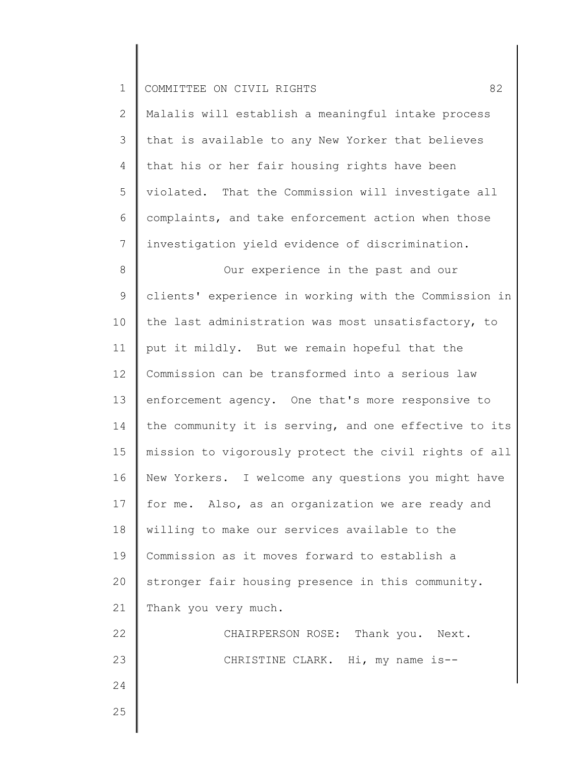| $\mathbf 1$ | 82<br>COMMITTEE ON CIVIL RIGHTS                       |
|-------------|-------------------------------------------------------|
| 2           | Malalis will establish a meaningful intake process    |
| 3           | that is available to any New Yorker that believes     |
| 4           | that his or her fair housing rights have been         |
| 5           | violated. That the Commission will investigate all    |
| 6           | complaints, and take enforcement action when those    |
| 7           | investigation yield evidence of discrimination.       |
| 8           | Our experience in the past and our                    |
| 9           | clients' experience in working with the Commission in |
| 10          | the last administration was most unsatisfactory, to   |
| 11          | put it mildly. But we remain hopeful that the         |
| 12          | Commission can be transformed into a serious law      |
| 13          | enforcement agency. One that's more responsive to     |
| 14          | the community it is serving, and one effective to its |
| 15          | mission to vigorously protect the civil rights of all |
| 16          | New Yorkers. I welcome any questions you might have   |
| 17          | for me. Also, as an organization we are ready and     |
| 18          | willing to make our services available to the         |
| 19          | Commission as it moves forward to establish a         |
| 20          | stronger fair housing presence in this community.     |
| 21          | Thank you very much.                                  |
| 22          | CHAIRPERSON ROSE: Thank you. Next.                    |
| 23          | CHRISTINE CLARK. Hi, my name is--                     |
| 24          |                                                       |
| 25          |                                                       |
|             |                                                       |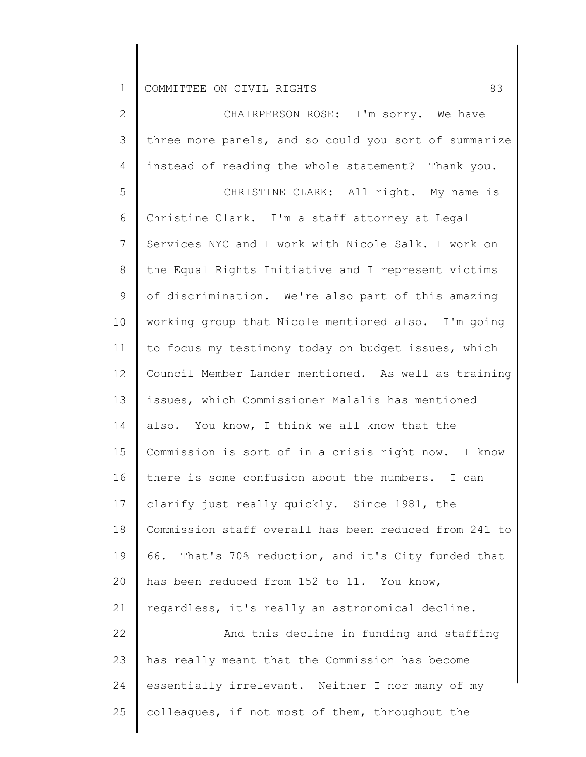2 3 4 5 6 7 8 9 10 11 12 13 14 15 16 17 18 19 20 21 22 23 24 25 CHAIRPERSON ROSE: I'm sorry. We have three more panels, and so could you sort of summarize instead of reading the whole statement? Thank you. CHRISTINE CLARK: All right. My name is Christine Clark. I'm a staff attorney at Legal Services NYC and I work with Nicole Salk. I work on the Equal Rights Initiative and I represent victims of discrimination. We're also part of this amazing working group that Nicole mentioned also. I'm going to focus my testimony today on budget issues, which Council Member Lander mentioned. As well as training issues, which Commissioner Malalis has mentioned also. You know, I think we all know that the Commission is sort of in a crisis right now. I know there is some confusion about the numbers. I can clarify just really quickly. Since 1981, the Commission staff overall has been reduced from 241 to 66. That's 70% reduction, and it's City funded that has been reduced from 152 to 11. You know, regardless, it's really an astronomical decline. And this decline in funding and staffing has really meant that the Commission has become essentially irrelevant. Neither I nor many of my colleagues, if not most of them, throughout the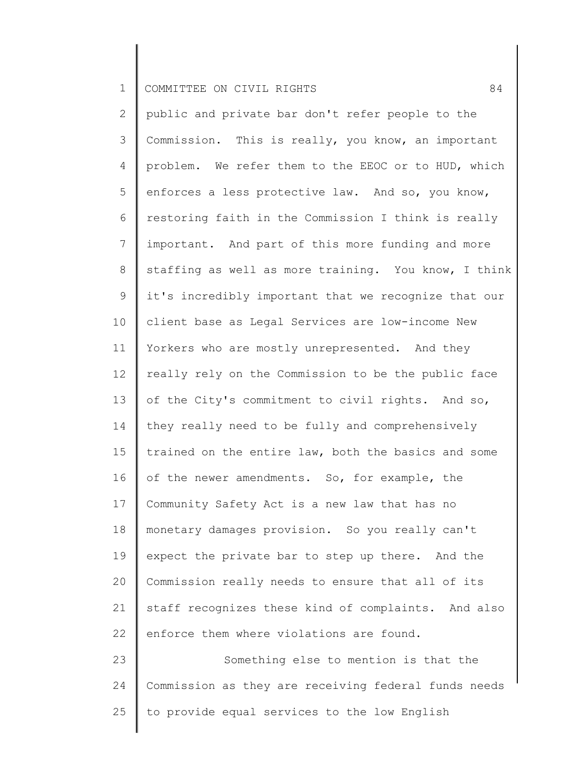24

25

2 3 4 5 6 7 8 9 10 11 12 13 14 15 16 17 18 19 20 21 22 23 public and private bar don't refer people to the Commission. This is really, you know, an important problem. We refer them to the EEOC or to HUD, which enforces a less protective law. And so, you know, restoring faith in the Commission I think is really important. And part of this more funding and more staffing as well as more training. You know, I think it's incredibly important that we recognize that our client base as Legal Services are low-income New Yorkers who are mostly unrepresented. And they really rely on the Commission to be the public face of the City's commitment to civil rights. And so, they really need to be fully and comprehensively trained on the entire law, both the basics and some of the newer amendments. So, for example, the Community Safety Act is a new law that has no monetary damages provision. So you really can't expect the private bar to step up there. And the Commission really needs to ensure that all of its staff recognizes these kind of complaints. And also enforce them where violations are found. Something else to mention is that the Commission as they are receiving federal funds needs

to provide equal services to the low English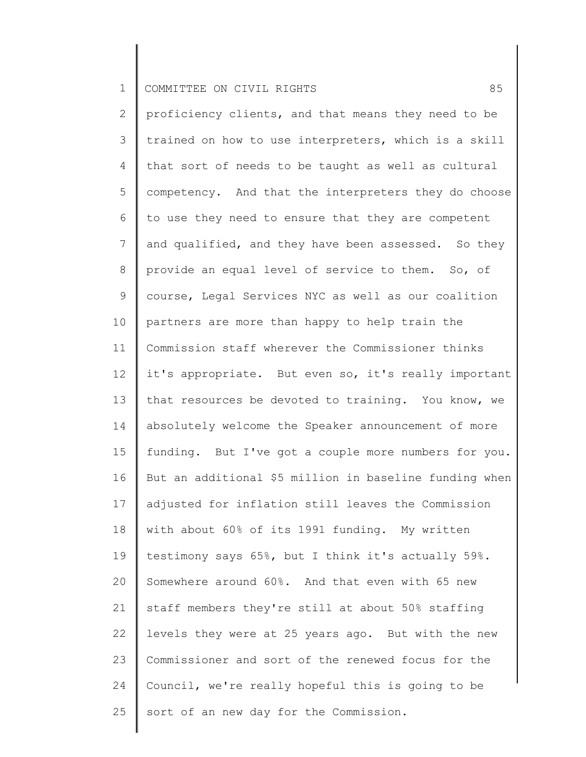2 3 4 5 6 7 8 9 10 11 12 13 14 15 16 17 18 19 20 21 22 23 24 25 proficiency clients, and that means they need to be trained on how to use interpreters, which is a skill that sort of needs to be taught as well as cultural competency. And that the interpreters they do choose to use they need to ensure that they are competent and qualified, and they have been assessed. So they provide an equal level of service to them. So, of course, Legal Services NYC as well as our coalition partners are more than happy to help train the Commission staff wherever the Commissioner thinks it's appropriate. But even so, it's really important that resources be devoted to training. You know, we absolutely welcome the Speaker announcement of more funding. But I've got a couple more numbers for you. But an additional \$5 million in baseline funding when adjusted for inflation still leaves the Commission with about 60% of its 1991 funding. My written testimony says 65%, but I think it's actually 59%. Somewhere around 60%. And that even with 65 new staff members they're still at about 50% staffing levels they were at 25 years ago. But with the new Commissioner and sort of the renewed focus for the Council, we're really hopeful this is going to be sort of an new day for the Commission.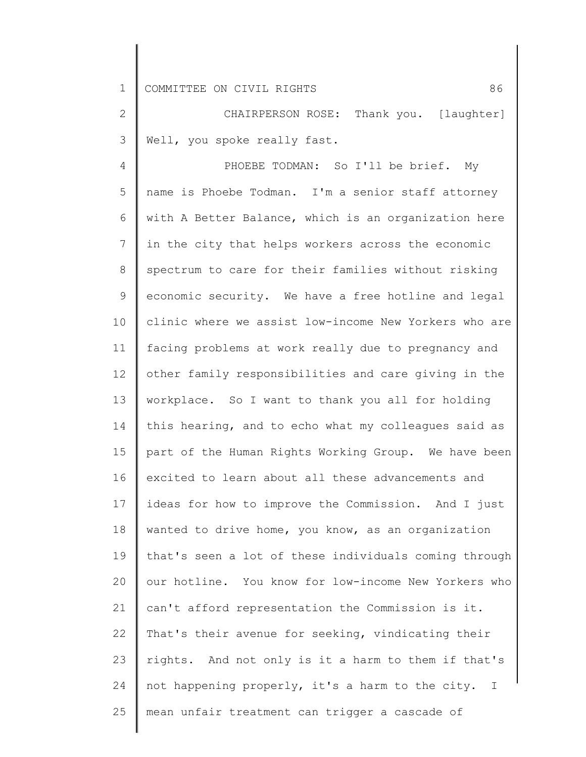2 3 CHAIRPERSON ROSE: Thank you. [laughter] Well, you spoke really fast.

4 5 6 7 8 9 10 11 12 13 14 15 16 17 18 19 20 21 22 23 24 25 PHOEBE TODMAN: So I'll be brief. My name is Phoebe Todman. I'm a senior staff attorney with A Better Balance, which is an organization here in the city that helps workers across the economic spectrum to care for their families without risking economic security. We have a free hotline and legal clinic where we assist low-income New Yorkers who are facing problems at work really due to pregnancy and other family responsibilities and care giving in the workplace. So I want to thank you all for holding this hearing, and to echo what my colleagues said as part of the Human Rights Working Group. We have been excited to learn about all these advancements and ideas for how to improve the Commission. And I just wanted to drive home, you know, as an organization that's seen a lot of these individuals coming through our hotline. You know for low-income New Yorkers who can't afford representation the Commission is it. That's their avenue for seeking, vindicating their rights. And not only is it a harm to them if that's not happening properly, it's a harm to the city. I mean unfair treatment can trigger a cascade of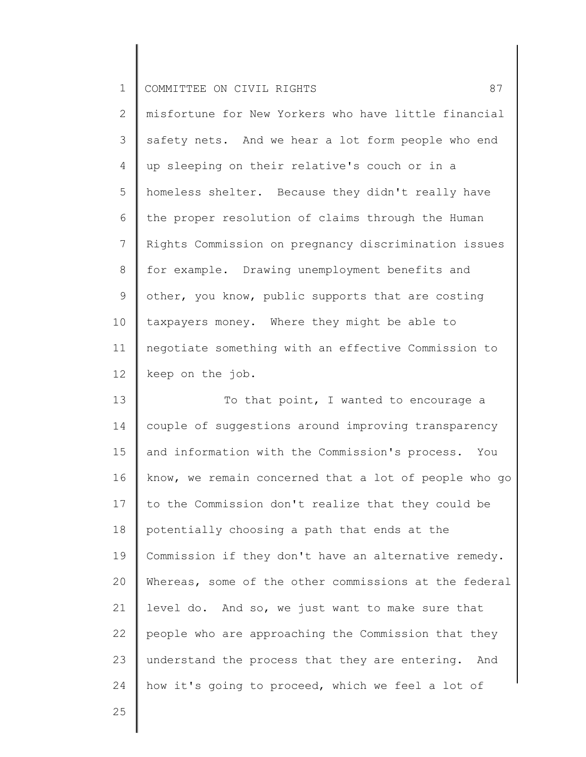2 3 4 5 6 7 8 9 10 11 12 misfortune for New Yorkers who have little financial safety nets. And we hear a lot form people who end up sleeping on their relative's couch or in a homeless shelter. Because they didn't really have the proper resolution of claims through the Human Rights Commission on pregnancy discrimination issues for example. Drawing unemployment benefits and other, you know, public supports that are costing taxpayers money. Where they might be able to negotiate something with an effective Commission to keep on the job.

13 14 15 16 17 18 19 20 21 22 23 24 To that point, I wanted to encourage a couple of suggestions around improving transparency and information with the Commission's process. You know, we remain concerned that a lot of people who go to the Commission don't realize that they could be potentially choosing a path that ends at the Commission if they don't have an alternative remedy. Whereas, some of the other commissions at the federal level do. And so, we just want to make sure that people who are approaching the Commission that they understand the process that they are entering. And how it's going to proceed, which we feel a lot of

25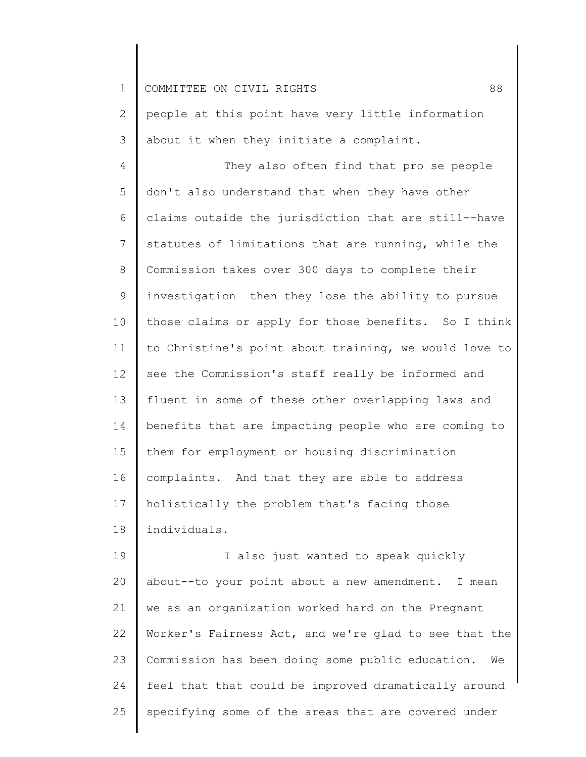2 3 people at this point have very little information about it when they initiate a complaint.

4 5 6 7 8 9 10 11 12 13 14 15 16 17 18 They also often find that pro se people don't also understand that when they have other claims outside the jurisdiction that are still--have statutes of limitations that are running, while the Commission takes over 300 days to complete their investigation then they lose the ability to pursue those claims or apply for those benefits. So I think to Christine's point about training, we would love to see the Commission's staff really be informed and fluent in some of these other overlapping laws and benefits that are impacting people who are coming to them for employment or housing discrimination complaints. And that they are able to address holistically the problem that's facing those individuals.

19 20 21 22 23 24 25 I also just wanted to speak quickly about--to your point about a new amendment. I mean we as an organization worked hard on the Pregnant Worker's Fairness Act, and we're glad to see that the Commission has been doing some public education. We feel that that could be improved dramatically around specifying some of the areas that are covered under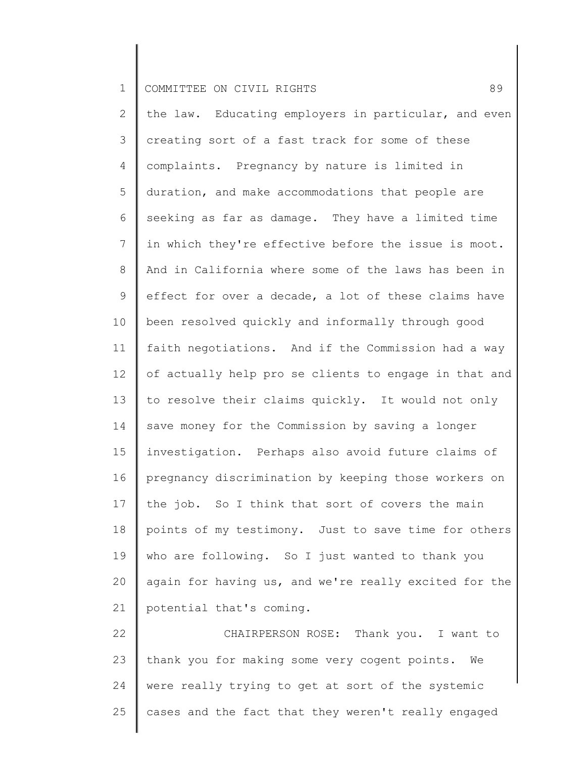2 3 4 5 6 7 8 9 10 11 12 13 14 15 16 17 18 19 20 21 22 the law. Educating employers in particular, and even creating sort of a fast track for some of these complaints. Pregnancy by nature is limited in duration, and make accommodations that people are seeking as far as damage. They have a limited time in which they're effective before the issue is moot. And in California where some of the laws has been in effect for over a decade, a lot of these claims have been resolved quickly and informally through good faith negotiations. And if the Commission had a way of actually help pro se clients to engage in that and to resolve their claims quickly. It would not only save money for the Commission by saving a longer investigation. Perhaps also avoid future claims of pregnancy discrimination by keeping those workers on the job. So I think that sort of covers the main points of my testimony. Just to save time for others who are following. So I just wanted to thank you again for having us, and we're really excited for the potential that's coming. CHAIRPERSON ROSE: Thank you. I want to

23 24 25 thank you for making some very cogent points. We were really trying to get at sort of the systemic cases and the fact that they weren't really engaged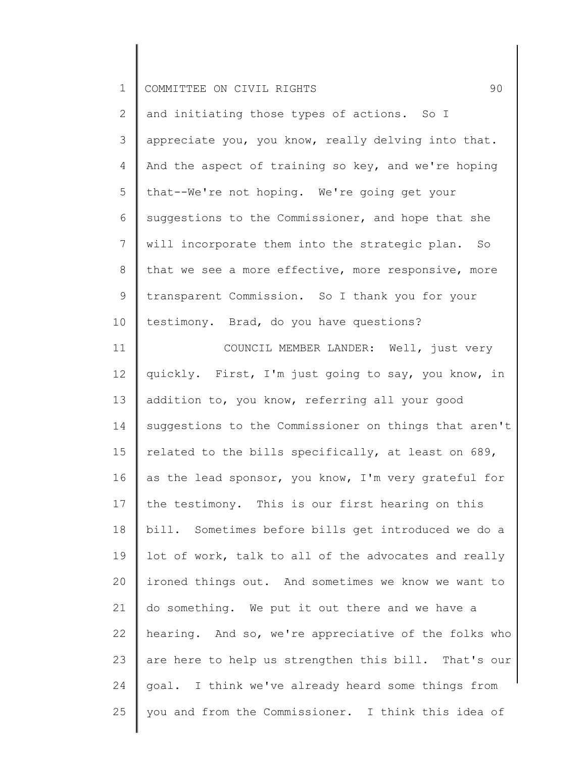2 3 4 5 6 7 8 9 10 11 12 13 14 15 16 17 18 19 20 and initiating those types of actions. So I appreciate you, you know, really delving into that. And the aspect of training so key, and we're hoping that--We're not hoping. We're going get your suggestions to the Commissioner, and hope that she will incorporate them into the strategic plan. So that we see a more effective, more responsive, more transparent Commission. So I thank you for your testimony. Brad, do you have questions? COUNCIL MEMBER LANDER: Well, just very quickly. First, I'm just going to say, you know, in addition to, you know, referring all your good suggestions to the Commissioner on things that aren't related to the bills specifically, at least on 689, as the lead sponsor, you know, I'm very grateful for the testimony. This is our first hearing on this bill. Sometimes before bills get introduced we do a lot of work, talk to all of the advocates and really ironed things out. And sometimes we know we want to

21 22 23 24 25 do something. We put it out there and we have a hearing. And so, we're appreciative of the folks who are here to help us strengthen this bill. That's our goal. I think we've already heard some things from you and from the Commissioner. I think this idea of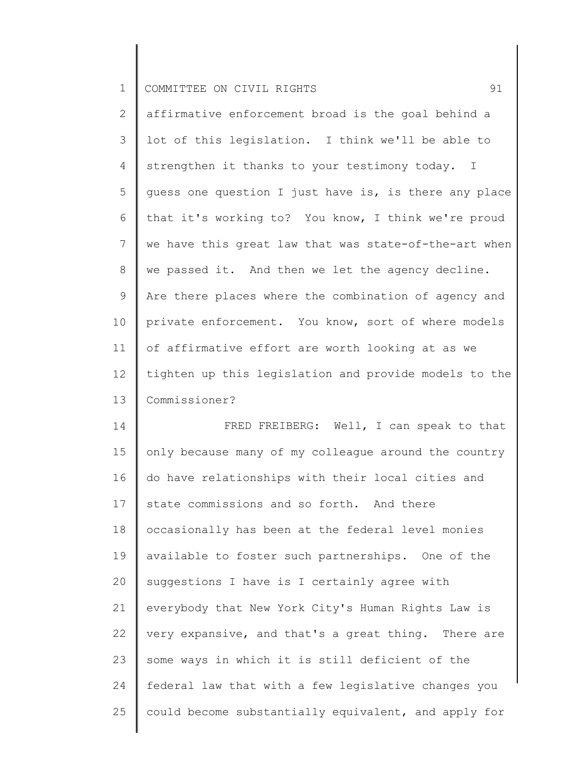1 COMMITTEE ON CIVIL RIGHTS 61 1 2012 1 2 3 1 2 3 1 2 3 1 2 3 1 2 3 1 2 3 1 2 3 1 2 3 1 2 3 1 2 3 1 2 3 1 2 3 1 2 3 1 2 3 1 2 3 1 2 3 1 2 3 1 2 3 1 2 3 1 2 3 1 2 3 1 2 3 1 2 3 1 2 3 1 2 3 1 2 3 1 2 3 1 2 3 1 2 3 1 2 3 1 2 3

2 3 4 5 6 7 8 9 10 11 12 13 affirmative enforcement broad is the goal behind a lot of this legislation. I think we'll be able to strengthen it thanks to your testimony today. I guess one question I just have is, is there any place that it's working to? You know, I think we're proud we have this great law that was state-of-the-art when we passed it. And then we let the agency decline. Are there places where the combination of agency and private enforcement. You know, sort of where models of affirmative effort are worth looking at as we tighten up this legislation and provide models to the Commissioner?

14 15 16 17 18 19 20 21 22 23 24 25 FRED FREIBERG: Well, I can speak to that only because many of my colleague around the country do have relationships with their local cities and state commissions and so forth. And there occasionally has been at the federal level monies available to foster such partnerships. One of the suggestions I have is I certainly agree with everybody that New York City's Human Rights Law is very expansive, and that's a great thing. There are some ways in which it is still deficient of the federal law that with a few legislative changes you could become substantially equivalent, and apply for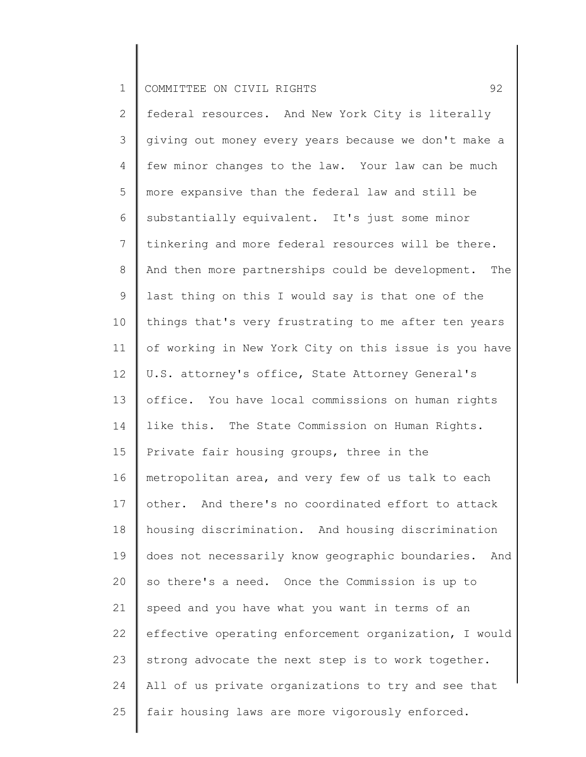2 3 4 5 6 7 8 9 10 11 12 13 14 15 16 17 18 19 20 21 22 23 24 25 federal resources. And New York City is literally giving out money every years because we don't make a few minor changes to the law. Your law can be much more expansive than the federal law and still be substantially equivalent. It's just some minor tinkering and more federal resources will be there. And then more partnerships could be development. The last thing on this I would say is that one of the things that's very frustrating to me after ten years of working in New York City on this issue is you have U.S. attorney's office, State Attorney General's office. You have local commissions on human rights like this. The State Commission on Human Rights. Private fair housing groups, three in the metropolitan area, and very few of us talk to each other. And there's no coordinated effort to attack housing discrimination. And housing discrimination does not necessarily know geographic boundaries. And so there's a need. Once the Commission is up to speed and you have what you want in terms of an effective operating enforcement organization, I would strong advocate the next step is to work together. All of us private organizations to try and see that fair housing laws are more vigorously enforced.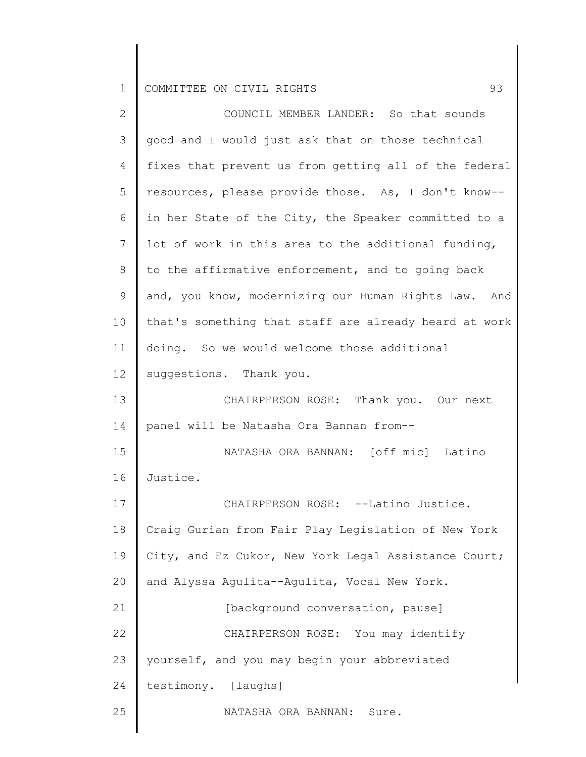| $\mathbf{2}$    | COUNCIL MEMBER LANDER: So that sounds                 |
|-----------------|-------------------------------------------------------|
| 3               | good and I would just ask that on those technical     |
| 4               | fixes that prevent us from getting all of the federal |
| 5               | resources, please provide those. As, I don't know--   |
| 6               | in her State of the City, the Speaker committed to a  |
| $7\phantom{.0}$ | lot of work in this area to the additional funding,   |
| 8               | to the affirmative enforcement, and to going back     |
| $\mathsf 9$     | and, you know, modernizing our Human Rights Law. And  |
| 10              | that's something that staff are already heard at work |
| 11              | doing. So we would welcome those additional           |
| 12              | suggestions. Thank you.                               |
| 13              | CHAIRPERSON ROSE: Thank you. Our next                 |
| 14              | panel will be Natasha Ora Bannan from--               |
| 15              | NATASHA ORA BANNAN: [off mic] Latino                  |
| 16              | Justice.                                              |
| 17              | CHAIRPERSON ROSE: --Latino Justice.                   |
| 18              | Craiq Gurian from Fair Play Legislation of New York   |
| 19              | City, and Ez Cukor, New York Legal Assistance Court;  |
| 20              | and Alyssa Agulita--Agulita, Vocal New York.          |
| 21              | [background conversation, pause]                      |
| 22              | CHAIRPERSON ROSE: You may identify                    |
| 23              | yourself, and you may begin your abbreviated          |
| 24              | testimony. [laughs]                                   |
| 25              | NATASHA ORA BANNAN: Sure.                             |
|                 |                                                       |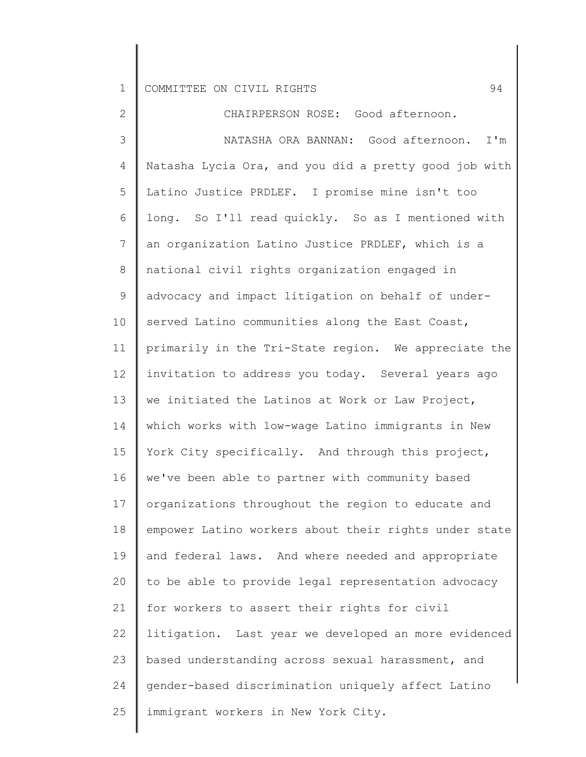| $\mathbf{2}$   | CHAIRPERSON ROSE: Good afternoon.                     |
|----------------|-------------------------------------------------------|
| 3              | NATASHA ORA BANNAN: Good afternoon.<br>I'm            |
| $\overline{4}$ | Natasha Lycia Ora, and you did a pretty good job with |
| 5              | Latino Justice PRDLEF. I promise mine isn't too       |
| 6              | long. So I'll read quickly. So as I mentioned with    |
| 7              | an organization Latino Justice PRDLEF, which is a     |
| 8              | national civil rights organization engaged in         |
| 9              | advocacy and impact litigation on behalf of under-    |
| 10             | served Latino communities along the East Coast,       |
| 11             | primarily in the Tri-State region. We appreciate the  |
| 12             | invitation to address you today. Several years ago    |
| 13             | we initiated the Latinos at Work or Law Project,      |
| 14             | which works with low-wage Latino immigrants in New    |
| 15             | York City specifically. And through this project,     |
| 16             | we've been able to partner with community based       |
| 17             | organizations throughout the region to educate and    |
| 18             | empower Latino workers about their rights under state |
| 19             | and federal laws. And where needed and appropriate    |
| 20             | to be able to provide legal representation advocacy   |
| 21             | for workers to assert their rights for civil          |
| 22             | litigation. Last year we developed an more evidenced  |
| 23             | based understanding across sexual harassment, and     |
| 24             | gender-based discrimination uniquely affect Latino    |
| 25             | immigrant workers in New York City.                   |
|                |                                                       |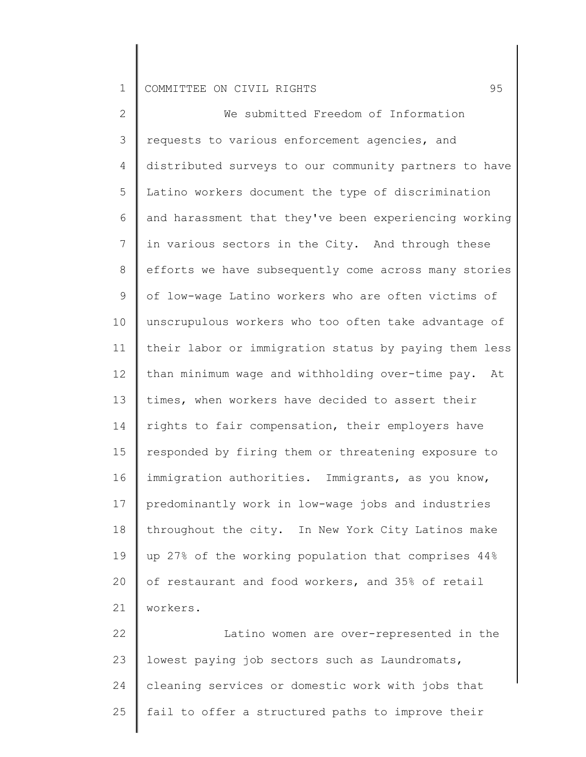2 3 4 5 6 7 8 9 10 11 12 13 14 15 16 17 18 19 20 21 22 We submitted Freedom of Information requests to various enforcement agencies, and distributed surveys to our community partners to have Latino workers document the type of discrimination and harassment that they've been experiencing working in various sectors in the City. And through these efforts we have subsequently come across many stories of low-wage Latino workers who are often victims of unscrupulous workers who too often take advantage of their labor or immigration status by paying them less than minimum wage and withholding over-time pay. At times, when workers have decided to assert their rights to fair compensation, their employers have responded by firing them or threatening exposure to immigration authorities. Immigrants, as you know, predominantly work in low-wage jobs and industries throughout the city. In New York City Latinos make up 27% of the working population that comprises 44% of restaurant and food workers, and 35% of retail workers. Latino women are over-represented in the

23 24 25 lowest paying job sectors such as Laundromats, cleaning services or domestic work with jobs that fail to offer a structured paths to improve their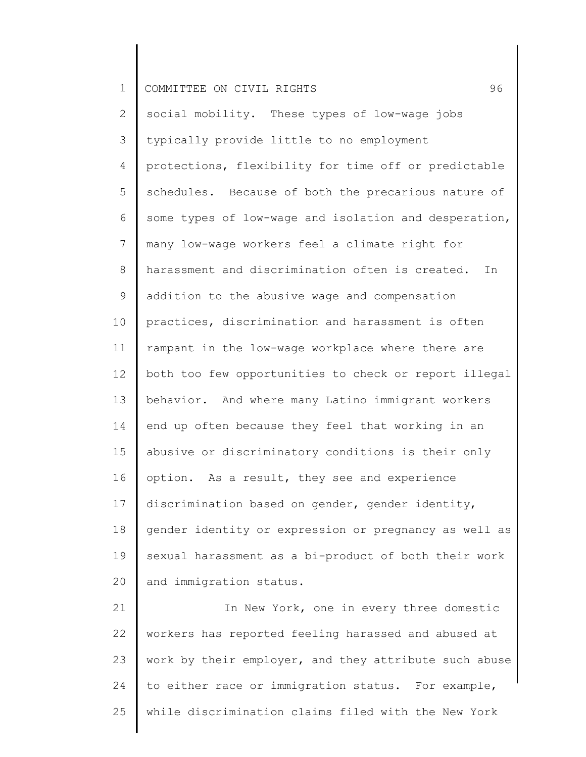2 3 4 5 6 7 8 9 10 11 12 13 14 15 16 17 18 19 20 social mobility. These types of low-wage jobs typically provide little to no employment protections, flexibility for time off or predictable schedules. Because of both the precarious nature of some types of low-wage and isolation and desperation, many low-wage workers feel a climate right for harassment and discrimination often is created. In addition to the abusive wage and compensation practices, discrimination and harassment is often rampant in the low-wage workplace where there are both too few opportunities to check or report illegal behavior. And where many Latino immigrant workers end up often because they feel that working in an abusive or discriminatory conditions is their only option. As a result, they see and experience discrimination based on gender, gender identity, gender identity or expression or pregnancy as well as sexual harassment as a bi-product of both their work and immigration status.

21 22 23 24 25 In New York, one in every three domestic workers has reported feeling harassed and abused at work by their employer, and they attribute such abuse to either race or immigration status. For example, while discrimination claims filed with the New York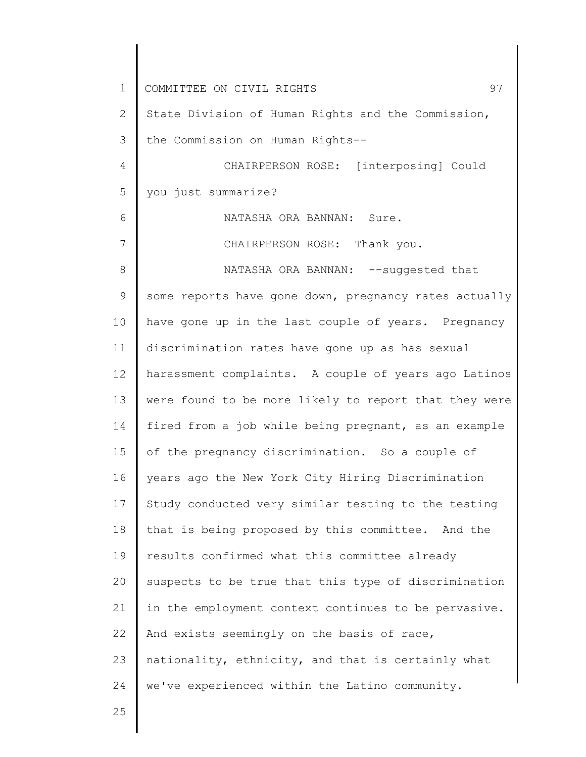| $\mathbf 1$ | COMMITTEE ON CIVIL RIGHTS<br>97                       |
|-------------|-------------------------------------------------------|
| 2           | State Division of Human Rights and the Commission,    |
| 3           | the Commission on Human Rights--                      |
| 4           | CHAIRPERSON ROSE: [interposing] Could                 |
| 5           | you just summarize?                                   |
| 6           | NATASHA ORA BANNAN: Sure.                             |
| 7           | CHAIRPERSON ROSE: Thank you.                          |
| 8           | NATASHA ORA BANNAN: -- suggested that                 |
| 9           | some reports have gone down, pregnancy rates actually |
| 10          | have gone up in the last couple of years. Pregnancy   |
| 11          | discrimination rates have gone up as has sexual       |
| 12          | harassment complaints. A couple of years ago Latinos  |
| 13          | were found to be more likely to report that they were |
| 14          | fired from a job while being pregnant, as an example  |
| 15          | of the pregnancy discrimination. So a couple of       |
| 16          | years ago the New York City Hiring Discrimination     |
| 17          | Study conducted very similar testing to the testing   |
| 18          | that is being proposed by this committee. And the     |
| 19          | results confirmed what this committee already         |
| 20          | suspects to be true that this type of discrimination  |
| 21          | in the employment context continues to be pervasive.  |
| 22          | And exists seemingly on the basis of race,            |
| 23          | nationality, ethnicity, and that is certainly what    |
| 24          | we've experienced within the Latino community.        |
| 25          |                                                       |
|             |                                                       |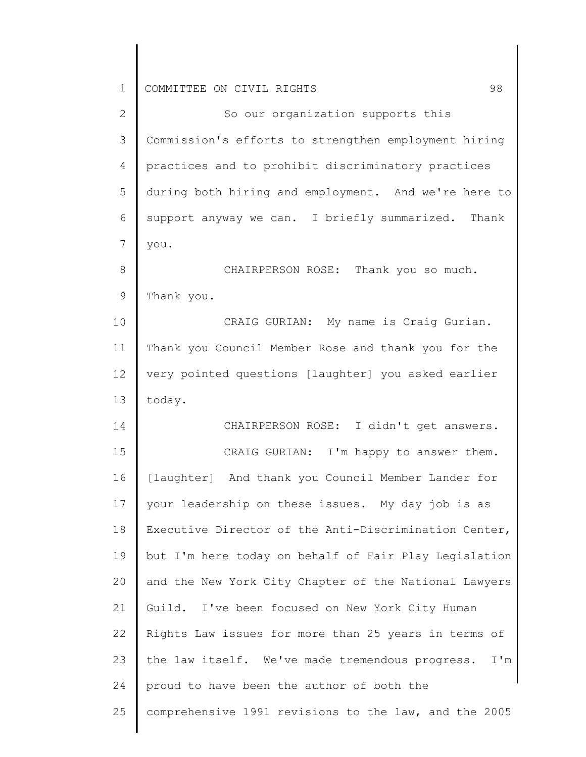| 2              | So our organization supports this                      |
|----------------|--------------------------------------------------------|
| 3              | Commission's efforts to strengthen employment hiring   |
| $\overline{4}$ | practices and to prohibit discriminatory practices     |
| 5              | during both hiring and employment. And we're here to   |
| 6              | support anyway we can. I briefly summarized. Thank     |
| 7              | you.                                                   |
| $\,8\,$        | CHAIRPERSON ROSE: Thank you so much.                   |
| $\mathsf 9$    | Thank you.                                             |
| 10             | CRAIG GURIAN: My name is Craig Gurian.                 |
| 11             | Thank you Council Member Rose and thank you for the    |
| 12             | very pointed questions [laughter] you asked earlier    |
| 13             | today.                                                 |
| 14             | CHAIRPERSON ROSE: I didn't get answers.                |
| 15             | CRAIG GURIAN: I'm happy to answer them.                |
| 16             | [laughter] And thank you Council Member Lander for     |
| 17             | your leadership on these issues. My day job is as      |
| 18             | Executive Director of the Anti-Discrimination Center,  |
| 19             | but I'm here today on behalf of Fair Play Legislation  |
| 20             | and the New York City Chapter of the National Lawyers  |
| 21             | Guild. I've been focused on New York City Human        |
| 22             | Rights Law issues for more than 25 years in terms of   |
| 23             | the law itself. We've made tremendous progress.<br>I'm |
| 24             | proud to have been the author of both the              |
| 25             | comprehensive 1991 revisions to the law, and the 2005  |
|                |                                                        |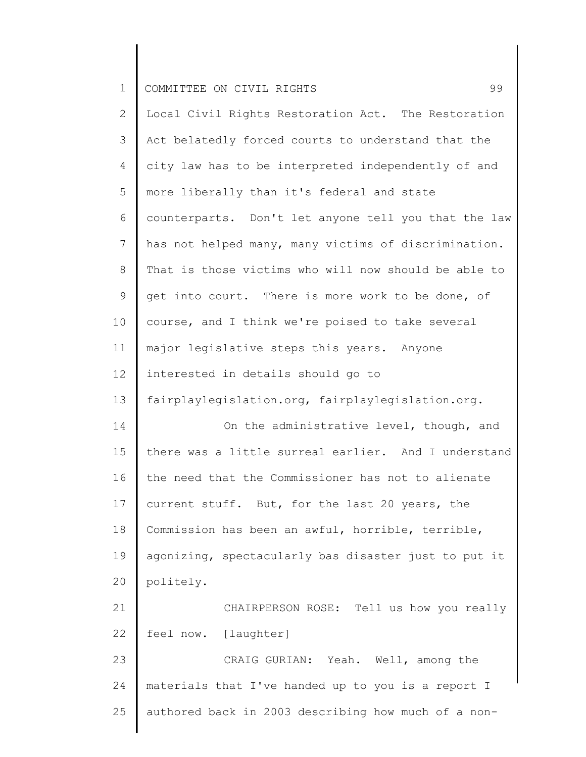2 3 4 5 6 7 8 9 10 11 12 13 14 15 16 17 18 19 20 21 22 23 24 25 Local Civil Rights Restoration Act. The Restoration Act belatedly forced courts to understand that the city law has to be interpreted independently of and more liberally than it's federal and state counterparts. Don't let anyone tell you that the law has not helped many, many victims of discrimination. That is those victims who will now should be able to get into court. There is more work to be done, of course, and I think we're poised to take several major legislative steps this years. Anyone interested in details should go to fairplaylegislation.org, fairplaylegislation.org. On the administrative level, though, and there was a little surreal earlier. And I understand the need that the Commissioner has not to alienate current stuff. But, for the last 20 years, the Commission has been an awful, horrible, terrible, agonizing, spectacularly bas disaster just to put it politely. CHAIRPERSON ROSE: Tell us how you really feel now. [laughter] CRAIG GURIAN: Yeah. Well, among the materials that I've handed up to you is a report I authored back in 2003 describing how much of a non-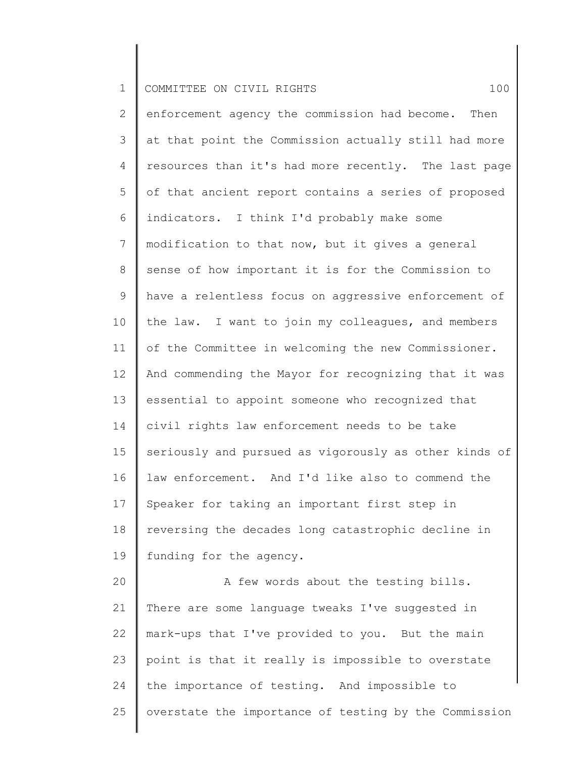25

2 3 4 5 6 7 8 9 10 11 12 13 14 15 16 17 18 19 20 21 22 23 24 enforcement agency the commission had become. Then at that point the Commission actually still had more resources than it's had more recently. The last page of that ancient report contains a series of proposed indicators. I think I'd probably make some modification to that now, but it gives a general sense of how important it is for the Commission to have a relentless focus on aggressive enforcement of the law. I want to join my colleagues, and members of the Committee in welcoming the new Commissioner. And commending the Mayor for recognizing that it was essential to appoint someone who recognized that civil rights law enforcement needs to be take seriously and pursued as vigorously as other kinds of law enforcement. And I'd like also to commend the Speaker for taking an important first step in reversing the decades long catastrophic decline in funding for the agency. A few words about the testing bills. There are some language tweaks I've suggested in mark-ups that I've provided to you. But the main point is that it really is impossible to overstate the importance of testing. And impossible to

overstate the importance of testing by the Commission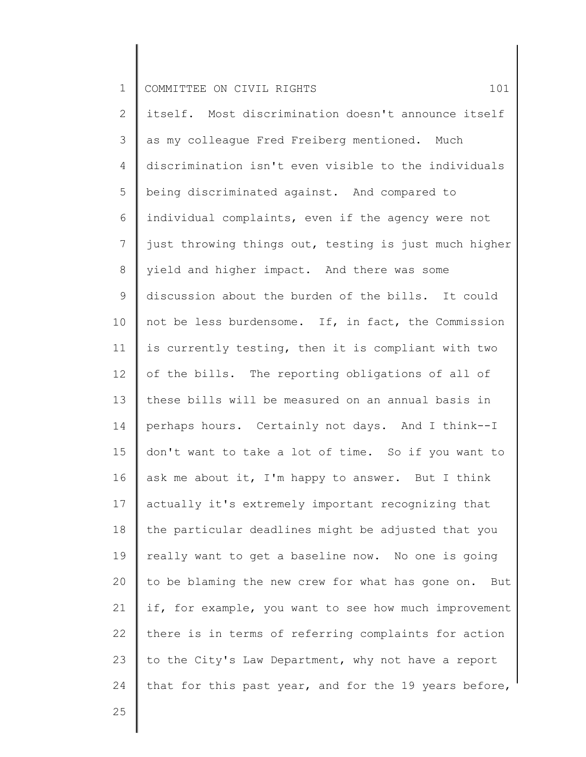2 3 4 5 6 7 8 9 10 11 12 13 14 15 16 17 18 19 20 21 22 23 24 itself. Most discrimination doesn't announce itself as my colleague Fred Freiberg mentioned. Much discrimination isn't even visible to the individuals being discriminated against. And compared to individual complaints, even if the agency were not just throwing things out, testing is just much higher yield and higher impact. And there was some discussion about the burden of the bills. It could not be less burdensome. If, in fact, the Commission is currently testing, then it is compliant with two of the bills. The reporting obligations of all of these bills will be measured on an annual basis in perhaps hours. Certainly not days. And I think--I don't want to take a lot of time. So if you want to ask me about it, I'm happy to answer. But I think actually it's extremely important recognizing that the particular deadlines might be adjusted that you really want to get a baseline now. No one is going to be blaming the new crew for what has gone on. But if, for example, you want to see how much improvement there is in terms of referring complaints for action to the City's Law Department, why not have a report that for this past year, and for the 19 years before,

25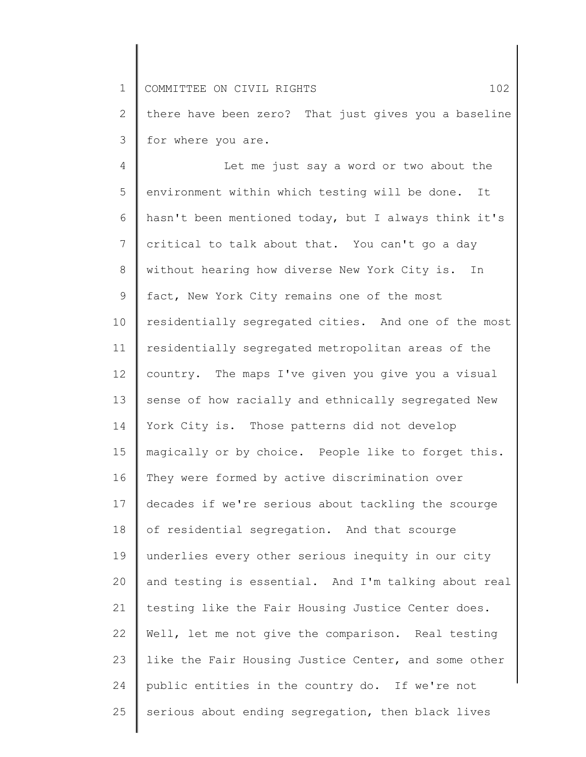1 2 3 COMMITTEE ON CIVIL RIGHTS 102 there have been zero? That just gives you a baseline for where you are.

4 5 6 7 8 9 10 11 12 13 14 15 16 17 18 19 20 21 22 23 24 25 Let me just say a word or two about the environment within which testing will be done. It hasn't been mentioned today, but I always think it's critical to talk about that. You can't go a day without hearing how diverse New York City is. In fact, New York City remains one of the most residentially segregated cities. And one of the most residentially segregated metropolitan areas of the country. The maps I've given you give you a visual sense of how racially and ethnically segregated New York City is. Those patterns did not develop magically or by choice. People like to forget this. They were formed by active discrimination over decades if we're serious about tackling the scourge of residential segregation. And that scourge underlies every other serious inequity in our city and testing is essential. And I'm talking about real testing like the Fair Housing Justice Center does. Well, let me not give the comparison. Real testing like the Fair Housing Justice Center, and some other public entities in the country do. If we're not serious about ending segregation, then black lives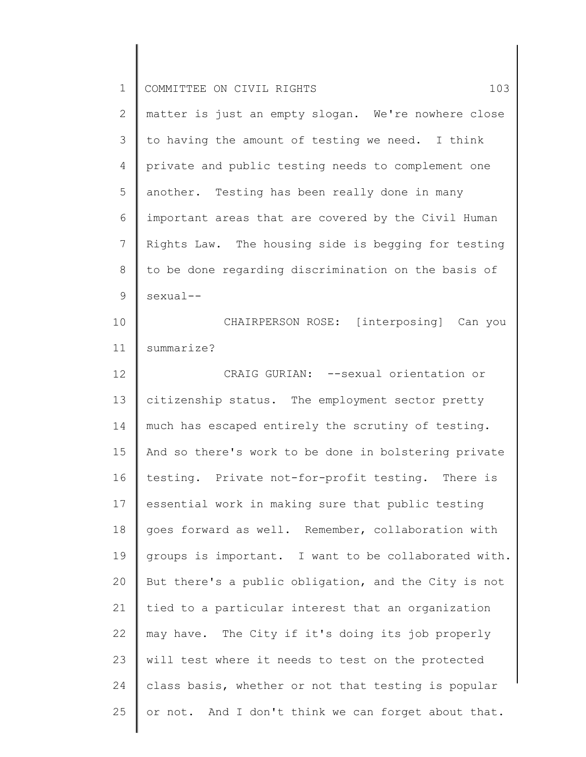| $\mathbf 1$    | 103<br>COMMITTEE ON CIVIL RIGHTS                     |
|----------------|------------------------------------------------------|
| $\mathbf{2}$   | matter is just an empty slogan. We're nowhere close  |
| 3              | to having the amount of testing we need. I think     |
| $\overline{4}$ | private and public testing needs to complement one   |
| 5              | another. Testing has been really done in many        |
| 6              | important areas that are covered by the Civil Human  |
| $\overline{7}$ | Rights Law. The housing side is begging for testing  |
| $8\,$          | to be done regarding discrimination on the basis of  |
| $\mathsf 9$    | $sexual--$                                           |
| 10             | CHAIRPERSON ROSE: [interposing] Can you              |
| 11             | summarize?                                           |
| 12             | CRAIG GURIAN: -- sexual orientation or               |
| 13             | citizenship status. The employment sector pretty     |
| 14             | much has escaped entirely the scrutiny of testing.   |
| 15             | And so there's work to be done in bolstering private |
| 16             | testing. Private not-for-profit testing. There is    |
| 17             | essential work in making sure that public testing    |
| 18             | goes forward as well. Remember, collaboration with   |
| 19             | groups is important. I want to be collaborated with. |
| 20             | But there's a public obligation, and the City is not |
| 21             | tied to a particular interest that an organization   |
| 22             | may have. The City if it's doing its job properly    |
| 23             | will test where it needs to test on the protected    |
| 24             | class basis, whether or not that testing is popular  |
| 25             | or not. And I don't think we can forget about that.  |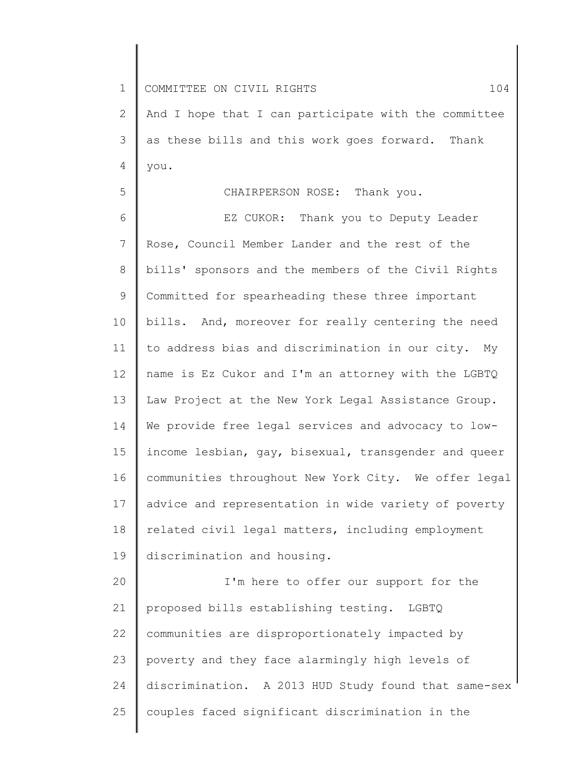1 2 3 4 5 6 7 8 9 10 11 12 13 14 15 16 17 18 19 20 21 22 23 24 25 COMMITTEE ON CIVIL RIGHTS 104 And I hope that I can participate with the committee as these bills and this work goes forward. Thank you. CHAIRPERSON ROSE: Thank you. EZ CUKOR: Thank you to Deputy Leader Rose, Council Member Lander and the rest of the bills' sponsors and the members of the Civil Rights Committed for spearheading these three important bills. And, moreover for really centering the need to address bias and discrimination in our city. My name is Ez Cukor and I'm an attorney with the LGBTQ Law Project at the New York Legal Assistance Group. We provide free legal services and advocacy to lowincome lesbian, gay, bisexual, transgender and queer communities throughout New York City. We offer legal advice and representation in wide variety of poverty related civil legal matters, including employment discrimination and housing. I'm here to offer our support for the proposed bills establishing testing. LGBTQ communities are disproportionately impacted by poverty and they face alarmingly high levels of discrimination. A 2013 HUD Study found that same-sex couples faced significant discrimination in the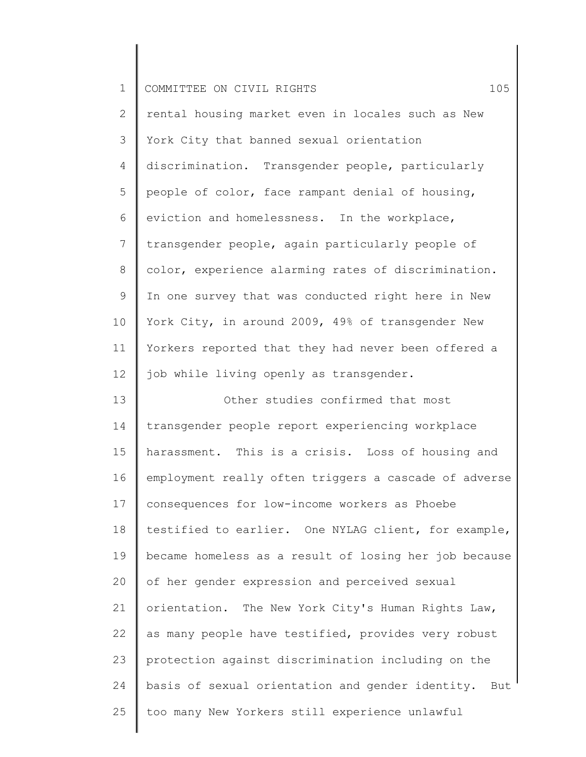| 1    COMMITTEE ON CIVIL RIGHTS |  |  |
|--------------------------------|--|--|
|--------------------------------|--|--|

| $\mathbf{2}$   | rental housing market even in locales such as New   |
|----------------|-----------------------------------------------------|
| 3              | York City that banned sexual orientation            |
| 4              | discrimination. Transgender people, particularly    |
| 5              | people of color, face rampant denial of housing,    |
| 6              | eviction and homelessness. In the workplace,        |
| $\overline{7}$ | transgender people, again particularly people of    |
| 8              | color, experience alarming rates of discrimination. |
| $\mathcal{G}$  | In one survey that was conducted right here in New  |
| 10             | York City, in around 2009, 49% of transgender New   |
| 11             | Yorkers reported that they had never been offered a |
| 12             | job while living openly as transgender.             |

13 14 15 16 17 18 19 20 21 22 23 24 25 Other studies confirmed that most transgender people report experiencing workplace harassment. This is a crisis. Loss of housing and employment really often triggers a cascade of adverse consequences for low-income workers as Phoebe testified to earlier. One NYLAG client, for example, became homeless as a result of losing her job because of her gender expression and perceived sexual orientation. The New York City's Human Rights Law, as many people have testified, provides very robust protection against discrimination including on the basis of sexual orientation and gender identity. But too many New Yorkers still experience unlawful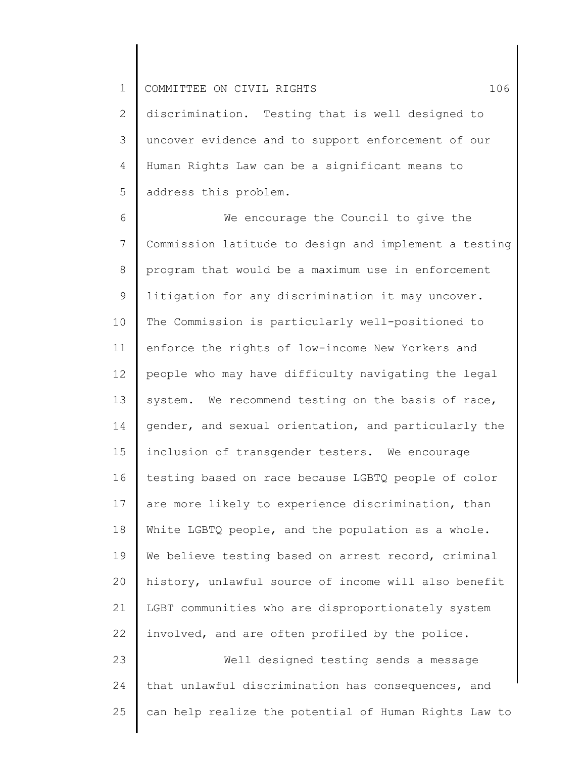2 3 4 5 discrimination. Testing that is well designed to uncover evidence and to support enforcement of our Human Rights Law can be a significant means to address this problem.

6 7 8 9 10 11 12 13 14 15 16 17 18 19 20 21 22 23 We encourage the Council to give the Commission latitude to design and implement a testing program that would be a maximum use in enforcement litigation for any discrimination it may uncover. The Commission is particularly well-positioned to enforce the rights of low-income New Yorkers and people who may have difficulty navigating the legal system. We recommend testing on the basis of race, gender, and sexual orientation, and particularly the inclusion of transgender testers. We encourage testing based on race because LGBTQ people of color are more likely to experience discrimination, than White LGBTQ people, and the population as a whole. We believe testing based on arrest record, criminal history, unlawful source of income will also benefit LGBT communities who are disproportionately system involved, and are often profiled by the police. Well designed testing sends a message

24 25 that unlawful discrimination has consequences, and can help realize the potential of Human Rights Law to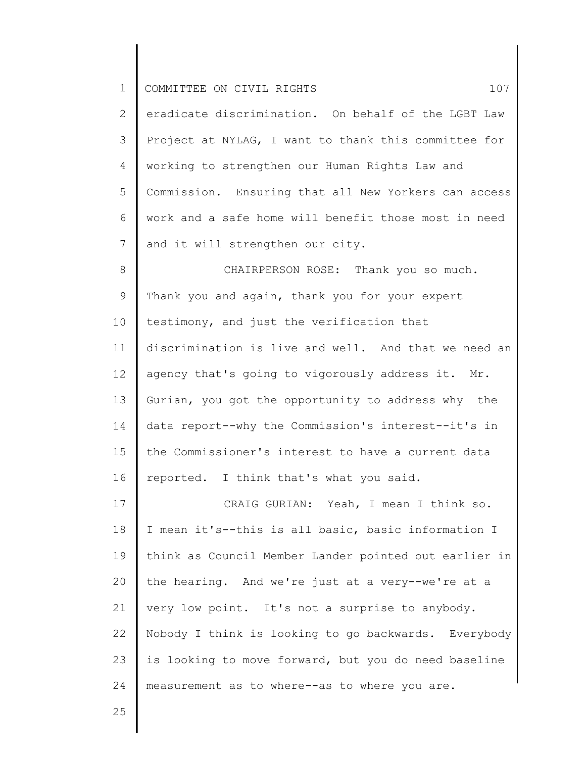| $\mathbf 1$  | COMMITTEE ON CIVIL RIGHTS<br>107                      |
|--------------|-------------------------------------------------------|
| $\mathbf{2}$ | eradicate discrimination. On behalf of the LGBT Law   |
| 3            | Project at NYLAG, I want to thank this committee for  |
| 4            | working to strengthen our Human Rights Law and        |
| 5            | Commission. Ensuring that all New Yorkers can access  |
| 6            | work and a safe home will benefit those most in need  |
| 7            | and it will strengthen our city.                      |
| $\,8\,$      | CHAIRPERSON ROSE: Thank you so much.                  |
| 9            | Thank you and again, thank you for your expert        |
| 10           | testimony, and just the verification that             |
| 11           | discrimination is live and well. And that we need an  |
| 12           | agency that's going to vigorously address it. Mr.     |
| 13           | Gurian, you got the opportunity to address why the    |
| 14           | data report--why the Commission's interest--it's in   |
| 15           | the Commissioner's interest to have a current data    |
| 16           | reported. I think that's what you said.               |
| 17           | CRAIG GURIAN: Yeah, I mean I think so.                |
| 18           | I mean it's--this is all basic, basic information I   |
| 19           | think as Council Member Lander pointed out earlier in |
| 20           | the hearing. And we're just at a very--we're at a     |
| 21           | very low point. It's not a surprise to anybody.       |
| 22           | Nobody I think is looking to go backwards. Everybody  |
| 23           | is looking to move forward, but you do need baseline  |
| 24           | measurement as to where--as to where you are.         |
| 25           |                                                       |

 $\Big\}$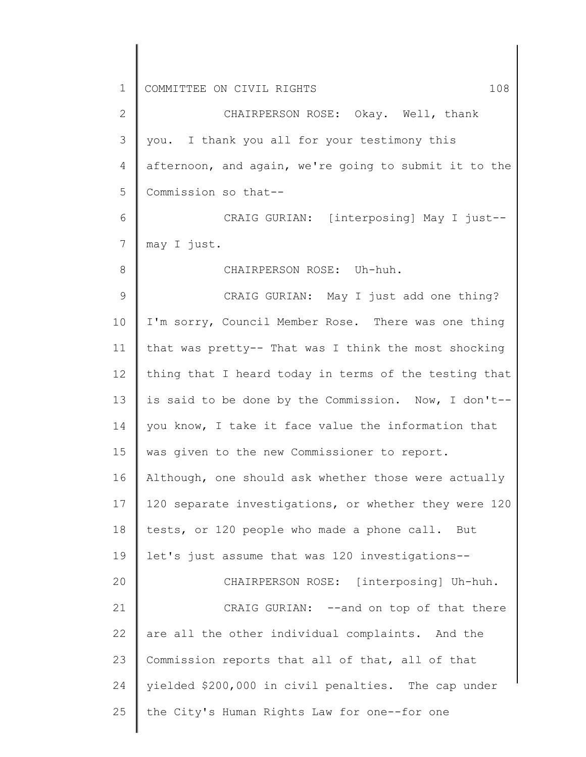2 3 4 5 6 7 8 9 10 11 12 13 14 15 16 17 18 19 20 21 22 23 24 CHAIRPERSON ROSE: Okay. Well, thank you. I thank you all for your testimony this afternoon, and again, we're going to submit it to the Commission so that-- CRAIG GURIAN: [interposing] May I just- may I just. CHAIRPERSON ROSE: Uh-huh. CRAIG GURIAN: May I just add one thing? I'm sorry, Council Member Rose. There was one thing that was pretty-- That was I think the most shocking thing that I heard today in terms of the testing that is said to be done by the Commission. Now, I don't- you know, I take it face value the information that was given to the new Commissioner to report. Although, one should ask whether those were actually 120 separate investigations, or whether they were 120 tests, or 120 people who made a phone call. But let's just assume that was 120 investigations-- CHAIRPERSON ROSE: [interposing] Uh-huh. CRAIG GURIAN: --and on top of that there are all the other individual complaints. And the Commission reports that all of that, all of that yielded \$200,000 in civil penalties. The cap under

25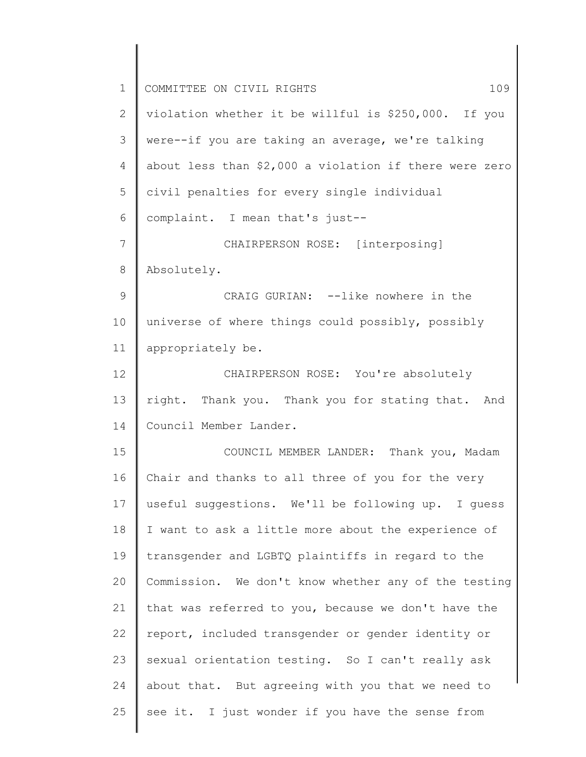| $\mathbf 1$   | COMMITTEE ON CIVIL RIGHTS<br>109                       |  |  |  |  |  |  |  |
|---------------|--------------------------------------------------------|--|--|--|--|--|--|--|
| 2             | violation whether it be willful is \$250,000. If you   |  |  |  |  |  |  |  |
| 3             | were--if you are taking an average, we're talking      |  |  |  |  |  |  |  |
| 4             | about less than \$2,000 a violation if there were zero |  |  |  |  |  |  |  |
| 5             | civil penalties for every single individual            |  |  |  |  |  |  |  |
| 6             | complaint. I mean that's just--                        |  |  |  |  |  |  |  |
| 7             | CHAIRPERSON ROSE: [interposing]                        |  |  |  |  |  |  |  |
| 8             | Absolutely.                                            |  |  |  |  |  |  |  |
| $\mathcal{G}$ | CRAIG GURIAN: --like nowhere in the                    |  |  |  |  |  |  |  |
| 10            | universe of where things could possibly, possibly      |  |  |  |  |  |  |  |
| 11            | appropriately be.                                      |  |  |  |  |  |  |  |
| 12            | CHAIRPERSON ROSE: You're absolutely                    |  |  |  |  |  |  |  |
| 13            | right. Thank you. Thank you for stating that. And      |  |  |  |  |  |  |  |
| 14            | Council Member Lander.                                 |  |  |  |  |  |  |  |
| 15            | COUNCIL MEMBER LANDER: Thank you, Madam                |  |  |  |  |  |  |  |
| 16            | Chair and thanks to all three of you for the very      |  |  |  |  |  |  |  |
| 17            | useful suggestions. We'll be following up. I guess     |  |  |  |  |  |  |  |
| 18            | I want to ask a little more about the experience of    |  |  |  |  |  |  |  |
| 19            | transgender and LGBTQ plaintiffs in regard to the      |  |  |  |  |  |  |  |
| 20            | Commission. We don't know whether any of the testing   |  |  |  |  |  |  |  |
| 21            | that was referred to you, because we don't have the    |  |  |  |  |  |  |  |
| 22            | report, included transgender or gender identity or     |  |  |  |  |  |  |  |
| 23            | sexual orientation testing. So I can't really ask      |  |  |  |  |  |  |  |
| 24            | about that. But agreeing with you that we need to      |  |  |  |  |  |  |  |
| 25            | see it. I just wonder if you have the sense from       |  |  |  |  |  |  |  |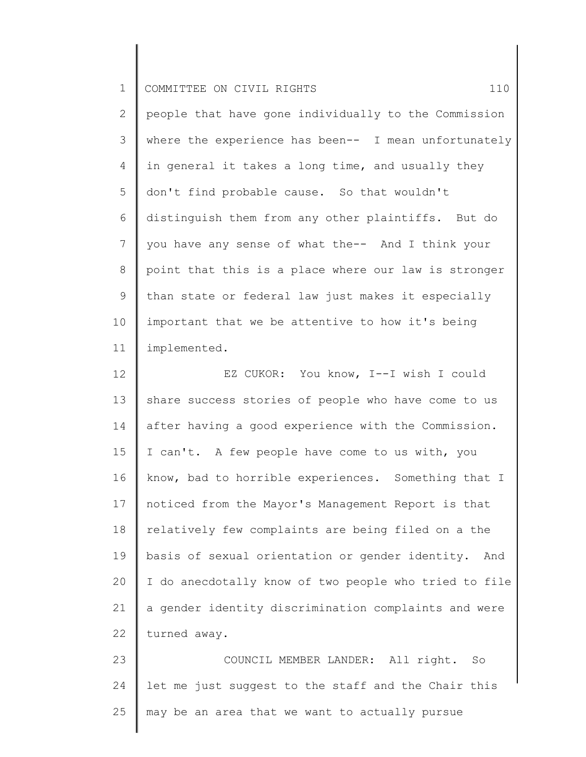2 3 4 5 6 7 8 9 10 11 people that have gone individually to the Commission where the experience has been-- I mean unfortunately in general it takes a long time, and usually they don't find probable cause. So that wouldn't distinguish them from any other plaintiffs. But do you have any sense of what the-- And I think your point that this is a place where our law is stronger than state or federal law just makes it especially important that we be attentive to how it's being implemented.

12 13 14 15 16 17 18 19 20 21 22 EZ CUKOR: You know, I--I wish I could share success stories of people who have come to us after having a good experience with the Commission. I can't. A few people have come to us with, you know, bad to horrible experiences. Something that I noticed from the Mayor's Management Report is that relatively few complaints are being filed on a the basis of sexual orientation or gender identity. And I do anecdotally know of two people who tried to file a gender identity discrimination complaints and were turned away.

23 24 25 COUNCIL MEMBER LANDER: All right. So let me just suggest to the staff and the Chair this may be an area that we want to actually pursue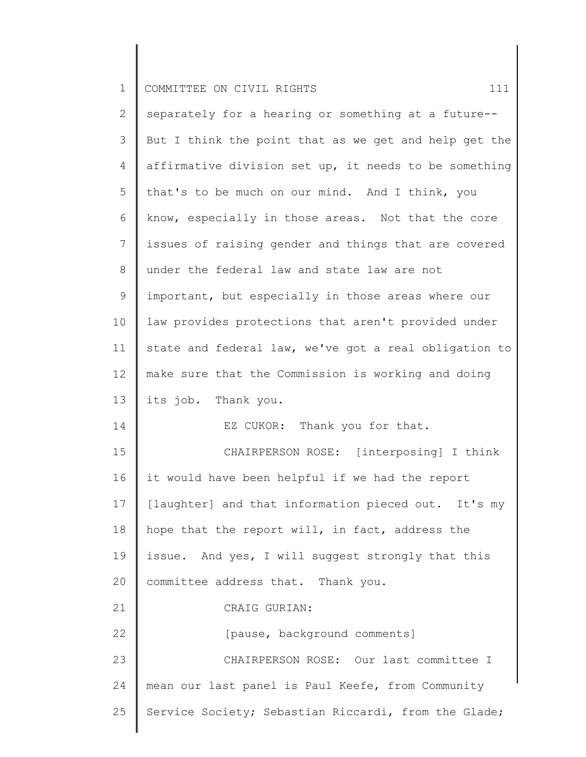| $\overline{2}$ | separately for a hearing or something at a future--   |
|----------------|-------------------------------------------------------|
| 3              | But I think the point that as we get and help get the |
| 4              | affirmative division set up, it needs to be something |
| 5              | that's to be much on our mind. And I think, you       |
| 6              | know, especially in those areas. Not that the core    |
| $7\phantom{.}$ | issues of raising gender and things that are covered  |
| $8\,$          | under the federal law and state law are not           |
| 9              | important, but especially in those areas where our    |
| 10             | law provides protections that aren't provided under   |
| 11             | state and federal law, we've got a real obligation to |
| 12             | make sure that the Commission is working and doing    |
| 13             | its job. Thank you.                                   |
| 14             | EZ CUKOR: Thank you for that.                         |
| 15             | CHAIRPERSON ROSE: [interposing] I think               |
| 16             | it would have been helpful if we had the report       |
| 17             | [laughter] and that information pieced out. It's my   |
| 18             | hope that the report will, in fact, address the       |
| 19             | issue. And yes, I will suggest strongly that this     |
| 20             | committee address that. Thank you.                    |
| 21             | CRAIG GURIAN:                                         |
| 22             | [pause, background comments]                          |
| 23             | CHAIRPERSON ROSE: Our last committee I                |
| 24             | mean our last panel is Paul Keefe, from Community     |
| 25             | Service Society; Sebastian Riccardi, from the Glade;  |
|                |                                                       |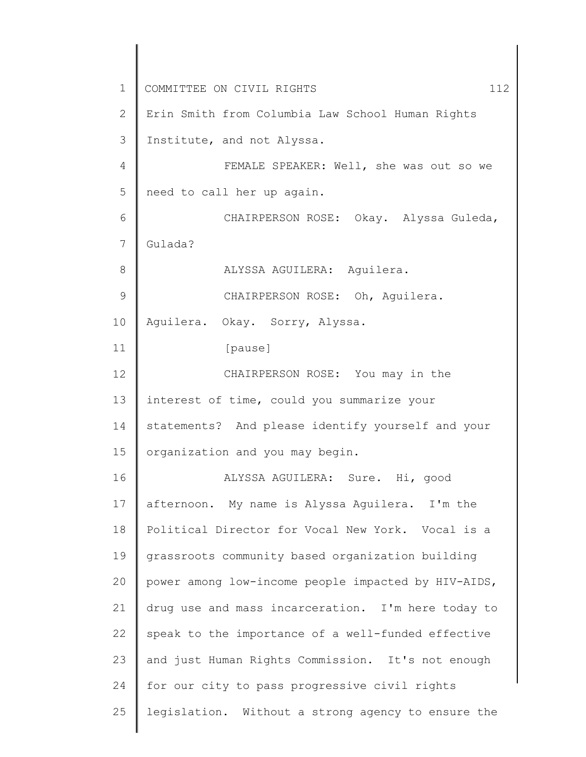1 2 3 4 5 6 7 8 9 10 11 12 13 14 15 16 17 18 19 20 21 22 23 24 25 COMMITTEE ON CIVIL RIGHTS 112 Erin Smith from Columbia Law School Human Rights Institute, and not Alyssa. FEMALE SPEAKER: Well, she was out so we need to call her up again. CHAIRPERSON ROSE: Okay. Alyssa Guleda, Gulada? ALYSSA AGUILERA: Aguilera. CHAIRPERSON ROSE: Oh, Aguilera. Aguilera. Okay. Sorry, Alyssa. [pause] CHAIRPERSON ROSE: You may in the interest of time, could you summarize your statements? And please identify yourself and your organization and you may begin. ALYSSA AGUILERA: Sure. Hi, good afternoon. My name is Alyssa Aguilera. I'm the Political Director for Vocal New York. Vocal is a grassroots community based organization building power among low-income people impacted by HIV-AIDS, drug use and mass incarceration. I'm here today to speak to the importance of a well-funded effective and just Human Rights Commission. It's not enough for our city to pass progressive civil rights legislation. Without a strong agency to ensure the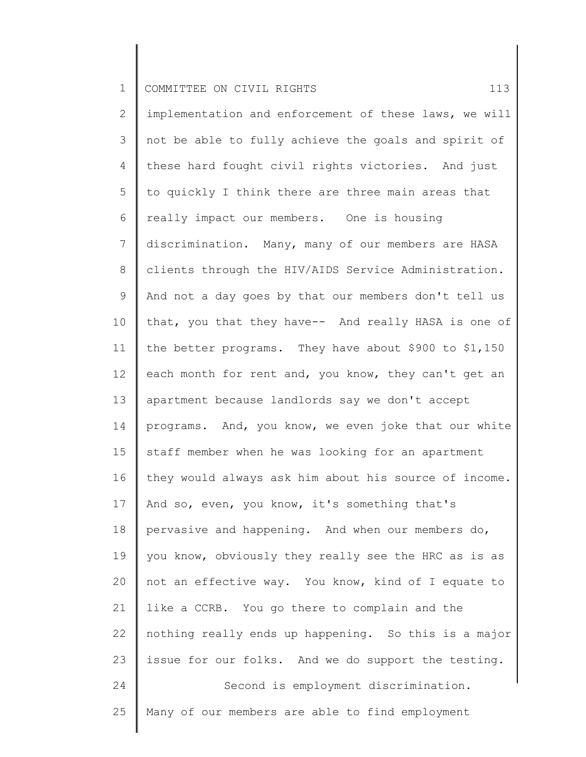2 3 4 5 6 7 8 9 10 11 12 13 14 15 16 17 18 19 20 21 22 23 24 25 implementation and enforcement of these laws, we will not be able to fully achieve the goals and spirit of these hard fought civil rights victories. And just to quickly I think there are three main areas that really impact our members. One is housing discrimination. Many, many of our members are HASA clients through the HIV/AIDS Service Administration. And not a day goes by that our members don't tell us that, you that they have-- And really HASA is one of the better programs. They have about \$900 to \$1,150 each month for rent and, you know, they can't get an apartment because landlords say we don't accept programs. And, you know, we even joke that our white staff member when he was looking for an apartment they would always ask him about his source of income. And so, even, you know, it's something that's pervasive and happening. And when our members do, you know, obviously they really see the HRC as is as not an effective way. You know, kind of I equate to like a CCRB. You go there to complain and the nothing really ends up happening. So this is a major issue for our folks. And we do support the testing. Second is employment discrimination. Many of our members are able to find employment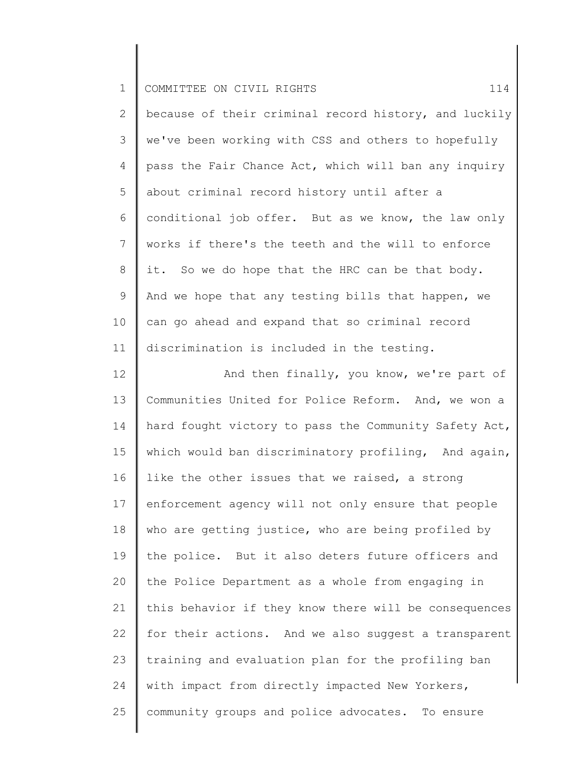2 3 4 5 6 7 8 9 10 11 because of their criminal record history, and luckily we've been working with CSS and others to hopefully pass the Fair Chance Act, which will ban any inquiry about criminal record history until after a conditional job offer. But as we know, the law only works if there's the teeth and the will to enforce it. So we do hope that the HRC can be that body. And we hope that any testing bills that happen, we can go ahead and expand that so criminal record discrimination is included in the testing.

12 13 14 15 16 17 18 19 20 21 22 23 24 25 And then finally, you know, we're part of Communities United for Police Reform. And, we won a hard fought victory to pass the Community Safety Act, which would ban discriminatory profiling, And again, like the other issues that we raised, a strong enforcement agency will not only ensure that people who are getting justice, who are being profiled by the police. But it also deters future officers and the Police Department as a whole from engaging in this behavior if they know there will be consequences for their actions. And we also suggest a transparent training and evaluation plan for the profiling ban with impact from directly impacted New Yorkers, community groups and police advocates. To ensure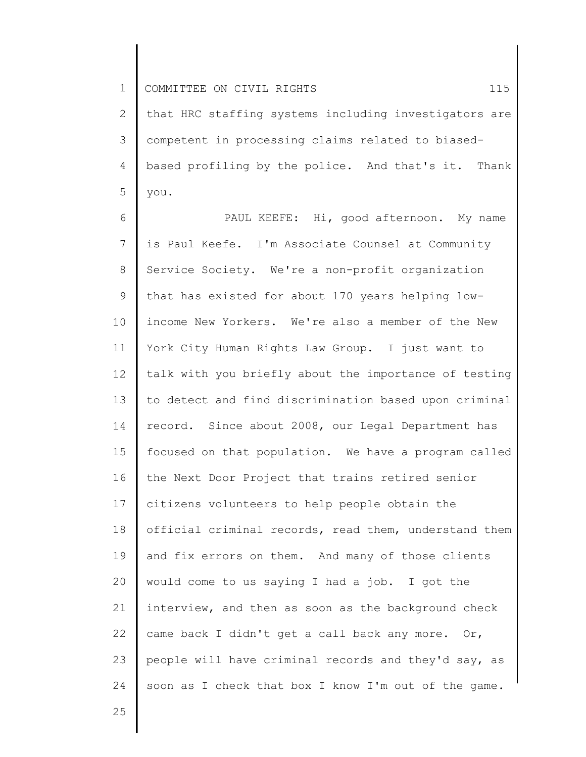2 3 4 5 that HRC staffing systems including investigators are competent in processing claims related to biasedbased profiling by the police. And that's it. Thank you.

6 7 8 9 10 11 12 13 14 15 16 17 18 19 20 21 22 23 24 PAUL KEEFE: Hi, good afternoon. My name is Paul Keefe. I'm Associate Counsel at Community Service Society. We're a non-profit organization that has existed for about 170 years helping lowincome New Yorkers. We're also a member of the New York City Human Rights Law Group. I just want to talk with you briefly about the importance of testing to detect and find discrimination based upon criminal record. Since about 2008, our Legal Department has focused on that population. We have a program called the Next Door Project that trains retired senior citizens volunteers to help people obtain the official criminal records, read them, understand them and fix errors on them. And many of those clients would come to us saying I had a job. I got the interview, and then as soon as the background check came back I didn't get a call back any more. Or, people will have criminal records and they'd say, as soon as I check that box I know I'm out of the game.

25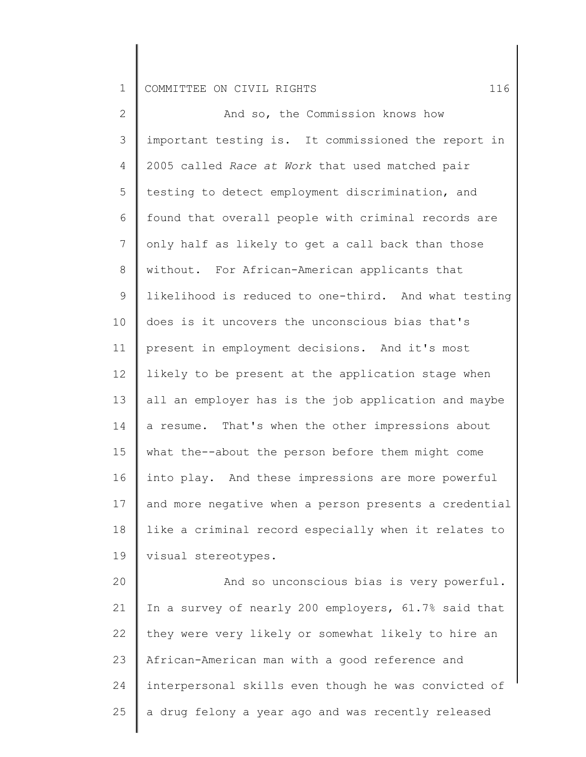| $\overline{2}$  | And so, the Commission knows how                      |  |  |  |  |  |  |  |  |
|-----------------|-------------------------------------------------------|--|--|--|--|--|--|--|--|
| 3               | important testing is. It commissioned the report in   |  |  |  |  |  |  |  |  |
| $\overline{4}$  | 2005 called Race at Work that used matched pair       |  |  |  |  |  |  |  |  |
| 5               | testing to detect employment discrimination, and      |  |  |  |  |  |  |  |  |
| 6               | found that overall people with criminal records are   |  |  |  |  |  |  |  |  |
| $7\overline{ }$ | only half as likely to get a call back than those     |  |  |  |  |  |  |  |  |
| $8\,$           | without. For African-American applicants that         |  |  |  |  |  |  |  |  |
| $\mathsf 9$     | likelihood is reduced to one-third. And what testing  |  |  |  |  |  |  |  |  |
| 10              | does is it uncovers the unconscious bias that's       |  |  |  |  |  |  |  |  |
| 11              | present in employment decisions. And it's most        |  |  |  |  |  |  |  |  |
| 12              | likely to be present at the application stage when    |  |  |  |  |  |  |  |  |
| 13              | all an employer has is the job application and maybe  |  |  |  |  |  |  |  |  |
| 14              | a resume. That's when the other impressions about     |  |  |  |  |  |  |  |  |
| 15              | what the--about the person before them might come     |  |  |  |  |  |  |  |  |
| 16              | into play. And these impressions are more powerful    |  |  |  |  |  |  |  |  |
| 17              | and more negative when a person presents a credential |  |  |  |  |  |  |  |  |
| 18              | like a criminal record especially when it relates to  |  |  |  |  |  |  |  |  |
| 19              | visual stereotypes.                                   |  |  |  |  |  |  |  |  |
| 20              | And so unconscious bias is very powerful.             |  |  |  |  |  |  |  |  |
| 21              | In a survey of nearly 200 employers, 61.7% said that  |  |  |  |  |  |  |  |  |
| 22              | they were very likely or somewhat likely to hire an   |  |  |  |  |  |  |  |  |
| 23              | African-American man with a good reference and        |  |  |  |  |  |  |  |  |
| 24              | interpersonal skills even though he was convicted of  |  |  |  |  |  |  |  |  |
| 25              | a drug felony a year ago and was recently released    |  |  |  |  |  |  |  |  |
|                 |                                                       |  |  |  |  |  |  |  |  |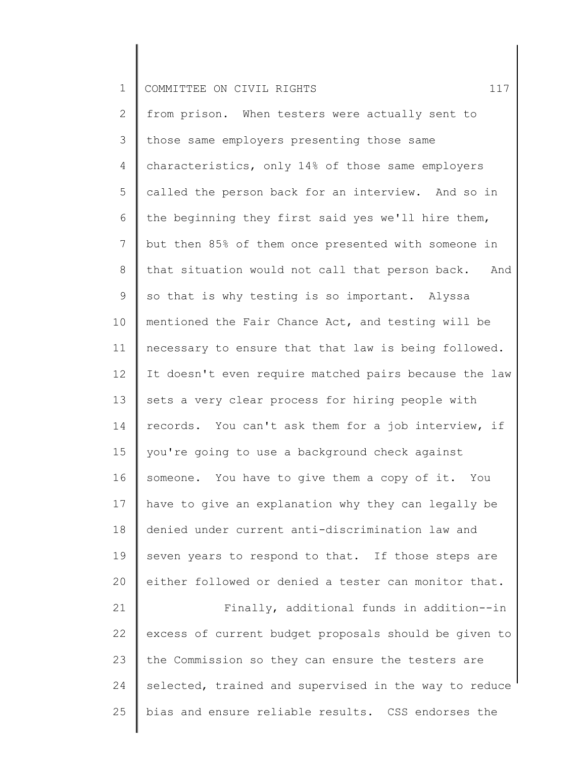2 3 4 5 6 7 8 9 10 11 12 13 14 15 16 17 18 19 20 21 22 23 24 25 from prison. When testers were actually sent to those same employers presenting those same characteristics, only 14% of those same employers called the person back for an interview. And so in the beginning they first said yes we'll hire them, but then 85% of them once presented with someone in that situation would not call that person back. And so that is why testing is so important. Alyssa mentioned the Fair Chance Act, and testing will be necessary to ensure that that law is being followed. It doesn't even require matched pairs because the law sets a very clear process for hiring people with records. You can't ask them for a job interview, if you're going to use a background check against someone. You have to give them a copy of it. You have to give an explanation why they can legally be denied under current anti-discrimination law and seven years to respond to that. If those steps are either followed or denied a tester can monitor that. Finally, additional funds in addition--in excess of current budget proposals should be given to the Commission so they can ensure the testers are selected, trained and supervised in the way to reduce bias and ensure reliable results. CSS endorses the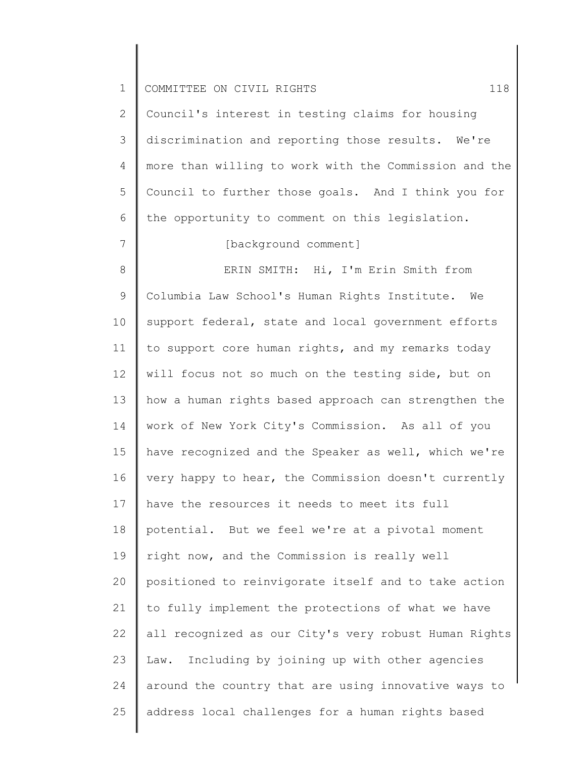7

2 3 4 5 6 Council's interest in testing claims for housing discrimination and reporting those results. We're more than willing to work with the Commission and the Council to further those goals. And I think you for the opportunity to comment on this legislation.

[background comment]

8 9 10 11 12 13 14 15 16 17 18 19 20 21 22 23 24 25 ERIN SMITH: Hi, I'm Erin Smith from Columbia Law School's Human Rights Institute. We support federal, state and local government efforts to support core human rights, and my remarks today will focus not so much on the testing side, but on how a human rights based approach can strengthen the work of New York City's Commission. As all of you have recognized and the Speaker as well, which we're very happy to hear, the Commission doesn't currently have the resources it needs to meet its full potential. But we feel we're at a pivotal moment right now, and the Commission is really well positioned to reinvigorate itself and to take action to fully implement the protections of what we have all recognized as our City's very robust Human Rights Law. Including by joining up with other agencies around the country that are using innovative ways to address local challenges for a human rights based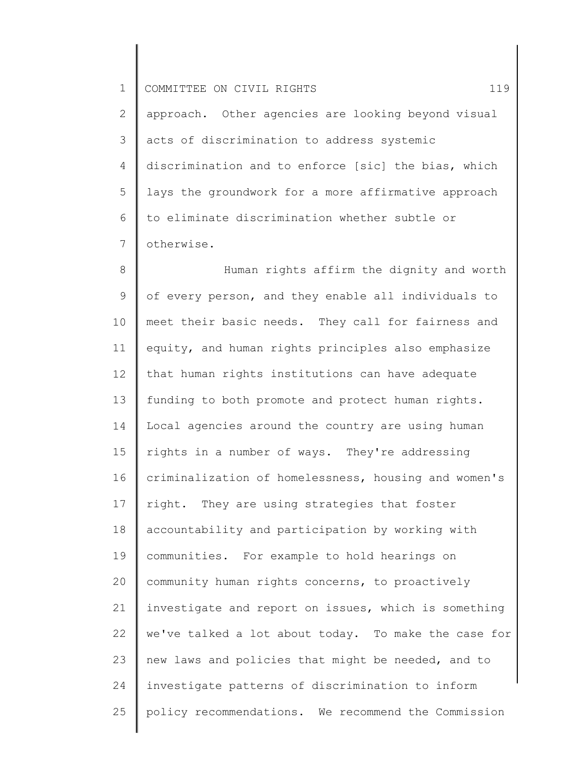2 3 4 5 6 7 approach. Other agencies are looking beyond visual acts of discrimination to address systemic discrimination and to enforce [sic] the bias, which lays the groundwork for a more affirmative approach to eliminate discrimination whether subtle or otherwise.

8 9 10 11 12 13 14 15 16 17 18 19 20 21 22 23 24 25 Human rights affirm the dignity and worth of every person, and they enable all individuals to meet their basic needs. They call for fairness and equity, and human rights principles also emphasize that human rights institutions can have adequate funding to both promote and protect human rights. Local agencies around the country are using human rights in a number of ways. They're addressing criminalization of homelessness, housing and women's right. They are using strategies that foster accountability and participation by working with communities. For example to hold hearings on community human rights concerns, to proactively investigate and report on issues, which is something we've talked a lot about today. To make the case for new laws and policies that might be needed, and to investigate patterns of discrimination to inform policy recommendations. We recommend the Commission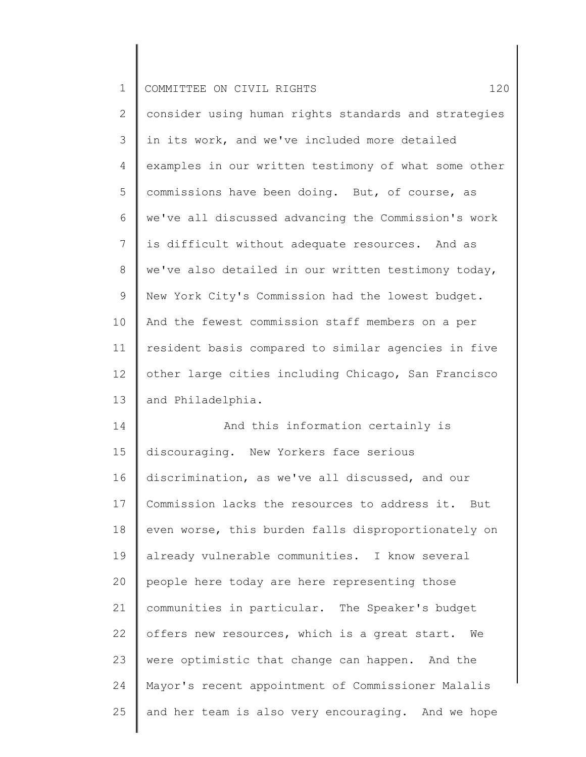2 3 4 5 6 7 8 9 10 11 12 13 consider using human rights standards and strategies in its work, and we've included more detailed examples in our written testimony of what some other commissions have been doing. But, of course, as we've all discussed advancing the Commission's work is difficult without adequate resources. And as we've also detailed in our written testimony today, New York City's Commission had the lowest budget. And the fewest commission staff members on a per resident basis compared to similar agencies in five other large cities including Chicago, San Francisco and Philadelphia.

14 15 16 17 18 19 20 21 22 23 24 25 And this information certainly is discouraging. New Yorkers face serious discrimination, as we've all discussed, and our Commission lacks the resources to address it. But even worse, this burden falls disproportionately on already vulnerable communities. I know several people here today are here representing those communities in particular. The Speaker's budget offers new resources, which is a great start. We were optimistic that change can happen. And the Mayor's recent appointment of Commissioner Malalis and her team is also very encouraging. And we hope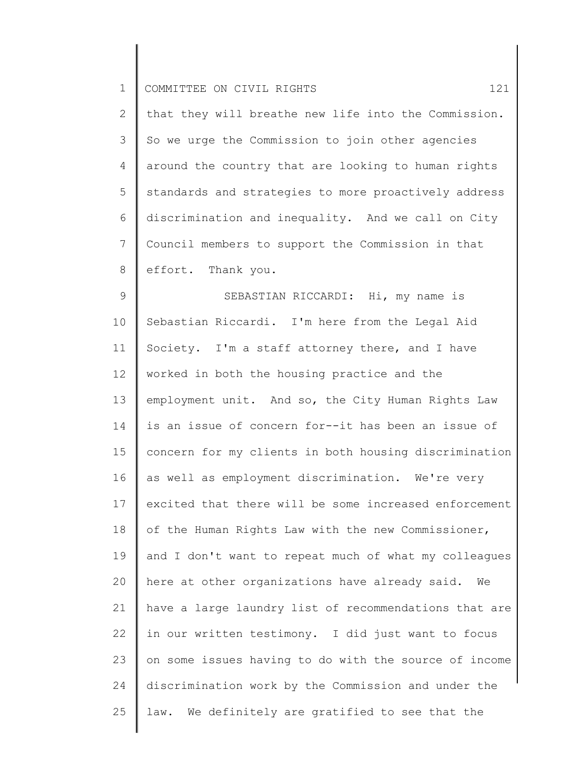2 3 4 5 6 7 8 that they will breathe new life into the Commission. So we urge the Commission to join other agencies around the country that are looking to human rights standards and strategies to more proactively address discrimination and inequality. And we call on City Council members to support the Commission in that effort. Thank you.

9 10 11 12 13 14 15 16 17 18 19 20 21 22 23 24 25 SEBASTIAN RICCARDI: Hi, my name is Sebastian Riccardi. I'm here from the Legal Aid Society. I'm a staff attorney there, and I have worked in both the housing practice and the employment unit. And so, the City Human Rights Law is an issue of concern for--it has been an issue of concern for my clients in both housing discrimination as well as employment discrimination. We're very excited that there will be some increased enforcement of the Human Rights Law with the new Commissioner, and I don't want to repeat much of what my colleagues here at other organizations have already said. We have a large laundry list of recommendations that are in our written testimony. I did just want to focus on some issues having to do with the source of income discrimination work by the Commission and under the law. We definitely are gratified to see that the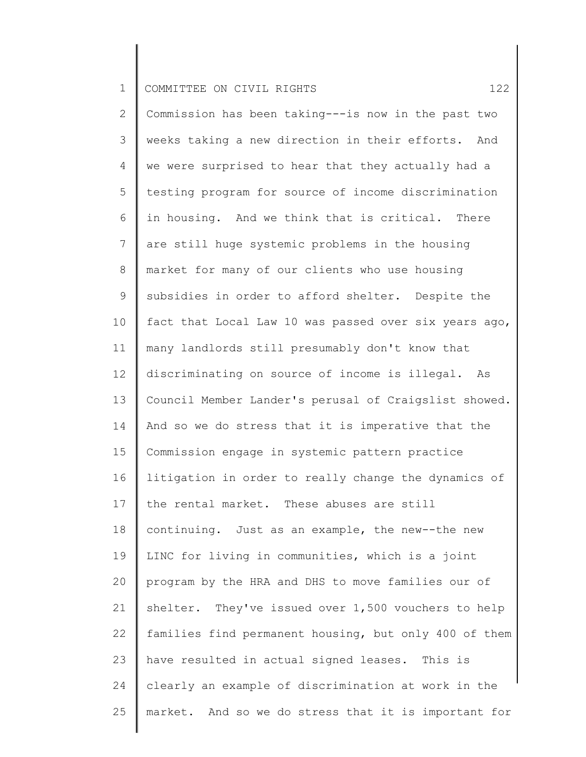2 3 4 5 6 7 8 9 10 11 12 13 14 15 16 17 18 19 20 21 22 23 24 25 Commission has been taking---is now in the past two weeks taking a new direction in their efforts. And we were surprised to hear that they actually had a testing program for source of income discrimination in housing. And we think that is critical. There are still huge systemic problems in the housing market for many of our clients who use housing subsidies in order to afford shelter. Despite the fact that Local Law 10 was passed over six years ago, many landlords still presumably don't know that discriminating on source of income is illegal. As Council Member Lander's perusal of Craigslist showed. And so we do stress that it is imperative that the Commission engage in systemic pattern practice litigation in order to really change the dynamics of the rental market. These abuses are still continuing. Just as an example, the new--the new LINC for living in communities, which is a joint program by the HRA and DHS to move families our of shelter. They've issued over 1,500 vouchers to help families find permanent housing, but only 400 of them have resulted in actual signed leases. This is clearly an example of discrimination at work in the market. And so we do stress that it is important for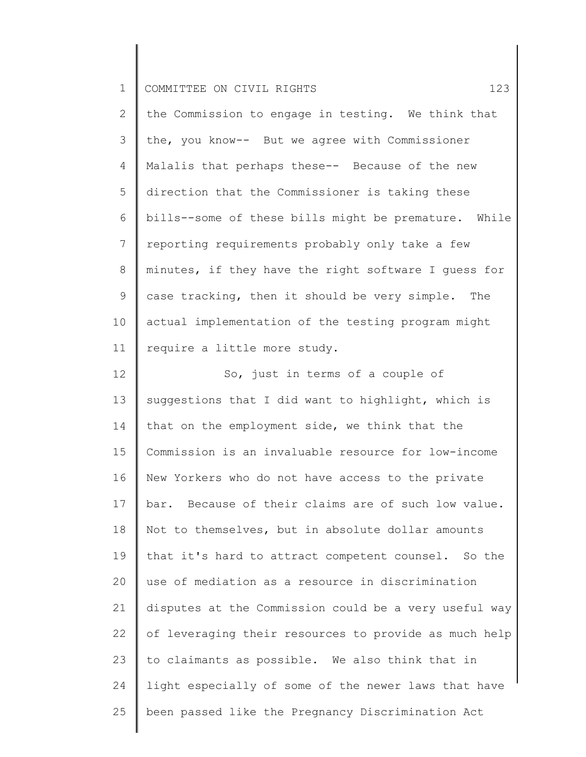2 3 4 5 6 7 8 9 10 11 the Commission to engage in testing. We think that the, you know-- But we agree with Commissioner Malalis that perhaps these-- Because of the new direction that the Commissioner is taking these bills--some of these bills might be premature. While reporting requirements probably only take a few minutes, if they have the right software I guess for case tracking, then it should be very simple. The actual implementation of the testing program might require a little more study.

12 13 14 15 16 17 18 19 20 21 22 23 24 25 So, just in terms of a couple of suggestions that I did want to highlight, which is that on the employment side, we think that the Commission is an invaluable resource for low-income New Yorkers who do not have access to the private bar. Because of their claims are of such low value. Not to themselves, but in absolute dollar amounts that it's hard to attract competent counsel. So the use of mediation as a resource in discrimination disputes at the Commission could be a very useful way of leveraging their resources to provide as much help to claimants as possible. We also think that in light especially of some of the newer laws that have been passed like the Pregnancy Discrimination Act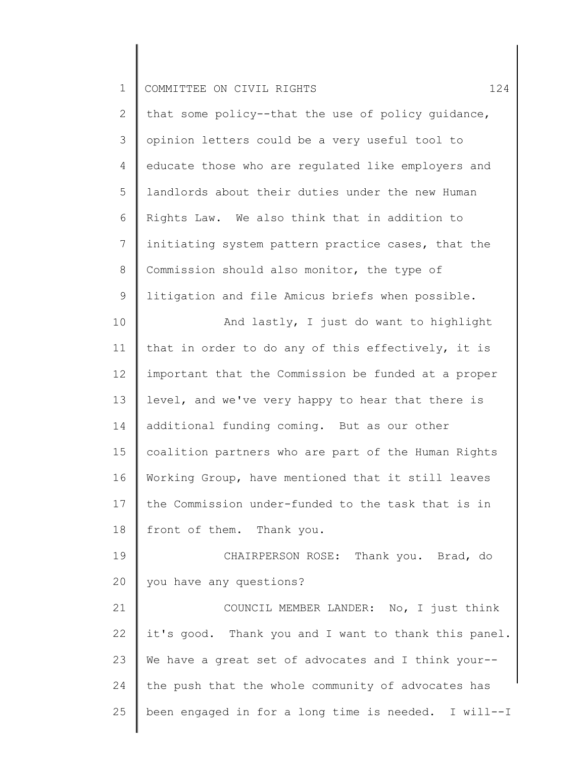| $\overline{2}$  | that some policy--that the use of policy guidance,   |
|-----------------|------------------------------------------------------|
| 3               | opinion letters could be a very useful tool to       |
| 4               | educate those who are regulated like employers and   |
| 5               | landlords about their duties under the new Human     |
| 6               | Rights Law. We also think that in addition to        |
| $7\phantom{.0}$ | initiating system pattern practice cases, that the   |
| 8               | Commission should also monitor, the type of          |
| 9               | litigation and file Amicus briefs when possible.     |
| 10              | And lastly, I just do want to highlight              |
| 11              | that in order to do any of this effectively, it is   |
| 12              | important that the Commission be funded at a proper  |
| 13              | level, and we've very happy to hear that there is    |
| 14              | additional funding coming. But as our other          |
| 15              | coalition partners who are part of the Human Rights  |
| 16              | Working Group, have mentioned that it still leaves   |
| 17              | the Commission under-funded to the task that is in   |
| 18              | front of them. Thank you.                            |
| 19              | CHAIRPERSON ROSE: Thank you. Brad, do                |
| 20              | you have any questions?                              |
| 21              | COUNCIL MEMBER LANDER: No, I just think              |
| 22              | it's good. Thank you and I want to thank this panel. |
| 23              | We have a great set of advocates and I think your--  |
| 24              | the push that the whole community of advocates has   |
| 25              | been engaged in for a long time is needed. I will--I |
|                 |                                                      |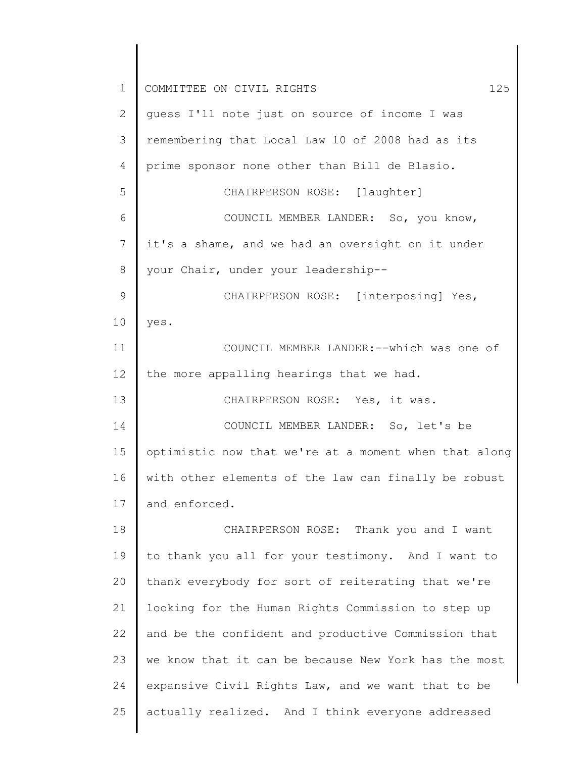| $\mathbf 1$ | 125<br>COMMITTEE ON CIVIL RIGHTS                      |
|-------------|-------------------------------------------------------|
| 2           | quess I'll note just on source of income I was        |
| 3           | remembering that Local Law 10 of 2008 had as its      |
| 4           | prime sponsor none other than Bill de Blasio.         |
| 5           | CHAIRPERSON ROSE: [laughter]                          |
| 6           | COUNCIL MEMBER LANDER: So, you know,                  |
| 7           | it's a shame, and we had an oversight on it under     |
| 8           | your Chair, under your leadership--                   |
| 9           | CHAIRPERSON ROSE: [interposing] Yes,                  |
| 10          | yes.                                                  |
| 11          | COUNCIL MEMBER LANDER: -- which was one of            |
| 12          | the more appalling hearings that we had.              |
| 13          | CHAIRPERSON ROSE: Yes, it was.                        |
| 14          | COUNCIL MEMBER LANDER: So, let's be                   |
| 15          | optimistic now that we're at a moment when that along |
| 16          | with other elements of the law can finally be robust  |
| 17          | and enforced.                                         |
| 18          | CHAIRPERSON ROSE: Thank you and I want                |
| 19          | to thank you all for your testimony. And I want to    |
| 20          | thank everybody for sort of reiterating that we're    |
| 21          | looking for the Human Rights Commission to step up    |
| 22          | and be the confident and productive Commission that   |
| 23          | we know that it can be because New York has the most  |
| 24          | expansive Civil Rights Law, and we want that to be    |
| 25          | actually realized. And I think everyone addressed     |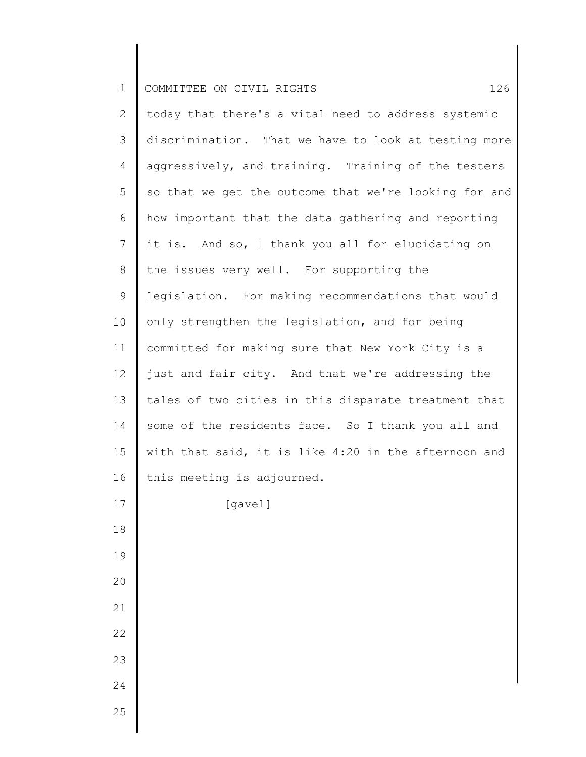20

21

22

23

24

25

2 3 4 5 6 7 8 9 10 11 12 13 14 15 16 17 18 19 today that there's a vital need to address systemic discrimination. That we have to look at testing more aggressively, and training. Training of the testers so that we get the outcome that we're looking for and how important that the data gathering and reporting it is. And so, I thank you all for elucidating on the issues very well. For supporting the legislation. For making recommendations that would only strengthen the legislation, and for being committed for making sure that New York City is a just and fair city. And that we're addressing the tales of two cities in this disparate treatment that some of the residents face. So I thank you all and with that said, it is like 4:20 in the afternoon and this meeting is adjourned. [gavel]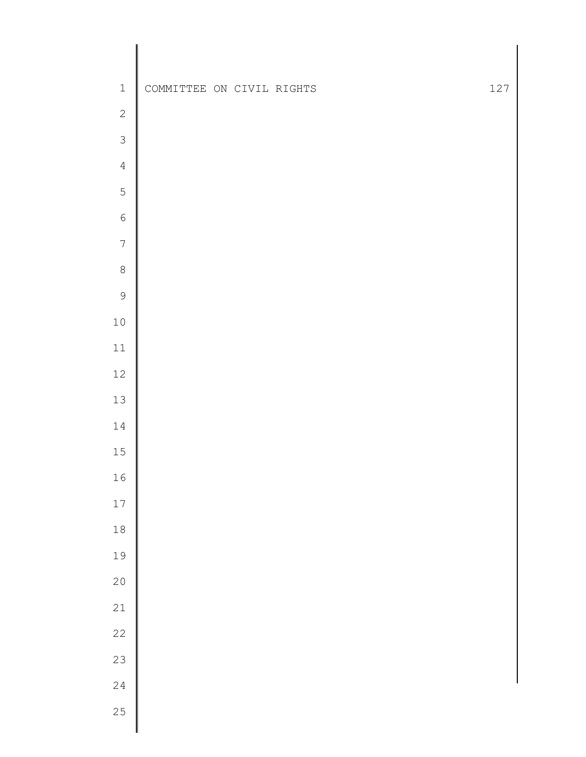| $\mathbf 1$    | COMMITTEE ON CIVIL RIGHTS |  | 127 |
|----------------|---------------------------|--|-----|
| $\mathbf{2}$   |                           |  |     |
| $\overline{3}$ |                           |  |     |
| $\overline{4}$ |                           |  |     |
| 5              |                           |  |     |
| $\epsilon$     |                           |  |     |
| $\overline{7}$ |                           |  |     |
| $\,8\,$        |                           |  |     |
| 9              |                           |  |     |
| $1\,0$         |                           |  |     |
| $11\,$         |                           |  |     |
| $12\,$         |                           |  |     |
| $13$           |                           |  |     |
| $1\,4$         |                           |  |     |
| 15             |                           |  |     |
| 16             |                           |  |     |
| $17\,$         |                           |  |     |
| $1\,8$         |                           |  |     |
| 19             |                           |  |     |
| $20$           |                           |  |     |
| $21$           |                           |  |     |
| $2\sqrt{2}$    |                           |  |     |
| 23             |                           |  |     |
| 24             |                           |  |     |
| 25             |                           |  |     |